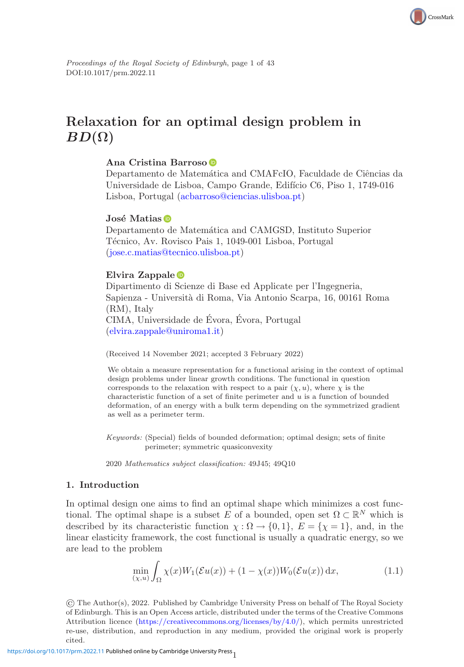

# **Relaxation for an optimal design problem in**  $BD(\Omega)$

# **Ana Cristina Barroso**

Departamento de Matemática and CMAFcIO, Faculdade de Ciências da Universidade de Lisboa, Campo Grande, Edifício C6, Piso 1, 1749-016 Lisboa, Portugal [\(acbarroso@ciencias.ulisboa.pt\)](mailto:acbarroso@ciencias.ulisboa.pt)

# **José Matias**

Departamento de Matemática and CAMGSD, Instituto Superior Técnico, Av. Rovisco Pais 1, 1049-001 Lisboa, Portugal [\(jose.c.matias@tecnico.ulisboa.pt\)](mailto:jose.c.matias@tecnico.ulisboa.pt)

# **Elvira Zappale**

Dipartimento di Scienze di Base ed Applicate per l'Ingegneria, Sapienza - Universit`a di Roma, Via Antonio Scarpa, 16, 00161 Roma (RM), Italy CIMA, Universidade de Évora, Evora, Portugal [\(elvira.zappale@uniroma1.it\)](mailto:elvira.zappale@uniroma1.it)

(Received 14 November 2021; accepted 3 February 2022)

We obtain a measure representation for a functional arising in the context of optimal design problems under linear growth conditions. The functional in question corresponds to the relaxation with respect to a pair  $(\chi, u)$ , where  $\chi$  is the characteristic function of a set of finite perimeter and  $u$  is a function of bounded deformation, of an energy with a bulk term depending on the symmetrized gradient as well as a perimeter term.

Keywords: (Special) fields of bounded deformation; optimal design; sets of finite perimeter; symmetric quasiconvexity

2020 Mathematics subject classification: 49J45; 49Q10

# **1. Introduction**

In optimal design one aims to find an optimal shape which minimizes a cost functional. The optimal shape is a subset E of a bounded, open set  $\Omega \subset \mathbb{R}^N$  which is described by its characteristic function  $\chi : \Omega \to \{0,1\}, E = \{\chi = 1\},$  and, in the linear elasticity framework, the cost functional is usually a quadratic energy, so we are lead to the problem

<span id="page-0-0"></span>
$$
\min_{(\chi,u)} \int_{\Omega} \chi(x)W_1(\mathcal{E}u(x)) + (1 - \chi(x))W_0(\mathcal{E}u(x)) \, \mathrm{d}x,\tag{1.1}
$$

© The Author(s), 2022. Published by Cambridge University Press on behalf of The Royal Society of Edinburgh. This is an Open Access article, distributed under the terms of the Creative Commons Attribution licence [\(https://creativecommons.org/licenses/by/4.0/\)](https://creativecommons.org/licenses/by/4.0/), which permits unrestricted re-use, distribution, and reproduction in any medium, provided the original work is properly cited.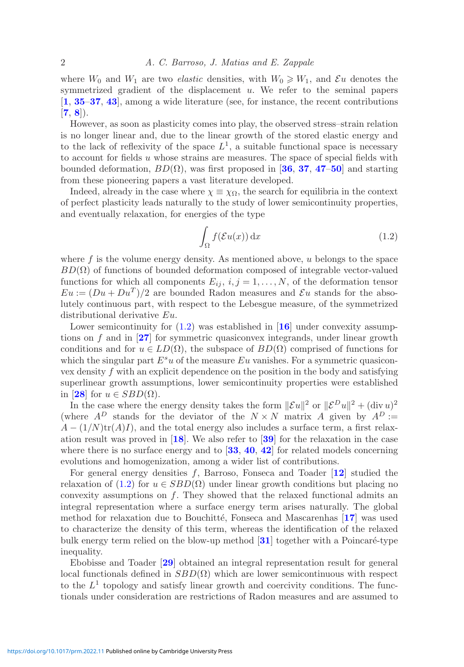where  $W_0$  and  $W_1$  are two *elastic* densities, with  $W_0 \geq W_1$ , and  $\mathcal{E}u$  denotes the symmetrized gradient of the displacement  $u$ . We refer to the seminal papers [**[1](#page-41-0)**, **[35](#page-42-0)**–**[37](#page-42-1)**, **[43](#page-42-2)**], among a wide literature (see, for instance, the recent contributions  $[7, 8]$  $[7, 8]$  $[7, 8]$  $[7, 8]$  $[7, 8]$ .

However, as soon as plasticity comes into play, the observed stress–strain relation is no longer linear and, due to the linear growth of the stored elastic energy and to the lack of reflexivity of the space  $L^1$ , a suitable functional space is necessary to account for fields u whose strains are measures. The space of special fields with bounded deformation, BD(Ω), was first proposed in [**[36](#page-42-3)**, **[37](#page-42-1)**, **[47](#page-42-4)**–**[50](#page-42-5)**] and starting from these pioneering papers a vast literature developed.

Indeed, already in the case where  $\chi \equiv \chi_{\Omega}$ , the search for equilibria in the context of perfect plasticity leads naturally to the study of lower semicontinuity properties, and eventually relaxation, for energies of the type

<span id="page-1-0"></span>
$$
\int_{\Omega} f(\mathcal{E}u(x)) \, \mathrm{d}x \tag{1.2}
$$

where  $f$  is the volume energy density. As mentioned above,  $u$  belongs to the space  $BD(\Omega)$  of functions of bounded deformation composed of integrable vector-valued functions for which all components  $E_{ij}$ ,  $i, j = 1, \ldots, N$ , of the deformation tensor  $Eu := (Du + Du<sup>T</sup>)/2$  are bounded Radon measures and  $\mathcal{E}u$  stands for the absolutely continuous part, with respect to the Lebesgue measure, of the symmetrized distributional derivative Eu.

Lower semicontinuity for  $(1.2)$  was established in [[16](#page-41-3)] under convexity assumptions on f and in [**[27](#page-42-6)**] for symmetric quasiconvex integrands, under linear growth conditions and for  $u \in LD(\Omega)$ , the subspace of  $BD(\Omega)$  comprised of functions for which the singular part  $E^s u$  of the measure Eu vanishes. For a symmetric quasiconvex density f with an explicit dependence on the position in the body and satisfying superlinear growth assumptions, lower semicontinuity properties were established in [[28](#page-42-7)] for  $u \in SBD(\Omega)$ .

In the case where the energy density takes the form  $\|\mathcal{E}u\|^2$  or  $\|\mathcal{E}^D u\|^2 + (\text{div } u)^2$ (where  $A^D$  stands for the deviator of the  $N \times N$  matrix A given by  $A^D :=$  $A - (1/N)\text{tr}(A)I$ , and the total energy also includes a surface term, a first relaxation result was proved in [**[18](#page-41-4)**]. We also refer to [**[39](#page-42-8)**] for the relaxation in the case where there is no surface energy and to [**[33](#page-42-9)**, **[40](#page-42-10)**, **[42](#page-42-11)**] for related models concerning evolutions and homogenization, among a wider list of contributions.

For general energy densities f, Barroso, Fonseca and Toader [**[12](#page-41-5)**] studied the relaxation of [\(1.2\)](#page-1-0) for  $u \in SBD(\Omega)$  under linear growth conditions but placing no convexity assumptions on  $f$ . They showed that the relaxed functional admits an integral representation where a surface energy term arises naturally. The global method for relaxation due to Bouchitté, Fonseca and Mascarenhas [[17](#page-41-6)] was used to characterize the density of this term, whereas the identification of the relaxed bulk energy term relied on the blow-up method  $\mathbf{31}$  $\mathbf{31}$  $\mathbf{31}$  together with a Poincaré-type inequality.

Ebobisse and Toader [**[29](#page-42-13)**] obtained an integral representation result for general local functionals defined in  $SBD(\Omega)$  which are lower semicontinuous with respect to the  $L^1$  topology and satisfy linear growth and coercivity conditions. The functionals under consideration are restrictions of Radon measures and are assumed to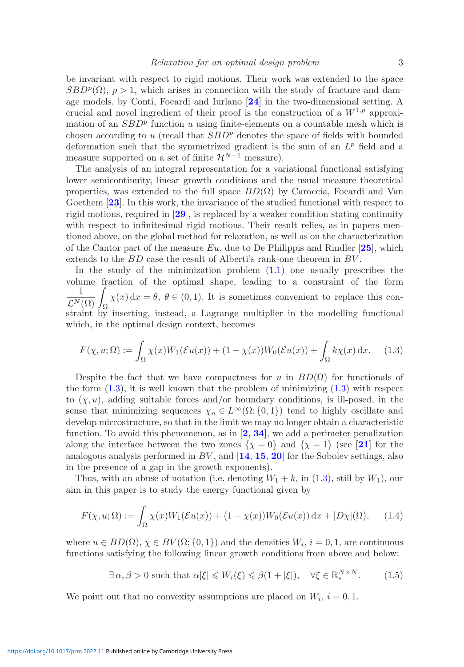be invariant with respect to rigid motions. Their work was extended to the space  $SBD^p(\Omega)$ ,  $p > 1$ , which arises in connection with the study of fracture and damage models, by Conti, Focardi and Iurlano [**[24](#page-41-7)**] in the two-dimensional setting. A crucial and novel ingredient of their proof is the construction of a  $W^{1,p}$  approximation of an  $SBD^p$  function u using finite-elements on a countable mesh which is chosen according to u (recall that  $SBD^p$  denotes the space of fields with bounded deformation such that the symmetrized gradient is the sum of an  $L^p$  field and a measure supported on a set of finite  $\mathcal{H}^{N-1}$  measure).

The analysis of an integral representation for a variational functional satisfying lower semicontinuity, linear growth conditions and the usual measure theoretical properties, was extended to the full space  $BD(\Omega)$  by Caroccia, Focardi and Van Goethem [**[23](#page-41-8)**]. In this work, the invariance of the studied functional with respect to rigid motions, required in [**[29](#page-42-13)**], is replaced by a weaker condition stating continuity with respect to infinitesimal rigid motions. Their result relies, as in papers mentioned above, on the global method for relaxation, as well as on the characterization of the Cantor part of the measure Eu, due to De Philippis and Rindler [**[25](#page-41-9)**], which extends to the BD case the result of Alberti's rank-one theorem in BV .

In the study of the minimization problem [\(1.1\)](#page-0-0) one usually prescribes the volume fraction of the optimal shape, leading to a constraint of the form  $\frac{1}{\mathcal{L}^N(\Omega)} \int_{\Omega} \chi(x) dx = \theta, \ \theta \in (0,1).$  It is sometimes convenient to replace this constraint by inserting, instead, a Lagrange multiplier in the modelling functional which, in the optimal design context, becomes

<span id="page-2-0"></span>
$$
F(\chi, u; \Omega) := \int_{\Omega} \chi(x) W_1(\mathcal{E}u(x)) + (1 - \chi(x)) W_0(\mathcal{E}u(x)) + \int_{\Omega} k\chi(x) dx.
$$
 (1.3)

Despite the fact that we have compactness for u in  $BD(\Omega)$  for functionals of the form  $(1.3)$ , it is well known that the problem of minimizing  $(1.3)$  with respect to  $(\chi, u)$ , adding suitable forces and/or boundary conditions, is ill-posed, in the sense that minimizing sequences  $\chi_n \in L^{\infty}(\Omega; \{0, 1\})$  tend to highly oscillate and develop microstructure, so that in the limit we may no longer obtain a characteristic function. To avoid this phenomenon, as in [**[2](#page-41-10)**, **[34](#page-42-14)**], we add a perimeter penalization along the interface between the two zones  $\{\chi = 0\}$  and  $\{\chi = 1\}$  (see [[21](#page-41-11)] for the analogous analysis performed in BV , and [**[14](#page-41-12)**, **[15](#page-41-13)**, **[20](#page-41-14)**] for the Sobolev settings, also in the presence of a gap in the growth exponents).

Thus, with an abuse of notation (i.e. denoting  $W_1 + k$ , in [\(1.3\)](#page-2-0), still by  $W_1$ ), our aim in this paper is to study the energy functional given by

$$
F(\chi, u; \Omega) := \int_{\Omega} \chi(x) W_1(\mathcal{E}u(x)) + (1 - \chi(x)) W_0(\mathcal{E}u(x)) dx + |D\chi|(\Omega), \quad (1.4)
$$

where  $u \in BD(\Omega)$ ,  $\chi \in BV(\Omega; \{0,1\})$  and the densities  $W_i$ ,  $i = 0,1$ , are continuous functions satisfying the following linear growth conditions from above and below:

<span id="page-2-2"></span><span id="page-2-1"></span> $\exists \alpha, \beta > 0$  such that  $\alpha |\xi| \leqslant W_i(\xi) \leqslant \beta(1 + |\xi|), \quad \forall \xi \in \mathbb{R}^{N \times N}_s$ . (1.5)

We point out that no convexity assumptions are placed on  $W_i$ ,  $i = 0, 1$ .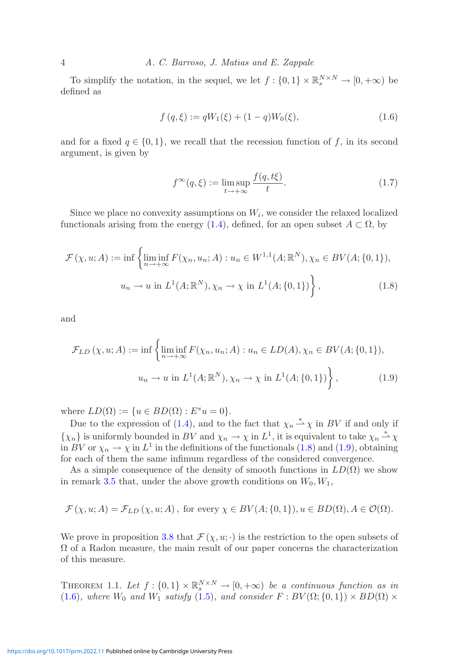4 *A. C. Barroso, J. Matias and E. Zappale*

To simplify the notation, in the sequel, we let  $f: \{0,1\} \times \mathbb{R}^{N \times N}_s \to [0,+\infty)$  be defined as

$$
f(q,\xi) := qW_1(\xi) + (1-q)W_0(\xi), \qquad (1.6)
$$

and for a fixed  $q \in \{0,1\}$ , we recall that the recession function of f, in its second argument, is given by

<span id="page-3-3"></span><span id="page-3-2"></span><span id="page-3-1"></span><span id="page-3-0"></span>
$$
f^{\infty}(q,\xi) := \limsup_{t \to +\infty} \frac{f(q,t\xi)}{t}.
$$
 (1.7)

Since we place no convexity assumptions on  $W_i$ , we consider the relaxed localized functionals arising from the energy [\(1.4\)](#page-2-1), defined, for an open subset  $A \subset \Omega$ , by

$$
\mathcal{F}(\chi, u; A) := \inf \left\{ \liminf_{n \to +\infty} F(\chi_n, u_n; A) : u_n \in W^{1,1}(A; \mathbb{R}^N), \chi_n \in BV(A; \{0, 1\}),
$$
  

$$
u_n \to u \text{ in } L^1(A; \mathbb{R}^N), \chi_n \to \chi \text{ in } L^1(A; \{0, 1\}) \right\},
$$
(1.8)

and

$$
\mathcal{F}_{LD}(\chi, u; A) := \inf \left\{ \liminf_{n \to +\infty} F(\chi_n, u_n; A) : u_n \in LD(A), \chi_n \in BV(A; \{0, 1\}),
$$
  

$$
u_n \to u \text{ in } L^1(A; \mathbb{R}^N), \chi_n \to \chi \text{ in } L^1(A; \{0, 1\}) \right\},
$$
(1.9)

where  $LD(\Omega) := \{u \in BD(\Omega) : E^s u = 0\}.$ 

Due to the expression of [\(1.4\)](#page-2-1), and to the fact that  $\chi_n \stackrel{*}{\rightharpoonup} \chi$  in BV if and only if  $\{\chi_n\}$  is uniformly bounded in BV and  $\chi_n \to \chi$  in  $L^1$ , it is equivalent to take  $\chi_n \stackrel{*}{\to} \chi$ in BV or  $\chi_n \to \chi$  in  $L^1$  in the definitions of the functionals [\(1.8\)](#page-3-0) and [\(1.9\)](#page-3-1), obtaining for each of them the same infimum regardless of the considered convergence.

As a simple consequence of the density of smooth functions in  $LD(\Omega)$  we show in remark [3.5](#page-14-0) that, under the above growth conditions on  $W_0, W_1$ ,

$$
\mathcal{F}(\chi, u; A) = \mathcal{F}_{LD}(\chi, u; A), \text{ for every } \chi \in BV(A; \{0, 1\}), u \in BD(\Omega), A \in \mathcal{O}(\Omega).
$$

<span id="page-3-4"></span>We prove in proposition [3.8](#page-18-0) that  $\mathcal{F}(\chi, u; \cdot)$  is the restriction to the open subsets of  $\Omega$  of a Radon measure, the main result of our paper concerns the characterization of this measure.

THEOREM 1.1. Let  $f : \{0,1\} \times \mathbb{R}^{N \times N}_{s} \to [0,+\infty)$  be a continuous function as in [\(1.6\)](#page-3-2)*, where*  $W_0$  *and*  $W_1$  *satisfy* [\(1.5\)](#page-2-2)*, and consider*  $F : BV(\Omega; \{0,1\}) \times BD(\Omega) \times$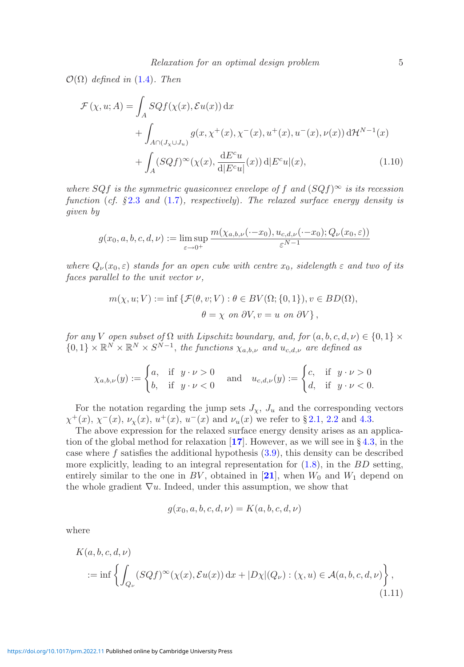$\mathcal{O}(\Omega)$  *defined in* [\(1.4\)](#page-2-1)*. Then* 

$$
\mathcal{F}(\chi, u; A) = \int_A SQf(\chi(x), \mathcal{E}u(x)) dx
$$
  
+ 
$$
\int_{A \cap (J_\chi \cup J_u)} g(x, \chi^+(x), \chi^-(x), u^+(x), u^-(x), \nu(x)) d\mathcal{H}^{N-1}(x)
$$
  
+ 
$$
\int_A (SQf)^\infty(\chi(x), \frac{dE^c u}{d|E^c u|}(x)) d|E^c u|(x),
$$
(1.10)

*where*  $SQf$  *is the symmetric quasiconvex envelope of* f and  $(SQf)^\infty$  *is its recession function* (*cf. §* [2.3](#page-11-0) *and* [\(1.7\)](#page-3-3)*, respectively*)*. The relaxed surface energy density is given by*

$$
g(x_0, a, b, c, d, \nu) := \limsup_{\varepsilon \to 0^+} \frac{m(\chi_{a,b,\nu}(\cdot - x_0), u_{c,d,\nu}(\cdot - x_0); Q_{\nu}(x_0, \varepsilon))}{\varepsilon^{N-1}}
$$

*where*  $Q_{\nu}(x_0, \varepsilon)$  *stands for an open cube with centre*  $x_0$ *, sidelength*  $\varepsilon$  *and two of its faces parallel to the unit vector* ν*,*

$$
m(\chi, u; V) := \inf \{ \mathcal{F}(\theta, v; V) : \theta \in BV(\Omega; \{0, 1\}), v \in BD(\Omega),
$$
  

$$
\theta = \chi \text{ on } \partial V, v = u \text{ on } \partial V \},
$$

*for any V open subset of*  $\Omega$  *with Lipschitz boundary, and, for*  $(a, b, c, d, \nu) \in \{0, 1\} \times$  $\{0,1\} \times \mathbb{R}^N \times \mathbb{R}^N \times S^{N-1}$ , the functions  $\chi_{a,b,\nu}$  and  $u_{c,d,\nu}$  are defined as

$$
\chi_{a,b,\nu}(y) := \begin{cases} a, & \text{if } y \cdot \nu > 0 \\ b, & \text{if } y \cdot \nu < 0 \end{cases} \quad \text{and} \quad u_{c,d,\nu}(y) := \begin{cases} c, & \text{if } y \cdot \nu > 0 \\ d, & \text{if } y \cdot \nu < 0. \end{cases}
$$

For the notation regarding the jump sets  $J_{\chi}$ ,  $J_{u}$  and the corresponding vectors  $\chi^+(x)$ ,  $\chi^-(x)$ ,  $\nu_{\chi}(x)$ ,  $u^+(x)$ ,  $u^-(x)$  and  $\nu_u(x)$  we refer to § [2.1,](#page-6-0) [2.2](#page-8-0) and [4.3.](#page-31-0)

The above expression for the relaxed surface energy density arises as an application of the global method for relaxation [**[17](#page-41-6)**]. However, as we will see in § [4.3,](#page-31-0) in the case where  $f$  satisfies the additional hypothesis  $(3.9)$ , this density can be described more explicitly, leading to an integral representation for  $(1.8)$ , in the BD setting, entirely similar to the one in  $BV$ , obtained in [[21](#page-41-11)], when  $W_0$  and  $W_1$  depend on the whole gradient  $\nabla u$ . Indeed, under this assumption, we show that

<span id="page-4-0"></span>
$$
g(x_0, a, b, c, d, \nu) = K(a, b, c, d, \nu)
$$

where

$$
K(a,b,c,d,\nu)
$$
  

$$
:= \inf \left\{ \int_{Q_{\nu}} (SQf)^{\infty}(\chi(x), \mathcal{E}u(x)) dx + |D\chi|(Q_{\nu}) : (\chi, u) \in \mathcal{A}(a,b,c,d,\nu) \right\},\tag{1.11}
$$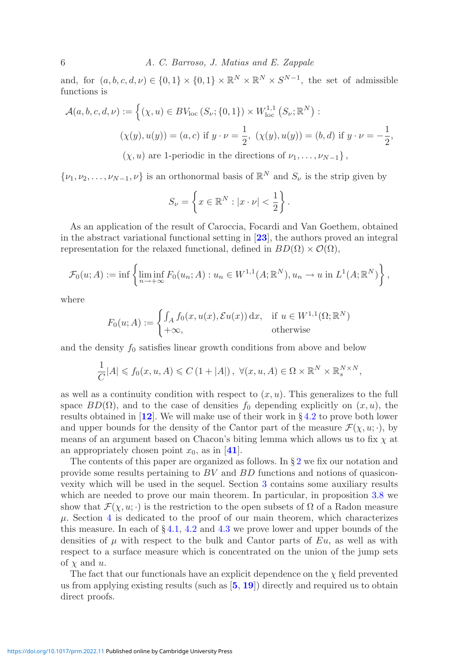and, for  $(a, b, c, d, \nu) \in \{0, 1\} \times \{0, 1\} \times \mathbb{R}^N \times \mathbb{R}^N \times S^{N-1}$ , the set of admissible functions is

$$
\mathcal{A}(a,b,c,d,\nu) := \left\{ (\chi, u) \in BV_{\text{loc}}\left(S_{\nu}; \{0,1\}\right) \times W_{\text{loc}}^{1,1}\left(S_{\nu}; \mathbb{R}^{N}\right) : \right.
$$
  

$$
(\chi(y), u(y)) = (a,c) \text{ if } y \cdot \nu = \frac{1}{2}, \ (\chi(y), u(y)) = (b,d) \text{ if } y \cdot \nu = -\frac{1}{2}, \ (\chi, u) \text{ are 1-periodic in the directions of } \nu_{1}, \dots, \nu_{N-1} \right\},
$$

 $\{\nu_1, \nu_2, \ldots, \nu_{N-1}, \nu\}$  is an orthonormal basis of  $\mathbb{R}^N$  and  $S_{\nu}$  is the strip given by

$$
S_{\nu} = \left\{ x \in \mathbb{R}^N : |x \cdot \nu| < \frac{1}{2} \right\}.
$$

As an application of the result of Caroccia, Focardi and Van Goethem, obtained in the abstract variational functional setting in [**[23](#page-41-8)**], the authors proved an integral representation for the relaxed functional, defined in  $BD(\Omega) \times \mathcal{O}(\Omega)$ ,

$$
\mathcal{F}_0(u;A) := \inf \left\{ \liminf_{n \to +\infty} F_0(u_n;A) : u_n \in W^{1,1}(A; \mathbb{R}^N), u_n \to u \text{ in } L^1(A; \mathbb{R}^N) \right\},\,
$$

where

$$
F_0(u;A) := \begin{cases} \int_A f_0(x, u(x), \mathcal{E}u(x)) dx, & \text{if } u \in W^{1,1}(\Omega; \mathbb{R}^N) \\ +\infty, & \text{otherwise} \end{cases}
$$

and the density  $f_0$  satisfies linear growth conditions from above and below

$$
\frac{1}{C}|A| \leqslant f_0(x, u, A) \leqslant C\left(1 + |A|\right), \ \forall (x, u, A) \in \Omega \times \mathbb{R}^N \times \mathbb{R}_s^{N \times N},
$$

as well as a continuity condition with respect to  $(x, u)$ . This generalizes to the full space  $BD(\Omega)$ , and to the case of densities  $f_0$  depending explicitly on  $(x, u)$ , the results obtained in [**[12](#page-41-5)**]. We will make use of their work in § [4.2](#page-27-0) to prove both lower and upper bounds for the density of the Cantor part of the measure  $\mathcal{F}(\chi, u; \cdot)$ , by means of an argument based on Chacon's biting lemma which allows us to fix  $\chi$  at an appropriately chosen point  $x_0$ , as in [[41](#page-42-15)].

The contents of this paper are organized as follows. In  $\S 2$  $\S 2$  we fix our notation and provide some results pertaining to BV and BD functions and notions of quasiconvexity which will be used in the sequel. Section [3](#page-12-0) contains some auxiliary results which are needed to prove our main theorem. In particular, in proposition [3.8](#page-18-0) we show that  $\mathcal{F}(\chi, u; \cdot)$  is the restriction to the open subsets of  $\Omega$  of a Radon measure  $\mu$ . Section [4](#page-21-0) is dedicated to the proof of our main theorem, which characterizes this measure. In each of  $\S 4.1$ , [4.2](#page-27-0) and [4.3](#page-31-0) we prove lower and upper bounds of the densities of  $\mu$  with respect to the bulk and Cantor parts of Eu, as well as with respect to a surface measure which is concentrated on the union of the jump sets of  $\chi$  and  $u$ .

The fact that our functionals have an explicit dependence on the  $\chi$  field prevented us from applying existing results (such as [**[5](#page-41-15)**, **[19](#page-41-16)**]) directly and required us to obtain direct proofs.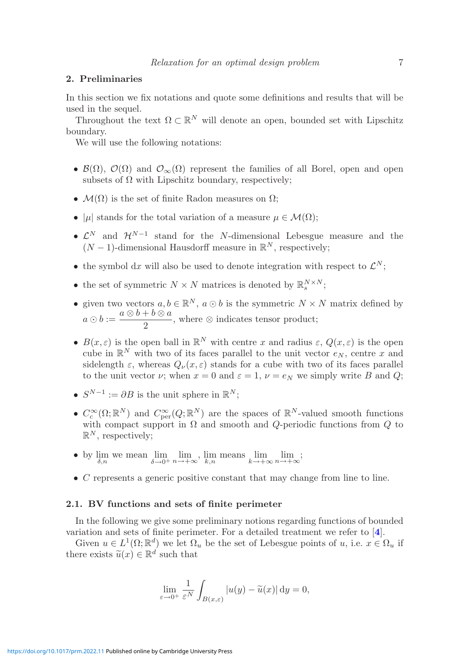#### <span id="page-6-1"></span>**2. Preliminaries**

In this section we fix notations and quote some definitions and results that will be used in the sequel.

Throughout the text  $\Omega \subset \mathbb{R}^N$  will denote an open, bounded set with Lipschitz boundary.

We will use the following notations:

- $\mathcal{B}(\Omega)$ ,  $\mathcal{O}(\Omega)$  and  $\mathcal{O}_{\infty}(\Omega)$  represent the families of all Borel, open and open subsets of  $\Omega$  with Lipschitz boundary, respectively;
- $\mathcal{M}(\Omega)$  is the set of finite Radon measures on  $\Omega$ ;
- $|\mu|$  stands for the total variation of a measure  $\mu \in \mathcal{M}(\Omega)$ ;
- $\mathcal{L}^N$  and  $\mathcal{H}^{N-1}$  stand for the N-dimensional Lebesgue measure and the  $(N-1)$ -dimensional Hausdorff measure in  $\mathbb{R}^N$ , respectively;
- the symbol dx will also be used to denote integration with respect to  $\mathcal{L}^N$ ;
- the set of symmetric  $N \times N$  matrices is denoted by  $\mathbb{R}_{s}^{N \times N}$ ;
- given two vectors  $a, b \in \mathbb{R}^N$ ,  $a \odot b$  is the symmetric  $N \times N$  matrix defined by  $a \odot b := \frac{a \otimes b + b \otimes a}{2}$ , where  $\otimes$  indicates tensor product;
- $B(x, \varepsilon)$  is the open ball in  $\mathbb{R}^N$  with centre x and radius  $\varepsilon$ ,  $Q(x, \varepsilon)$  is the open cube in  $\mathbb{R}^N$  with two of its faces parallel to the unit vector  $e_N$ , centre x and sidelength  $\varepsilon$ , whereas  $Q_{\nu}(x,\varepsilon)$  stands for a cube with two of its faces parallel to the unit vector  $\nu$ ; when  $x = 0$  and  $\varepsilon = 1$ ,  $\nu = e_N$  we simply write B and Q;
- $S^{N-1} := \partial B$  is the unit sphere in  $\mathbb{R}^N$ :
- $C_c^{\infty}(\Omega;\mathbb{R}^N)$  and  $C_{per}^{\infty}(Q;\mathbb{R}^N)$  are the spaces of  $\mathbb{R}^N$ -valued smooth functions with compact support in  $\Omega$  and smooth and Q-periodic functions from Q to  $\mathbb{R}^N$ , respectively:
- by  $\lim_{\delta,n}$  we mean  $\lim_{\delta\to 0^+} \lim_{n\to+\infty}$ ,  $\lim_{k,n}$  means  $\lim_{k\to+\infty} \lim_{n\to+\infty}$ ;
- $\bullet$  C represents a generic positive constant that may change from line to line.

#### <span id="page-6-0"></span>**2.1. BV functions and sets of finite perimeter**

In the following we give some preliminary notions regarding functions of bounded variation and sets of finite perimeter. For a detailed treatment we refer to [**[4](#page-41-17)**].

Given  $u \in L^1(\Omega;\mathbb{R}^d)$  we let  $\Omega_u$  be the set of Lebesgue points of u, i.e.  $x \in \Omega_u$  if there exists  $\tilde{u}(x) \in \mathbb{R}^d$  such that

$$
\lim_{\varepsilon \to 0^+} \frac{1}{\varepsilon^N} \int_{B(x,\varepsilon)} |u(y) - \widetilde{u}(x)| \, \mathrm{d}y = 0,
$$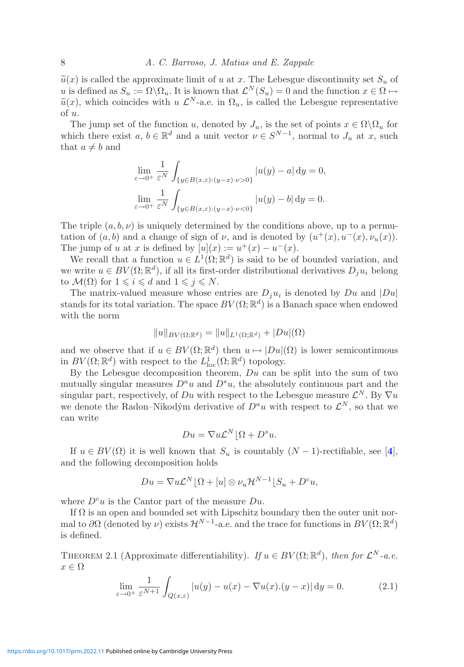$\tilde{u}(x)$  is called the approximate limit of u at x. The Lebesgue discontinuity set  $S_u$  of u is defined as  $S_u := \Omega \backslash \Omega_u$ . It is known that  $\mathcal{L}^N(S_u) = 0$  and the function  $x \in \Omega \mapsto$  $\tilde{u}(x)$ , which coincides with u  $\mathcal{L}^N$ -a.e. in  $\Omega_u$ , is called the Lebesgue representative of u.

The jump set of the function u, denoted by  $J_u$ , is the set of points  $x \in \Omega \backslash \Omega_u$  for which there exist  $a, b \in \mathbb{R}^d$  and a unit vector  $\nu \in S^{N-1}$ , normal to  $J_u$  at x, such that  $a \neq b$  and

$$
\lim_{\varepsilon \to 0^+} \frac{1}{\varepsilon^N} \int_{\{y \in B(x,\varepsilon) : (y-x) \cdot \nu > 0\}} |u(y) - a| \, dy = 0,
$$
  

$$
\lim_{\varepsilon \to 0^+} \frac{1}{\varepsilon^N} \int_{\{y \in B(x,\varepsilon) : (y-x) \cdot \nu < 0\}} |u(y) - b| \, dy = 0.
$$

The triple  $(a, b, \nu)$  is uniquely determined by the conditions above, up to a permutation of  $(a, b)$  and a change of sign of  $\nu$ , and is denoted by  $(u^+(x), u^-(x), \nu_u(x))$ . The jump of u at x is defined by  $[u](x) := u^+(x) - u^-(x)$ .

We recall that a function  $u \in L^1(\Omega;\mathbb{R}^d)$  is said to be of bounded variation, and we write  $u \in BV(\Omega;\mathbb{R}^d)$ , if all its first-order distributional derivatives  $D_i u_i$  belong to  $\mathcal{M}(\Omega)$  for  $1 \leqslant i \leqslant d$  and  $1 \leqslant j \leqslant N$ .

The matrix-valued measure whose entries are  $D_i u_i$  is denoted by Du and  $|Du|$ stands for its total variation. The space  $BV(\Omega;\mathbb{R}^d)$  is a Banach space when endowed with the norm

$$
||u||_{BV(\Omega;\mathbb{R}^d)} = ||u||_{L^1(\Omega;\mathbb{R}^d)} + |Du|(\Omega)
$$

and we observe that if  $u \in BV(\Omega;\mathbb{R}^d)$  then  $u \mapsto |Du|(\Omega)$  is lower semicontinuous in  $BV(\Omega;\mathbb{R}^d)$  with respect to the  $L^1_{loc}(\Omega;\mathbb{R}^d)$  topology.

By the Lebesgue decomposition theorem,  $Du$  can be split into the sum of two mutually singular measures  $D^a u$  and  $D^s u$ , the absolutely continuous part and the singular part, respectively, of Du with respect to the Lebesgue measure  $\mathcal{L}^N$ . By  $\nabla u$ we denote the Radon–Nikodým derivative of  $D^a u$  with respect to  $\mathcal{L}^N$ , so that we can write

<span id="page-7-0"></span>
$$
Du = \nabla u \mathcal{L}^N \lfloor \Omega + D^s u.
$$

If  $u \in BV(\Omega)$  it is well known that  $S_u$  is countably  $(N-1)$ -rectifiable, see [[4](#page-41-17)], and the following decomposition holds

$$
Du = \nabla u \mathcal{L}^N \left[ \Omega + [u] \otimes \nu_u \mathcal{H}^{N-1} \right] S_u + D^c u,
$$

where  $D^c u$  is the Cantor part of the measure Du.

If  $\Omega$  is an open and bounded set with Lipschitz boundary then the outer unit normal to  $\partial\Omega$  (denoted by  $\nu$ ) exists  $\mathcal{H}^{N-1}$ -a.e. and the trace for functions in  $BV(\Omega;\mathbb{R}^d)$ is defined.

THEOREM 2.1 (Approximate differentiability). *If*  $u \in BV(\Omega;\mathbb{R}^d)$ , *then for*  $\mathcal{L}^N$ -a.e.  $x \in \Omega$ 

$$
\lim_{\varepsilon \to 0^+} \frac{1}{\varepsilon^{N+1}} \int_{Q(x,\varepsilon)} |u(y) - u(x) - \nabla u(x).(y-x)| \, \mathrm{d}y = 0. \tag{2.1}
$$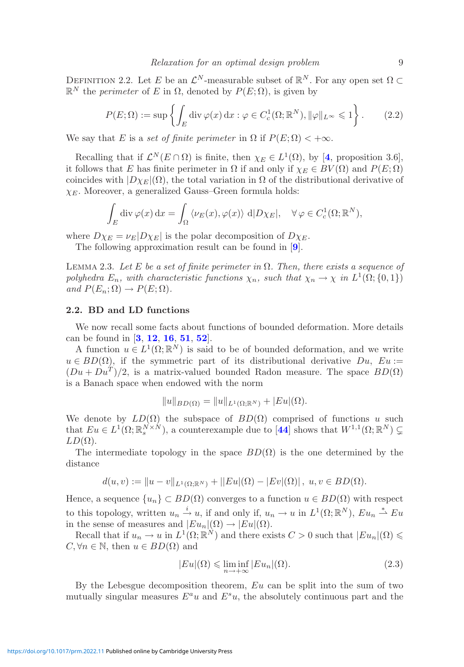DEFINITION 2.2. Let E be an  $\mathcal{L}^N$ -measurable subset of  $\mathbb{R}^N$ . For any open set  $\Omega \subset$  $\mathbb{R}^N$  the *perimeter* of E in  $\Omega$ , denoted by  $P(E; \Omega)$ , is given by

$$
P(E; \Omega) := \sup \left\{ \int_E \operatorname{div} \varphi(x) \, dx : \varphi \in C_c^1(\Omega; \mathbb{R}^N), \|\varphi\|_{L^\infty} \leq 1 \right\}.
$$
 (2.2)

We say that E is a *set of finite perimeter* in  $\Omega$  if  $P(E; \Omega) < +\infty$ .

Recalling that if  $\mathcal{L}^N(E \cap \Omega)$  is finite, then  $\chi_E \in L^1(\Omega)$ , by [[4](#page-41-17), proposition 3.6], it follows that E has finite perimeter in  $\Omega$  if and only if  $\chi_E \in BV(\Omega)$  and  $P(E; \Omega)$ coincides with  $|D\chi_E|(\Omega)$ , the total variation in  $\Omega$  of the distributional derivative of  $\chi_E$ . Moreover, a generalized Gauss–Green formula holds:

$$
\int_{E} \operatorname{div} \varphi(x) \, dx = \int_{\Omega} \langle \nu_E(x), \varphi(x) \rangle \, d|D\chi_E|, \quad \forall \varphi \in C_c^1(\Omega; \mathbb{R}^N),
$$

where  $D\chi_E = \nu_E|D\chi_E|$  is the polar decomposition of  $D\chi_E$ .

The following approximation result can be found in [**[9](#page-41-18)**].

Lemma 2.3. *Let* E *be a set of finite perimeter in* Ω*. Then, there exists a sequence of polyhedra*  $E_n$ *, with characteristic functions*  $\chi_n$ *, such that*  $\chi_n \to \chi$  *in*  $L^1(\Omega; \{0, 1\})$ *and*  $P(E_n; \Omega) \rightarrow P(E; \Omega)$ *.* 

## <span id="page-8-0"></span>**2.2. BD and LD functions**

We now recall some facts about functions of bounded deformation. More details can be found in [**[3](#page-41-19)**, **[12](#page-41-5)**, **[16](#page-41-3)**, **[51](#page-42-16)**, **[52](#page-42-17)**].

A function  $u \in L^1(\Omega;\mathbb{R}^N)$  is said to be of bounded deformation, and we write  $u \in BD(\Omega)$ , if the symmetric part of its distributional derivative  $Du$ ,  $Eu$ :=  $(Du + Du<sup>T</sup>)/2$ , is a matrix-valued bounded Radon measure. The space  $BD(\Omega)$ is a Banach space when endowed with the norm

$$
||u||_{BD(\Omega)} = ||u||_{L^{1}(\Omega; \mathbb{R}^{N})} + |Eu|(\Omega).
$$

We denote by  $LD(\Omega)$  the subspace of  $BD(\Omega)$  comprised of functions u such that  $Eu \in L^1(\Omega;\mathbb{R}^{N \times N}_s)$ , a counterexample due to [[44](#page-42-18)] shows that  $W^{1,1}(\Omega;\mathbb{R}^N) \subsetneq$  $LD(\Omega)$ .

The intermediate topology in the space  $BD(\Omega)$  is the one determined by the distance

$$
d(u, v) := \|u - v\|_{L^1(\Omega; \mathbb{R}^N)} + \|Eu|(\Omega) - |Ev|(\Omega), \ u, v \in BD(\Omega).
$$

Hence, a sequence  $\{u_n\} \subset BD(\Omega)$  converges to a function  $u \in BD(\Omega)$  with respect to this topology, written  $u_n \stackrel{i}{\rightarrow} u$ , if and only if,  $u_n \rightarrow u$  in  $L^1(\Omega;\mathbb{R}^N)$ ,  $Eu_n \stackrel{*}{\rightarrow} Eu_n$ in the sense of measures and  $|Eu_n|(\Omega) \to |Eu|(\Omega)$ .

Recall that if  $u_n \to u$  in  $L^1(\Omega;\mathbb{R}^N)$  and there exists  $C > 0$  such that  $|Eu_n|(\Omega) \leq$  $C, \forall n \in \mathbb{N}$ , then  $u \in BD(\Omega)$  and

<span id="page-8-1"></span>
$$
|Eu|(\Omega) \le \liminf_{n \to +\infty} |Eu_n|(\Omega). \tag{2.3}
$$

By the Lebesgue decomposition theorem,  $Eu$  can be split into the sum of two mutually singular measures  $E^a u$  and  $E^s u$ , the absolutely continuous part and the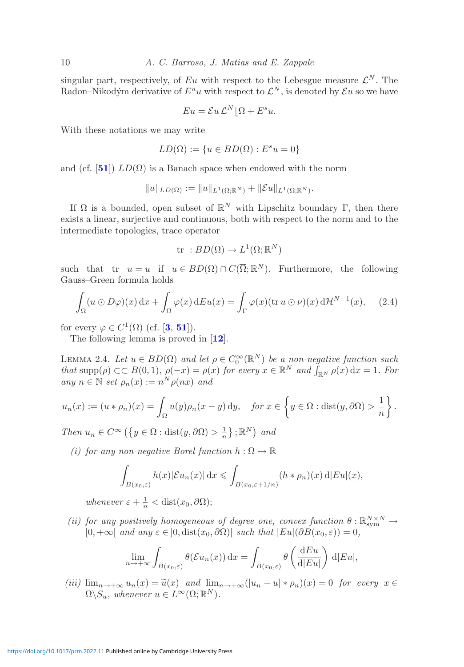singular part, respectively, of Eu with respect to the Lebesgue measure  $\mathcal{L}^N$ . The Radon–Nikodým derivative of  $E^a u$  with respect to  $\mathcal{L}^N$ , is denoted by  $\mathcal{E} u$  so we have

$$
Eu = \mathcal{E}u \mathcal{L}^N \lfloor \Omega + E^s u.
$$

With these notations we may write

$$
LD(\Omega) := \{ u \in BD(\Omega) : E^s u = 0 \}
$$

and (cf. [**[51](#page-42-16)**])  $LD(\Omega)$  is a Banach space when endowed with the norm

$$
||u||_{LD(\Omega)} := ||u||_{L^1(\Omega;\mathbb{R}^N)} + ||\mathcal{E}u||_{L^1(\Omega;\mathbb{R}^N)}.
$$

If  $\Omega$  is a bounded, open subset of  $\mathbb{R}^N$  with Lipschitz boundary Γ, then there exists a linear, surjective and continuous, both with respect to the norm and to the intermediate topologies, trace operator

$$
tr : BD(\Omega) \to L^1(\Omega; \mathbb{R}^N)
$$

such that tr  $u = u$  if  $u \in BD(\Omega) \cap C(\overline{\Omega}; \mathbb{R}^N)$ . Furthermore, the following Gauss–Green formula holds

$$
\int_{\Omega} (u \odot D\varphi)(x) dx + \int_{\Omega} \varphi(x) dE u(x) = \int_{\Gamma} \varphi(x) (\text{tr } u \odot \nu)(x) d\mathcal{H}^{N-1}(x), \quad (2.4)
$$

for every  $\varphi \in C^1(\overline{\Omega})$  (cf. [**[3](#page-41-19)**, **[51](#page-42-16)**]).

<span id="page-9-0"></span>The following lemma is proved in [**[12](#page-41-5)**].

LEMMA 2.4. Let  $u \in BD(\Omega)$  and let  $\rho \in C_0^{\infty}(\mathbb{R}^N)$  be a non-negative function such *that*  $\text{supp}(\rho) \subset B(0,1)$ *,*  $\rho(-x) = \rho(x)$  *for every*  $x \in \mathbb{R}^N$  *and*  $\int_{\mathbb{R}^N} \rho(x) dx = 1$ *. For*  $any \; n \in \mathbb{N} \; set \; \rho_n(x) := n^N \rho(nx) \; and$ 

$$
u_n(x) := (u * \rho_n)(x) = \int_{\Omega} u(y)\rho_n(x - y) dy, \quad \text{for } x \in \left\{y \in \Omega : \text{dist}(y, \partial \Omega) > \frac{1}{n}\right\}.
$$

*Then*  $u_n \in C^\infty \left( \{ y \in \Omega : \text{dist}(y, \partial \Omega) > \frac{1}{n} \} ; \mathbb{R}^N \right)$  and

*(i) for any non-negative Borel function*  $h : \Omega \to \mathbb{R}$ 

$$
\int_{B(x_0,\varepsilon)} h(x)|\mathcal{E} u_n(x)| \,\mathrm{d} x \leqslant \int_{B(x_0,\varepsilon+1/n)} (h*\rho_n)(x) \,\mathrm{d}|E u|(x),
$$

whenever  $\varepsilon + \frac{1}{n} < \text{dist}(x_0, \partial \Omega);$ 

(*ii*) for any positively homogeneous of degree one, convex function  $\theta : \mathbb{R}_{\text{sym}}^{N \times N} \to$  $[0, +\infty[$  *and any*  $\varepsilon \in ]0, \text{dist}(x_0, \partial \Omega)]$  *such that*  $|Eu|(\partial B(x_0, \varepsilon)) = 0$ ,

$$
\lim_{n \to +\infty} \int_{B(x_0,\varepsilon)} \theta(\mathcal{E} u_n(x)) \,dx = \int_{B(x_0,\varepsilon)} \theta\left(\frac{\mathrm{d} Eu}{\mathrm{d}|Eu|}\right) \,d|Eu|,
$$

(*iii*)  $\lim_{n \to +\infty} u_n(x) = \tilde{u}(x)$  and  $\lim_{n \to +\infty} (|u_n - u| * \rho_n)(x) = 0$  *for every*  $x \in \Omega \setminus \Omega$  $\Omega \backslash S_u$ , whenever  $u \in L^{\infty}(\Omega; \mathbb{R}^N)$ .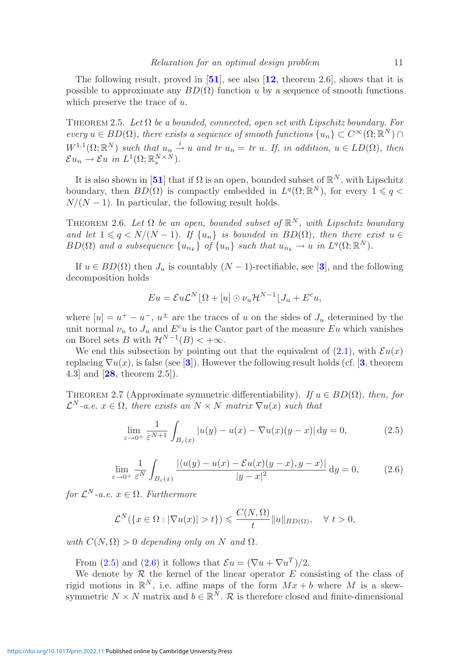The following result, proved in [**[51](#page-42-16)**], see also [**[12](#page-41-5)**, theorem 2.6], shows that it is possible to approximate any  $BD(\Omega)$  function u by a sequence of smooth functions which preserve the trace of  $u$ .

<span id="page-10-2"></span>Theorem 2.5. *Let* Ω *be a bounded, connected, open set with Lipschitz boundary. For every*  $u \in BD(\Omega)$ *, there exists a sequence of smooth functions*  $\{u_n\} \subset C^{\infty}(\Omega; \mathbb{R}^N)$  $W^{1,1}(\Omega;\mathbb{R}^N)$  *such that*  $u_n \stackrel{i}{\rightarrow} u$  *and tr*  $u_n = tr \, u$ *. If, in addition,*  $u \in LD(\Omega)$ *, then*  $\mathcal{E} u_n \to \mathcal{E} u \text{ in } L^1(\Omega;\mathbb{R}_s^{N\times N}).$ 

It is also shown in [[51](#page-42-16)] that if  $\Omega$  is an open, bounded subset of  $\mathbb{R}^N$ , with Lipschitz boundary, then  $BD(\Omega)$  is compactly embedded in  $L^q(\Omega;\mathbb{R}^N)$ , for every  $1 \leq q <$  $N/(N-1)$ . In particular, the following result holds.

<span id="page-10-3"></span>THEOREM 2.6. Let  $\Omega$  be an open, bounded subset of  $\mathbb{R}^N$ , with Lipschitz boundary *and let*  $1 \leq q \leq N/(N-1)$ *. If*  $\{u_n\}$  *is bounded in*  $BD(\Omega)$ *, then there exist*  $u \in$  $BD(\Omega)$  and a subsequence  $\{u_{n_k}\}\$  of  $\{u_n\}$  such that  $u_{n_k} \to u$  in  $L^q(\Omega;\mathbb{R}^N)$ .

If  $u \in BD(\Omega)$  then  $J_u$  is countably  $(N-1)$ -rectifiable, see [[3](#page-41-19)], and the following decomposition holds

$$
Eu = \mathcal{E}u\mathcal{L}^N\left[\Omega + [u] \odot \nu_u \mathcal{H}^{N-1}\right]J_u + E^c u,
$$

where  $[u] = u^+ - u^-$ ,  $u^{\pm}$  are the traces of u on the sides of  $J_u$  determined by the unit normal  $\nu_u$  to  $J_u$  and  $E^c u$  is the Cantor part of the measure Eu which vanishes on Borel sets B with  $\mathcal{H}^{N-1}(B) < +\infty$ .

We end this subsection by pointing out that the equivalent of  $(2.1)$ , with  $\mathcal{E}u(x)$ replacing  $\nabla u(x)$ , is false (see [[3](#page-41-19)]). However the following result holds (cf. [3, theorem 4.3] and [**[28](#page-42-7)**, theorem 2.5]).

THEOREM 2.7 (Approximate symmetric differentiability). *If*  $u \in BD(\Omega)$ , *then, for*  $\mathcal{L}^N$ -a.e.  $x \in \Omega$ , there exists an  $N \times N$  matrix  $\nabla u(x)$  such that

<span id="page-10-1"></span><span id="page-10-0"></span>
$$
\lim_{\varepsilon \to 0^+} \frac{1}{\varepsilon^{N+1}} \int_{B_{\varepsilon}(x)} |u(y) - u(x) - \nabla u(x)(y - x)| \, \mathrm{d}y = 0,\tag{2.5}
$$

$$
\lim_{\varepsilon \to 0^+} \frac{1}{\varepsilon^N} \int_{B_\varepsilon(x)} \frac{|\langle u(y) - u(x) - \mathcal{E}u(x)(y - x), y - x \rangle|}{|y - x|^2} \, \mathrm{d}y = 0,\tag{2.6}
$$

*for*  $\mathcal{L}^N$ *-a.e.*  $x \in \Omega$ *. Furthermore* 

$$
\mathcal{L}^N(\lbrace x \in \Omega : |\nabla u(x)| > t \rbrace) \leqslant \frac{C(N, \Omega)}{t} ||u||_{BD(\Omega)}, \quad \forall \ t > 0,
$$

*with*  $C(N, \Omega) > 0$  *depending only on* N *and*  $\Omega$ *.* 

From [\(2.5\)](#page-10-0) and [\(2.6\)](#page-10-1) it follows that  $\mathcal{E}u = (\nabla u + \nabla u^T)/2$ .

We denote by  $R$  the kernel of the linear operator  $E$  consisting of the class of rigid motions in  $\mathbb{R}^N$ , i.e. affine maps of the form  $Mx + b$  where M is a skewsymmetric  $N \times N$  matrix and  $b \in \mathbb{R}^N$ . R is therefore closed and finite-dimensional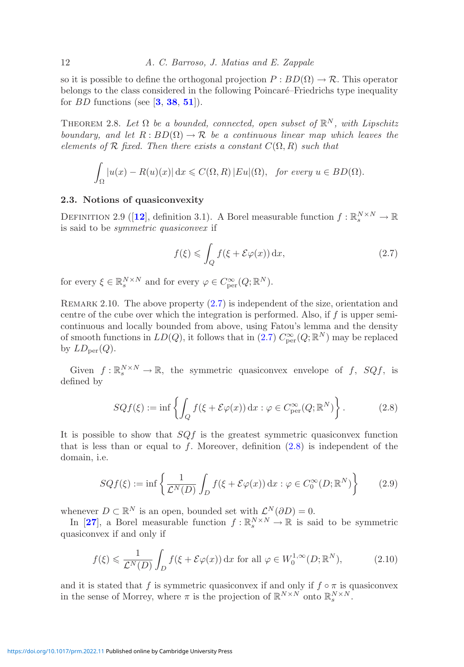so it is possible to define the orthogonal projection  $P : BD(\Omega) \to \mathcal{R}$ . This operator belongs to the class considered in the following Poincaré–Friedrichs type inequality for BD functions (see [**[3](#page-41-19)**, **[38](#page-42-19)**, **[51](#page-42-16)**]).

<span id="page-11-4"></span>THEOREM 2.8. Let  $\Omega$  be a bounded, connected, open subset of  $\mathbb{R}^N$ , with Lipschitz *boundary, and let*  $R: BD(\Omega) \to \mathcal{R}$  *be a continuous linear map which leaves the*  $elements of R$  *fixed. Then there exists a constant*  $C(\Omega, R)$  *such that* 

$$
\int_{\Omega} |u(x) - R(u)(x)| dx \leqslant C(\Omega, R) |Eu|(\Omega), \text{ for every } u \in BD(\Omega).
$$

## <span id="page-11-0"></span>**2.3. Notions of quasiconvexity**

DEFINITION 2.9 ([[12](#page-41-5)], definition 3.1). A Borel measurable function  $f : \mathbb{R}^{N \times N}_{s} \to \mathbb{R}$ is said to be *symmetric quasiconvex* if

<span id="page-11-2"></span><span id="page-11-1"></span>
$$
f(\xi) \leqslant \int_{Q} f(\xi + \mathcal{E}\varphi(x)) \, \mathrm{d}x,\tag{2.7}
$$

for every  $\xi \in \mathbb{R}_s^{N \times N}$  and for every  $\varphi \in C_{\text{per}}^{\infty}(Q; \mathbb{R}^N)$ .

<span id="page-11-5"></span>REMARK 2.10. The above property  $(2.7)$  is independent of the size, orientation and centre of the cube over which the integration is performed. Also, if  $f$  is upper semicontinuous and locally bounded from above, using Fatou's lemma and the density of smooth functions in  $LD(Q)$ , it follows that in  $(2.7)$   $C_{per}^{\infty}(Q;\mathbb{R}^{N})$  may be replaced by  $LD_{\text{per}}(Q)$ .

Given  $f : \mathbb{R}_s^{N \times N} \to \mathbb{R}$ , the symmetric quasiconvex envelope of f,  $SQf$ , is defined by

<span id="page-11-3"></span>
$$
SQf(\xi) := \inf \left\{ \int_Q f(\xi + \mathcal{E}\varphi(x)) \, \mathrm{d}x : \varphi \in C_{\text{per}}^{\infty}(Q; \mathbb{R}^N) \right\}.
$$
 (2.8)

It is possible to show that  $SQf$  is the greatest symmetric quasiconvex function that is less than or equal to f. Moreover, definition  $(2.8)$  is independent of the domain, i.e.

$$
SQf(\xi) := \inf \left\{ \frac{1}{\mathcal{L}^N(D)} \int_D f(\xi + \mathcal{E}\varphi(x)) \, dx : \varphi \in C_0^{\infty}(D; \mathbb{R}^N) \right\} \tag{2.9}
$$

whenever  $D \subset \mathbb{R}^N$  is an open, bounded set with  $\mathcal{L}^N(\partial D) = 0$ .

In [[27](#page-42-6)], a Borel measurable function  $f : \mathbb{R}^{N \times N}_{s} \to \mathbb{R}$  is said to be symmetric quasiconvex if and only if

$$
f(\xi) \leq \frac{1}{\mathcal{L}^N(D)} \int_D f(\xi + \mathcal{E}\varphi(x)) \, \mathrm{d}x \text{ for all } \varphi \in W_0^{1,\infty}(D; \mathbb{R}^N),\tag{2.10}
$$

and it is stated that f is symmetric quasiconvex if and only if  $f \circ \pi$  is quasiconvex in the sense of Morrey, where  $\pi$  is the projection of  $\mathbb{R}^{N\times N}$  onto  $\mathbb{R}^{N\times N}_{s}$ .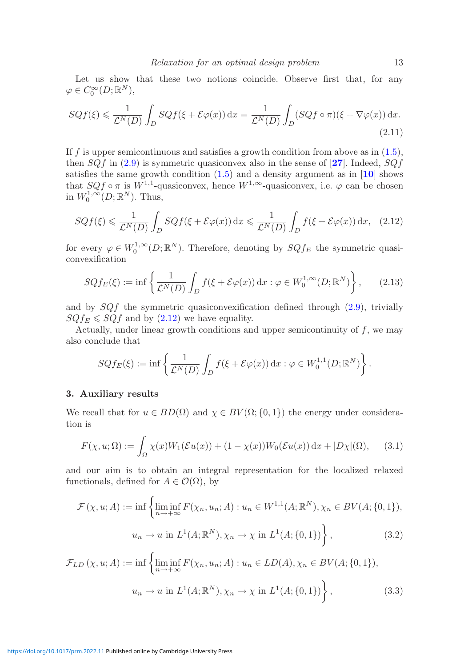Let us show that these two notions coincide. Observe first that, for any  $\varphi \in C_0^{\infty}(D; \mathbb{R}^N),$ 

$$
SQf(\xi) \leq \frac{1}{\mathcal{L}^N(D)} \int_D SQf(\xi + \mathcal{E}\varphi(x)) dx = \frac{1}{\mathcal{L}^N(D)} \int_D (SQf \circ \pi)(\xi + \nabla\varphi(x)) dx.
$$
\n(2.11)

If f is upper semicontinuous and satisfies a growth condition from above as in  $(1.5)$ , then  $SQf$  in [\(2.9\)](#page-11-3) is symmetric quasiconvex also in the sense of  $[27]$  $[27]$  $[27]$ . Indeed,  $SQf$ satisfies the same growth condition [\(1.5\)](#page-2-2) and a density argument as in [**[10](#page-41-20)**] shows that  $SQf \circ \pi$  is  $W^{1,1}$ -quasiconvex, hence  $W^{1,\infty}$ -quasiconvex, i.e.  $\varphi$  can be chosen in  $W_0^{1,\infty}(D;\mathbb{R}^N)$ . Thus,

$$
SQf(\xi) \leq \frac{1}{\mathcal{L}^N(D)} \int_D SQf(\xi + \mathcal{E}\varphi(x)) \,dx \leq \frac{1}{\mathcal{L}^N(D)} \int_D f(\xi + \mathcal{E}\varphi(x)) \,dx,\tag{2.12}
$$

for every  $\varphi \in W_0^{1,\infty}(D;\mathbb{R}^N)$ . Therefore, denoting by  $SQf_E$  the symmetric quasiconvexification

<span id="page-12-1"></span>
$$
SQf_E(\xi) := \inf \left\{ \frac{1}{\mathcal{L}^N(D)} \int_D f(\xi + \mathcal{E}\varphi(x)) \, dx : \varphi \in W_0^{1,\infty}(D; \mathbb{R}^N) \right\},\qquad(2.13)
$$

and by  $SQf$  the symmetric quasiconvexification defined through  $(2.9)$ , trivially  $SQf_E \leq SQf$  and by [\(2.12\)](#page-12-1) we have equality.

Actually, under linear growth conditions and upper semicontinuity of f, we may also conclude that

<span id="page-12-3"></span>
$$
SQf_E(\xi) := \inf \left\{ \frac{1}{\mathcal{L}^N(D)} \int_D f(\xi + \mathcal{E}\varphi(x)) \, dx : \varphi \in W_0^{1,1}(D; \mathbb{R}^N) \right\}.
$$

#### <span id="page-12-0"></span>**3. Auxiliary results**

We recall that for  $u \in BD(\Omega)$  and  $\chi \in BV(\Omega; \{0,1\})$  the energy under consideration is

$$
F(\chi, u; \Omega) := \int_{\Omega} \chi(x) W_1(\mathcal{E}u(x)) + (1 - \chi(x)) W_0(\mathcal{E}u(x)) dx + |D\chi|(\Omega), \quad (3.1)
$$

and our aim is to obtain an integral representation for the localized relaxed functionals, defined for  $A \in \mathcal{O}(\Omega)$ , by

<span id="page-12-2"></span>
$$
\mathcal{F}(\chi, u; A) := \inf \left\{ \liminf_{n \to +\infty} F(\chi_n, u_n; A) : u_n \in W^{1,1}(A; \mathbb{R}^N), \chi_n \in BV(A; \{0, 1\}),
$$
  

$$
u_n \to u \text{ in } L^1(A; \mathbb{R}^N), \chi_n \to \chi \text{ in } L^1(A; \{0, 1\}) \right\},
$$
 (3.2)

$$
\mathcal{F}_{LD}(\chi, u; A) := \inf \left\{ \liminf_{n \to +\infty} F(\chi_n, u_n; A) : u_n \in LD(A), \chi_n \in BV(A; \{0, 1\}),
$$
  

$$
u_n \to u \text{ in } L^1(A; \mathbb{R}^N), \chi_n \to \chi \text{ in } L^1(A; \{0, 1\}) \right\},
$$
(3.3)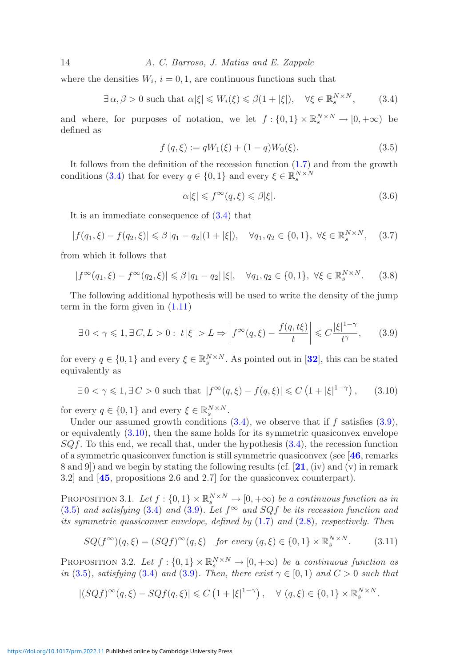14 *A. C. Barroso, J. Matias and E. Zappale*

where the densities  $W_i$ ,  $i = 0, 1$ , are continuous functions such that

$$
\exists \alpha, \beta > 0 \text{ such that } \alpha|\xi| \leqslant W_i(\xi) \leqslant \beta(1 + |\xi|), \quad \forall \xi \in \mathbb{R}_s^{N \times N}, \tag{3.4}
$$

and where, for purposes of notation, we let  $f: \{0,1\} \times \mathbb{R}^{N \times N}_s \to [0,+\infty)$  be defined as

$$
f(q,\xi) := qW_1(\xi) + (1-q)W_0(\xi). \tag{3.5}
$$

It follows from the definition of the recession function [\(1.7\)](#page-3-3) and from the growth conditions [\(3.4\)](#page-13-1) that for every  $q \in \{0,1\}$  and every  $\xi \in \mathbb{R}^{N \times N}_{s}$ 

<span id="page-13-6"></span><span id="page-13-5"></span><span id="page-13-3"></span><span id="page-13-2"></span><span id="page-13-1"></span><span id="page-13-0"></span>
$$
\alpha|\xi| \leqslant f^{\infty}(q,\xi) \leqslant \beta|\xi|.\tag{3.6}
$$

It is an immediate consequence of [\(3.4\)](#page-13-1) that

$$
|f(q_1,\xi) - f(q_2,\xi)| \le \beta |q_1 - q_2|(1 + |\xi|), \quad \forall q_1, q_2 \in \{0, 1\}, \ \forall \xi \in \mathbb{R}_s^{N \times N}, \quad (3.7)
$$

from which it follows that

$$
|f^{\infty}(q_1,\xi) - f^{\infty}(q_2,\xi)| \leq \beta |q_1 - q_2| \, |\xi|, \quad \forall q_1, q_2 \in \{0,1\}, \ \forall \xi \in \mathbb{R}_s^{N \times N}.
$$
 (3.8)

The following additional hypothesis will be used to write the density of the jump term in the form given in [\(1.11\)](#page-4-0)

$$
\exists 0 < \gamma \leqslant 1, \exists C, L > 0 : t \left| \xi \right| > L \Rightarrow \left| f^{\infty}(q, \xi) - \frac{f(q, t\xi)}{t} \right| \leqslant C \frac{\left| \xi \right|^{1 - \gamma}}{t^{\gamma}},\tag{3.9}
$$

for every  $q \in \{0,1\}$  and every  $\xi \in \mathbb{R}^{N \times N}_{s}$ . As pointed out in [[32](#page-42-20)], this can be stated equivalently as

$$
\exists 0 < \gamma \leqslant 1, \exists C > 0 \text{ such that } |f^{\infty}(q, \xi) - f(q, \xi)| \leqslant C \left(1 + |\xi|^{1 - \gamma}\right), \qquad (3.10)
$$

for every  $q \in \{0,1\}$  and every  $\xi \in \mathbb{R}_s^{N \times N}$ .

Under our assumed growth conditions  $(3.4)$ , we observe that if f satisfies  $(3.9)$ , or equivalently [\(3.10\)](#page-13-2), then the same holds for its symmetric quasiconvex envelope  $SQf$ . To this end, we recall that, under the hypothesis  $(3.4)$ , the recession function of a symmetric quasiconvex function is still symmetric quasiconvex (see [**[46](#page-42-21)**, remarks 8 and 9]) and we begin by stating the following results (cf. [**[21](#page-41-11)**, (iv) and (v) in remark 3.2] and [**[45](#page-42-22)**, propositions 2.6 and 2.7] for the quasiconvex counterpart).

PROPOSITION 3.1. Let  $f : \{0,1\} \times \mathbb{R}^{N \times N}_{s} \to [0,+\infty)$  *be a continuous function as in* [\(3.5\)](#page-13-3) and satisfying [\(3.4\)](#page-13-1) and [\(3.9\)](#page-13-0). Let  $f^{\infty}$  and SQf be its recession function and *its symmetric quasiconvex envelope, defined by* [\(1.7\)](#page-3-3) *and* [\(2.8\)](#page-11-2)*, respectively. Then*

$$
SQ(f^{\infty})(q,\xi) = (SQf)^{\infty}(q,\xi) \quad \text{for every } (q,\xi) \in \{0,1\} \times \mathbb{R}_s^{N \times N}.
$$
 (3.11)

<span id="page-13-4"></span>PROPOSITION 3.2. Let  $f : \{0,1\} \times \mathbb{R}^{N \times N}_{\varsigma} \to [0,+\infty)$  *be a continuous function as in* [\(3.5\)](#page-13-3)*, satisfying* [\(3.4\)](#page-13-1) *and* [\(3.9\)](#page-13-0)*. Then, there exist*  $\gamma \in [0,1)$  *and*  $C > 0$  *such that* 

$$
|(SQf)^\infty(q,\xi) - SQf(q,\xi)| \leq C\left(1+|\xi|^{1-\gamma}\right), \quad \forall (q,\xi) \in \{0,1\} \times \mathbb{R}_s^{N \times N}.
$$

<https://doi.org/10.1017/prm.2022.11> Published online by Cambridge University Press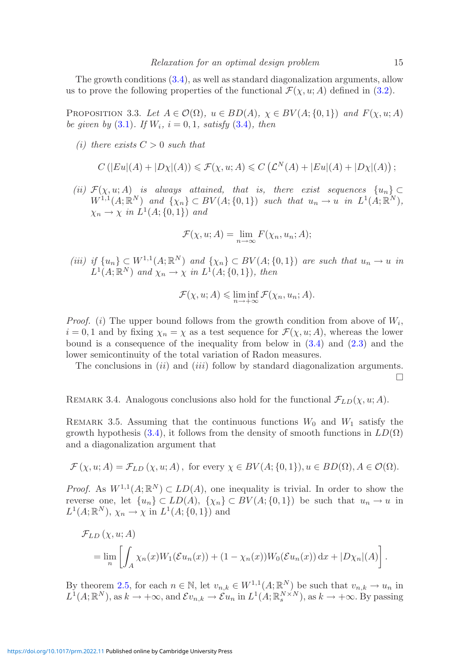<span id="page-14-1"></span>The growth conditions [\(3.4\)](#page-13-1), as well as standard diagonalization arguments, allow us to prove the following properties of the functional  $\mathcal{F}(\chi, u; A)$  defined in [\(3.2\)](#page-12-2).

PROPOSITION 3.3. Let  $A \in \mathcal{O}(\Omega)$ ,  $u \in BD(A)$ ,  $\chi \in BV(A; \{0,1\})$  and  $F(\chi, u; A)$ *be given by* [\(3.1\)](#page-12-3)*.* If  $W_i$ ,  $i = 0, 1$ *, satisfy* [\(3.4\)](#page-13-1)*, then* 

*(i)* there exists  $C > 0$  *such that* 

$$
C\left(|Eu|(A)+|D\chi|(A)\right)\leqslant \mathcal{F}(\chi,u;A)\leqslant C\left(\mathcal{L}^N(A)+|Eu|(A)+|D\chi|(A)\right);
$$

*(ii)*  $\mathcal{F}(\chi, u; A)$  *is always attained, that is, there exist sequences*  $\{u_n\} \subset$  $W^{1,1}(A; \mathbb{R}^N)$  *and*  $\{\chi_n\} \subset BV(A; \{0,1\})$  *such that*  $u_n \to u$  *in*  $L^1(A; \mathbb{R}^N)$ *,*  $\chi_n \to \chi$  *in*  $L^1(A; \{0, 1\})$  *and* 

$$
\mathcal{F}(\chi, u; A) = \lim_{n \to \infty} F(\chi_n, u_n; A);
$$

*(iii) if*  $\{u_n\} \subset W^{1,1}(A; \mathbb{R}^N)$  *and*  $\{\chi_n\} \subset BV(A; \{0,1\})$  *are such that*  $u_n \to u$  *in*  $L^1(A;\mathbb{R}^N)$  and  $\chi_n \to \chi$  in  $L^1(A;\{0,1\})$ *, then* 

$$
\mathcal{F}(\chi, u; A) \leq \liminf_{n \to +\infty} \mathcal{F}(\chi_n, u_n; A).
$$

*Proof.* (i) The upper bound follows from the growth condition from above of  $W_i$ ,  $i = 0, 1$  and by fixing  $\chi_n = \chi$  as a test sequence for  $\mathcal{F}(\chi, u; A)$ , whereas the lower bound is a consequence of the inequality from below in  $(3.4)$  and  $(2.3)$  and the lower semicontinuity of the total variation of Radon measures.

The conclusions in  $(ii)$  and  $(iii)$  follow by standard diagonalization arguments.  $\Box$ 

REMARK 3.4. Analogous conclusions also hold for the functional  $\mathcal{F}_{LD}(\chi, u; A)$ .

<span id="page-14-0"></span>REMARK 3.5. Assuming that the continuous functions  $W_0$  and  $W_1$  satisfy the growth hypothesis [\(3.4\)](#page-13-1), it follows from the density of smooth functions in  $LD(\Omega)$ and a diagonalization argument that

$$
\mathcal{F}(\chi, u; A) = \mathcal{F}_{LD}(\chi, u; A), \text{ for every } \chi \in BV(A; \{0, 1\}), u \in BD(\Omega), A \in \mathcal{O}(\Omega).
$$

*Proof.* As  $W^{1,1}(A;\mathbb{R}^N) \subset LD(A)$ , one inequality is trivial. In order to show the reverse one, let  $\{u_n\} \subset LD(A), \{x_n\} \subset BV(A, \{0, 1\})$  be such that  $u_n \to u$  in  $L^1(A;\mathbb{R}^N), \chi_n \to \chi$  in  $L^1(A;\{0,1\})$  and

$$
\mathcal{F}_{LD}(\chi, u; A)
$$
  
= 
$$
\lim_{n} \left[ \int_{A} \chi_n(x) W_1(\mathcal{E}u_n(x)) + (1 - \chi_n(x)) W_0(\mathcal{E}u_n(x)) dx + |D\chi_n|(A) \right].
$$

By theorem [2.5,](#page-10-2) for each  $n \in \mathbb{N}$ , let  $v_{n,k} \in W^{1,1}(A;\mathbb{R}^N)$  be such that  $v_{n,k} \to u_n$  in  $L^1(A;\mathbb{R}^N)$ , as  $k \to +\infty$ , and  $\mathcal{E}v_{n,k} \to \mathcal{E}u_n$  in  $L^1(A;\mathbb{R}^{N\times N}_s)$ , as  $k \to +\infty$ . By passing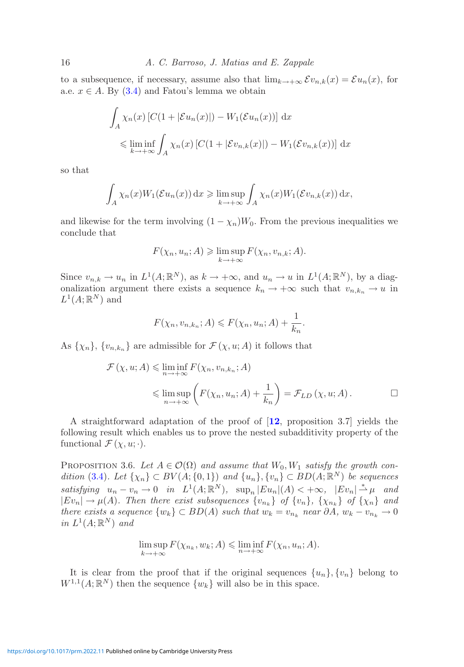to a subsequence, if necessary, assume also that  $\lim_{k\to+\infty} \mathcal{E}v_{n,k}(x) = \mathcal{E}u_n(x)$ , for a.e.  $x \in A$ . By [\(3.4\)](#page-13-1) and Fatou's lemma we obtain

$$
\int_A \chi_n(x) \left[ C(1 + |\mathcal{E}u_n(x)|) - W_1(\mathcal{E}u_n(x)) \right] dx
$$
  

$$
\leq \liminf_{k \to +\infty} \int_A \chi_n(x) \left[ C(1 + |\mathcal{E}v_{n,k}(x)|) - W_1(\mathcal{E}v_{n,k}(x)) \right] dx
$$

so that

$$
\int_A \chi_n(x) W_1(\mathcal{E} u_n(x)) dx \ge \limsup_{k \to +\infty} \int_A \chi_n(x) W_1(\mathcal{E} v_{n,k}(x)) dx,
$$

and likewise for the term involving  $(1 - \chi_n)W_0$ . From the previous inequalities we conclude that

$$
F(\chi_n, u_n; A) \geq \limsup_{k \to +\infty} F(\chi_n, v_{n,k}; A).
$$

Since  $v_{n,k} \to u_n$  in  $L^1(A;\mathbb{R}^N)$ , as  $k \to +\infty$ , and  $u_n \to u$  in  $L^1(A;\mathbb{R}^N)$ , by a diagonalization argument there exists a sequence  $k_n \to +\infty$  such that  $v_{n,k_n} \to u$  in  $L^1(A;\mathbb{R}^N)$  and

$$
F(\chi_n, v_{n,k_n}; A) \leqslant F(\chi_n, u_n; A) + \frac{1}{k_n}.
$$

As  $\{\chi_n\}$ ,  $\{v_{n,k_n}\}$  are admissible for  $\mathcal{F}(\chi, u; A)$  it follows that

$$
\mathcal{F}(\chi, u; A) \leq \liminf_{n \to +\infty} F(\chi_n, v_{n,k_n}; A)
$$
  

$$
\leq \limsup_{n \to +\infty} \left( F(\chi_n, u_n; A) + \frac{1}{k_n} \right) = \mathcal{F}_{LD}(\chi, u; A).
$$

A straightforward adaptation of the proof of [**[12](#page-41-5)**, proposition 3.7] yields the following result which enables us to prove the nested subadditivity property of the functional  $\mathcal{F}(\chi, u; \cdot)$ .

<span id="page-15-0"></span>PROPOSITION 3.6. Let  $A \in \mathcal{O}(\Omega)$  and assume that  $W_0, W_1$  satisfy the growth con*dition* [\(3.4\)](#page-13-1)*.* Let  $\{\chi_n\} \subset BV(A; \{0,1\})$  and  $\{u_n\}, \{v_n\} \subset BD(A; \mathbb{R}^N)$  be sequences *satisfying*  $u_n - v_n \to 0$  *in*  $L^1(A; \mathbb{R}^N)$ ,  $\sup_n |Eu_n|(A) < +\infty$ ,  $|Ev_n| \stackrel{*}{\rightharpoonup} \mu$  and  $|Ev_n| \to \mu(A)$ *. Then there exist subsequences*  $\{v_{n_k}\}\$  *of*  $\{v_n\}$ *,*  $\{\chi_{n_k}\}\$  *of*  $\{\chi_n\}\$  *and there exists a sequence*  $\{w_k\} \subset BD(A)$  *such that*  $w_k = v_{n_k}$  *near* ∂A,  $w_k - v_{n_k} \to 0$  $in L^1(A;\mathbb{R}^N)$  *and* 

$$
\limsup_{k \to +\infty} F(\chi_{n_k}, w_k; A) \leq \liminf_{n \to +\infty} F(\chi_n, u_n; A).
$$

<span id="page-15-1"></span>It is clear from the proof that if the original sequences  $\{u_n\}, \{v_n\}$  belong to  $W^{1,1}(A;\mathbb{R}^N)$  then the sequence  $\{w_k\}$  will also be in this space.

<https://doi.org/10.1017/prm.2022.11> Published online by Cambridge University Press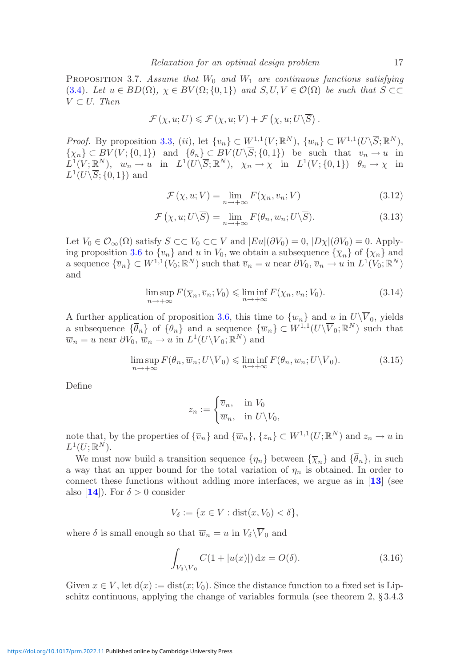PROPOSITION 3.7. Assume that  $W_0$  and  $W_1$  are continuous functions satisfying [\(3.4\)](#page-13-1)*.* Let  $u \in BD(\Omega)$ ,  $\chi \in BV(\Omega; \{0,1\})$  and  $S, U, V \in \mathcal{O}(\Omega)$  be such that  $S \subset\subset$  $V \subset U$ . *Then* 

$$
\mathcal{F}(\chi, u; U) \leqslant \mathcal{F}(\chi, u; V) + \mathcal{F}(\chi, u; U \setminus \overline{S}) .
$$

*Proof.* By proposition [3.3,](#page-14-1) (ii), let  $\{v_n\} \subset W^{1,1}(V;\mathbb{R}^N)$ ,  $\{w_n\} \subset W^{1,1}(U\backslash \overline{S};\mathbb{R}^N)$ ,  $\{\chi_n\} \subset BV(V; \{0,1\})$  and  $\{\theta_n\} \subset BV(U\backslash \overline{S}; \{0,1\})$  be such that  $v_n \to u$  in  $L^1(V; \mathbb{R}^N)$ ,  $w_n \to u$  in  $L^1(U\backslash \overline{S}; \mathbb{R}^N)$ ,  $\chi_n \to \chi$  in  $L^1(V; \{0, 1\})$   $\theta_n \to \chi$  in  $L^1(U\backslash \overline{S}; \{0,1\})$  and

<span id="page-16-4"></span><span id="page-16-3"></span>
$$
\mathcal{F}(\chi, u; V) = \lim_{n \to +\infty} F(\chi_n, v_n; V)
$$
\n(3.12)

$$
\mathcal{F}\left(\chi, u; U\backslash\overline{S}\right) = \lim_{n \to +\infty} F(\theta_n, w_n; U\backslash\overline{S}).
$$
\n(3.13)

Let  $V_0 \in \mathcal{O}_{\infty}(\Omega)$  satisfy  $S \subset\subset V_0 \subset\subset V$  and  $|Eu|(\partial V_0) = 0$ ,  $|D\chi|(\partial V_0) = 0$ . Apply-ing proposition [3.6](#page-15-0) to  $\{v_n\}$  and u in  $V_0$ , we obtain a subsequence  $\{\overline{\chi}_n\}$  of  $\{\chi_n\}$  and a sequence  $\{\overline{v}_n\} \subset W^{1,1}(V_0;\mathbb{R}^N)$  such that  $\overline{v}_n = u$  near  $\partial V_0$ ,  $\overline{v}_n \to u$  in  $L^1(V_0;\mathbb{R}^N)$ and

$$
\limsup_{n \to +\infty} F(\overline{\chi}_n, \overline{v}_n; V_0) \le \liminf_{n \to +\infty} F(\chi_n, v_n; V_0).
$$
\n(3.14)

A further application of proposition [3.6,](#page-15-0) this time to  $\{w_n\}$  and u in  $U\backslash \overline{V}_0$ , yields a subsequence  $\{\overline{\theta}_n\}$  of  $\{\theta_n\}$  and a sequence  $\{\overline{w}_n\} \subset W^{1,1}(U\backslash \overline{V}_0; \mathbb{R}^N)$  such that  $\overline{w}_n = u$  near  $\partial V_0$ ,  $\overline{w}_n \to u$  in  $L^1(U\backslash \overline{V}_0; \mathbb{R}^N)$  and

$$
\limsup_{n \to +\infty} F(\overline{\theta}_n, \overline{w}_n; U \setminus \overline{V}_0) \le \liminf_{n \to +\infty} F(\theta_n, w_n; U \setminus \overline{V}_0). \tag{3.15}
$$

Define

<span id="page-16-1"></span><span id="page-16-0"></span>
$$
z_n := \begin{cases} \overline{v}_n, & \text{in } V_0 \\ \overline{w}_n, & \text{in } U \backslash V_0, \end{cases}
$$

note that, by the properties of  $\{\overline{v}_n\}$  and  $\{\overline{w}_n\}$ ,  $\{z_n\} \subset W^{1,1}(U;\mathbb{R}^N)$  and  $z_n \to u$  in  $L^1(U; \mathbb{R}^N)$ .

We must now build a transition sequence  $\{\eta_n\}$  between  $\{\overline{\chi}_n\}$  and  $\{\overline{\theta}_n\}$ , in such a way that an upper bound for the total variation of  $\eta_n$  is obtained. In order to connect these functions without adding more interfaces, we argue as in [**[13](#page-41-21)**] (see also [**[14](#page-41-12)**]). For  $\delta > 0$  consider

$$
V_{\delta} := \{ x \in V : \text{dist}(x, V_0) < \delta \},
$$

where  $\delta$  is small enough so that  $\overline{w}_n = u$  in  $V_{\delta} \backslash \overline{V}_0$  and

<span id="page-16-2"></span>
$$
\int_{V_{\delta}\backslash \overline{V}_0} C(1+|u(x)|) dx = O(\delta).
$$
\n(3.16)

Given  $x \in V$ , let  $d(x) := dist(x; V_0)$ . Since the distance function to a fixed set is Lipschitz continuous, applying the change of variables formula (see theorem 2, § 3.4.3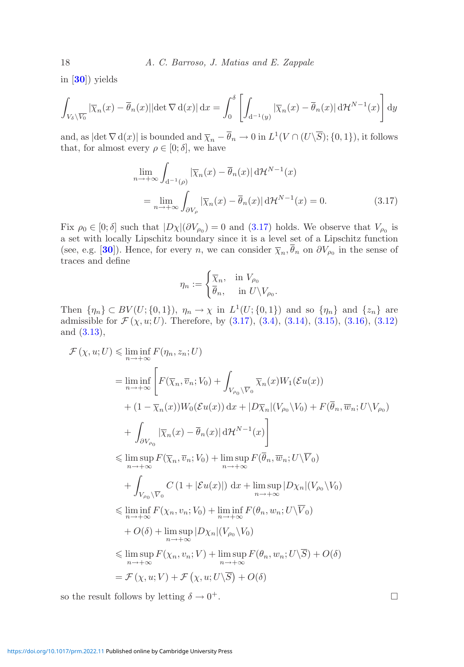in [**[30](#page-42-23)**]) yields

$$
\int_{V_{\delta}\backslash\overline{V_0}}|\overline{\chi}_n(x)-\overline{\theta}_n(x)||\det\nabla\,d(x)|\,dx=\int_0^{\delta}\left[\int_{d^{-1}(y)}|\overline{\chi}_n(x)-\overline{\theta}_n(x)|\,d\mathcal{H}^{N-1}(x)\right]dy
$$

and, as  $|\det \nabla d(x)|$  is bounded and  $\overline{\chi}_n - \overline{\theta}_n \to 0$  in  $L^1(V \cap (U \setminus \overline{S}); \{0, 1\})$ , it follows that, for almost every  $\rho \in [0; \delta]$ , we have

$$
\lim_{n \to +\infty} \int_{d^{-1}(\rho)} |\overline{\chi}_n(x) - \overline{\theta}_n(x)| d\mathcal{H}^{N-1}(x)
$$
  
= 
$$
\lim_{n \to +\infty} \int_{\partial V_\rho} |\overline{\chi}_n(x) - \overline{\theta}_n(x)| d\mathcal{H}^{N-1}(x) = 0.
$$
 (3.17)

Fix  $\rho_0 \in [0; \delta]$  such that  $|D\chi|(\partial V_{\rho_0}) = 0$  and  $(3.17)$  holds. We observe that  $V_{\rho_0}$  is a set with locally Lipschitz boundary since it is a level set of a Lipschitz function (see, e.g. [[30](#page-42-23)]). Hence, for every n, we can consider  $\overline{\chi}_n, \overline{\theta}_n$  on  $\partial V_{\rho_0}$  in the sense of traces and define

<span id="page-17-0"></span>
$$
\eta_n := \begin{cases} \overline{\chi}_n, & \text{in } V_{\rho_0} \\ \overline{\theta}_n, & \text{in } U \backslash V_{\rho_0}. \end{cases}
$$

Then  $\{\eta_n\} \subset BV(U; \{0,1\}), \eta_n \to \chi$  in  $L^1(U; \{0,1\})$  and so  $\{\eta_n\}$  and  $\{z_n\}$  are admissible for  $\mathcal{F}(\chi, u; U)$ . Therefore, by  $(3.17), (3.4), (3.14), (3.15), (3.16), (3.12)$  $(3.17), (3.4), (3.14), (3.15), (3.16), (3.12)$  $(3.17), (3.4), (3.14), (3.15), (3.16), (3.12)$  $(3.17), (3.4), (3.14), (3.15), (3.16), (3.12)$  $(3.17), (3.4), (3.14), (3.15), (3.16), (3.12)$  $(3.17), (3.4), (3.14), (3.15), (3.16), (3.12)$  $(3.17), (3.4), (3.14), (3.15), (3.16), (3.12)$  $(3.17), (3.4), (3.14), (3.15), (3.16), (3.12)$  $(3.17), (3.4), (3.14), (3.15), (3.16), (3.12)$  $(3.17), (3.4), (3.14), (3.15), (3.16), (3.12)$  $(3.17), (3.4), (3.14), (3.15), (3.16), (3.12)$ and [\(3.13\)](#page-16-4),

$$
\mathcal{F}(\chi, u; U) \leq \liminf_{n \to +\infty} F(\eta_n, z_n; U)
$$
\n
$$
= \liminf_{n \to +\infty} \left[ F(\overline{\chi}_n, \overline{v}_n; V_0) + \int_{V_{\rho_0} \setminus \overline{V}_0} \overline{\chi}_n(x) W_1(\mathcal{E}u(x)) \right. \\
\left. + (1 - \overline{\chi}_n(x)) W_0(\mathcal{E}u(x)) dx + |D\overline{\chi}_n|(V_{\rho_0} \setminus V_0) + F(\overline{\theta}_n, \overline{w}_n; U \setminus V_{\rho_0}) \right. \\
\left. + \int_{\partial V_{\rho_0}} |\overline{\chi}_n(x) - \overline{\theta}_n(x)| d\mathcal{H}^{N-1}(x) \right] \\
\leq \limsup_{n \to +\infty} F(\overline{\chi}_n, \overline{v}_n; V_0) + \limsup_{n \to +\infty} F(\overline{\theta}_n, \overline{w}_n; U \setminus \overline{V}_0) \\
\left. + \int_{V_{\rho_0} \setminus \overline{V}_0} C (1 + |\mathcal{E}u(x)|) dx + \limsup_{n \to +\infty} |D\chi_n|(V_{\rho_0} \setminus V_0) \right. \\
\leq \liminf_{n \to +\infty} F(\chi_n, v_n; V_0) + \liminf_{n \to +\infty} F(\theta_n, w_n; U \setminus \overline{V}_0) \\
+ O(\delta) + \limsup_{n \to +\infty} |D\chi_n|(V_{\rho_0} \setminus V_0) \\
\leq \limsup_{n \to +\infty} F(\chi_n, v_n; V) + \limsup_{n \to +\infty} F(\theta_n, w_n; U \setminus \overline{S}) + O(\delta) \\
= \mathcal{F}(\chi, u; V) + \mathcal{F}(\chi, u; U \setminus \overline{S}) + O(\delta)
$$

so the result follows by letting  $\delta \to 0^+$ .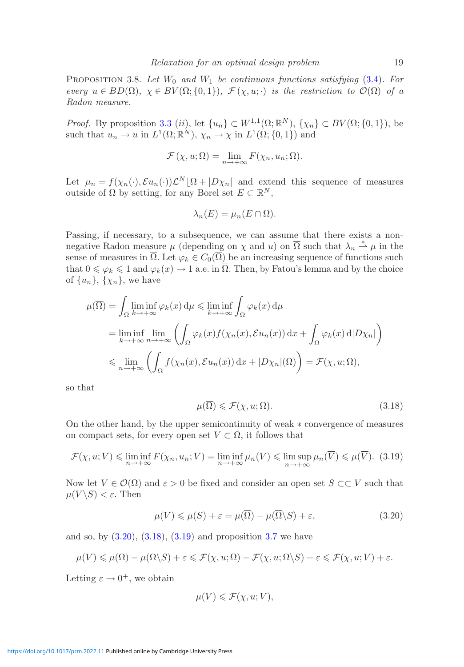<span id="page-18-0"></span>PROPOSITION 3.8. Let  $W_0$  and  $W_1$  be continuous functions satisfying [\(3.4\)](#page-13-1). For *every*  $u \in BD(\Omega)$ ,  $\chi \in BV(\Omega;\{0,1\})$ ,  $\mathcal{F}(\chi,u;\cdot)$  *is the restriction to*  $\mathcal{O}(\Omega)$  *of a Radon measure.*

*Proof.* By proposition [3.3](#page-14-1) (ii), let  $\{u_n\} \subset W^{1,1}(\Omega;\mathbb{R}^N)$ ,  $\{\chi_n\} \subset BV(\Omega;\{0,1\})$ , be such that  $u_n \to u$  in  $L^1(\Omega; \mathbb{R}^N)$ ,  $\chi_n \to \chi$  in  $L^1(\Omega; \{0, 1\})$  and

$$
\mathcal{F}(\chi, u; \Omega) = \lim_{n \to +\infty} F(\chi_n, u_n; \Omega).
$$

Let  $\mu_n = f(\chi_n(\cdot), \mathcal{E}u_n(\cdot))\mathcal{L}^N[\Omega + |D\chi_n|]$  and extend this sequence of measures outside of Ω by setting, for any Borel set  $E \subset \mathbb{R}^N$ ,

$$
\lambda_n(E) = \mu_n(E \cap \Omega).
$$

Passing, if necessary, to a subsequence, we can assume that there exists a nonnegative Radon measure  $\mu$  (depending on  $\chi$  and  $u$ ) on  $\overline{\Omega}$  such that  $\lambda_n \stackrel{*}{\rightharpoonup} \mu$  in the sense of measures in  $\overline{\Omega}$ . Let  $\varphi_k \in C_0(\overline{\Omega})$  be an increasing sequence of functions such that  $0 \le \varphi_k \le 1$  and  $\varphi_k(x) \to 1$  a.e. in  $\overline{\Omega}$ . Then, by Fatou's lemma and by the choice of  $\{u_n\}$ ,  $\{\chi_n\}$ , we have

$$
\mu(\overline{\Omega}) = \int_{\overline{\Omega}} \liminf_{k \to +\infty} \varphi_k(x) d\mu \le \liminf_{k \to +\infty} \int_{\overline{\Omega}} \varphi_k(x) d\mu
$$
  
\n
$$
= \liminf_{k \to +\infty} \lim_{n \to +\infty} \left( \int_{\Omega} \varphi_k(x) f(\chi_n(x), \mathcal{E}u_n(x)) dx + \int_{\Omega} \varphi_k(x) d|D\chi_n| \right)
$$
  
\n
$$
\le \lim_{n \to +\infty} \left( \int_{\Omega} f(\chi_n(x), \mathcal{E}u_n(x)) dx + |D\chi_n|(\Omega) \right) = \mathcal{F}(\chi, u; \Omega),
$$

so that

<span id="page-18-3"></span><span id="page-18-2"></span>
$$
\mu(\overline{\Omega}) \leqslant \mathcal{F}(\chi, u; \Omega). \tag{3.18}
$$

On the other hand, by the upper semicontinuity of weak ∗ convergence of measures on compact sets, for every open set  $V \subset \Omega$ , it follows that

$$
\mathcal{F}(\chi, u; V) \leq \liminf_{n \to +\infty} F(\chi_n, u_n; V) = \liminf_{n \to +\infty} \mu_n(V) \leq \limsup_{n \to +\infty} \mu_n(\overline{V}) \leq \mu(\overline{V}).
$$
 (3.19)

Now let  $V \in \mathcal{O}(\Omega)$  and  $\varepsilon > 0$  be fixed and consider an open set  $S \subset\subset V$  such that  $\mu(V \backslash S) < \varepsilon$ . Then

$$
\mu(V) \le \mu(S) + \varepsilon = \mu(\overline{\Omega}) - \mu(\overline{\Omega} \backslash S) + \varepsilon,
$$
\n(3.20)

and so, by  $(3.20), (3.18), (3.19)$  $(3.20), (3.18), (3.19)$  $(3.20), (3.18), (3.19)$  $(3.20), (3.18), (3.19)$  $(3.20), (3.18), (3.19)$  and proposition [3.7](#page-15-1) we have

$$
\mu(V) \leq \mu(\overline{\Omega}) - \mu(\overline{\Omega}\backslash S) + \varepsilon \leqslant \mathcal{F}(\chi, u; \Omega) - \mathcal{F}(\chi, u; \Omega\backslash \overline{S}) + \varepsilon \leqslant \mathcal{F}(\chi, u; V) + \varepsilon.
$$

Letting  $\varepsilon \to 0^+$ , we obtain

<span id="page-18-1"></span>
$$
\mu(V) \leqslant \mathcal{F}(\chi, u; V),
$$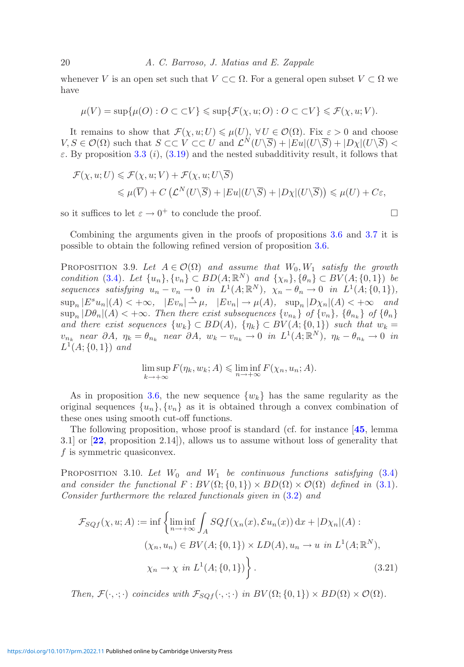whenever V is an open set such that  $V \subset \Omega$ . For a general open subset  $V \subset \Omega$  we have

$$
\mu(V) = \sup \{ \mu(O) : O \subset \subset V \} \leq \sup \{ \mathcal{F}(\chi, u; O) : O \subset \subset V \} \leq \mathcal{F}(\chi, u; V).
$$

It remains to show that  $\mathcal{F}(\chi, u; U) \leq \mu(U), \forall U \in \mathcal{O}(\Omega)$ . Fix  $\varepsilon > 0$  and choose  $V, S \in \mathcal{O}(\Omega)$  such that  $S \subset\subset V \subset\subset U$  and  $\mathcal{L}^N(U\backslash \overline{S}) + |Eu|(U\backslash \overline{S}) + |D_{\chi}|(U\backslash \overline{S}) <$  $\varepsilon$ . By proposition [3.3](#page-14-1) (i), [\(3.19\)](#page-18-3) and the nested subadditivity result, it follows that

$$
\mathcal{F}(\chi, u; U) \leq \mathcal{F}(\chi, u; V) + \mathcal{F}(\chi, u; U \setminus \overline{S})
$$
  
\$\leq \mu(\overline{V}) + C(\mathcal{L}^N(U \setminus \overline{S}) + |Eu|(U \setminus \overline{S}) + |D\chi|(U \setminus \overline{S})) \leq \mu(U) + C\epsilon\$,

so it suffices to let  $\varepsilon \to 0^+$  to conclude the proof.

<span id="page-19-1"></span>Combining the arguments given in the proofs of propositions [3.6](#page-15-0) and [3.7](#page-15-1) it is possible to obtain the following refined version of proposition [3.6.](#page-15-0)

PROPOSITION 3.9. Let  $A \in \mathcal{O}(\Omega)$  and assume that  $W_0, W_1$  satisfy the growth *condition* [\(3.4\)](#page-13-1)*.* Let  $\{u_n\}, \{v_n\} \subset BD(A; \mathbb{R}^N)$  and  $\{\chi_n\}, \{\theta_n\} \subset BV(A; \{0,1\})$  be *sequences satisfying*  $u_n - v_n \to 0$  *in*  $L^1(A; \mathbb{R}^N)$ *,*  $\chi_n - \theta_n \to 0$  *in*  $L^1(A; \{0, 1\})$ *,*  $\sup_n |E^s u_n|(A) < +\infty$ ,  $|E v_n| \stackrel{*}{\rightharpoonup} \mu$ ,  $|E v_n| \to \mu(A)$ ,  $\sup_n |D \chi_n|(A) < +\infty$  and  $\sup_n |D\theta_n|(A) < +\infty$ . Then there exist subsequences  $\{v_{n_k}\}\$  of  $\{v_n\}$ ,  $\{\theta_{n_k}\}\$  of  $\{\theta_n\}$ *and there exist sequences*  $\{w_k\} \subset BD(A)$ ,  $\{\eta_k\} \subset BV(A; \{0, 1\})$  *such that*  $w_k =$  $v_{n_k}$  *near*  $\partial A$ *,*  $\eta_k = \theta_{n_k}$  *near*  $\partial A$ *,*  $w_k - v_{n_k} \to 0$  *in*  $L^1(A; \mathbb{R}^N)$ *,*  $\eta_k - \theta_{n_k} \to 0$  *in*  $L^1(A; \{0,1\})$  *and* 

$$
\limsup_{k \to +\infty} F(\eta_k, w_k; A) \leq \liminf_{n \to +\infty} F(\chi_n, u_n; A).
$$

As in proposition [3.6,](#page-15-0) the new sequence  $\{w_k\}$  has the same regularity as the original sequences  $\{u_n\}, \{v_n\}$  as it is obtained through a convex combination of these ones using smooth cut-off functions.

The following proposition, whose proof is standard (cf. for instance [**[45](#page-42-22)**, lemma 3.1] or [**[22](#page-41-22)**, proposition 2.14]), allows us to assume without loss of generality that  $f$  is symmetric quasiconvex.

<span id="page-19-0"></span>PROPOSITION 3.10. Let  $W_0$  and  $W_1$  be continuous functions satisfying [\(3.4\)](#page-13-1) *and consider the functional*  $F : BV(\Omega; \{0,1\}) \times BD(\Omega) \times O(\Omega)$  *defined in* [\(3.1\)](#page-12-3)*. Consider furthermore the relaxed functionals given in* [\(3.2\)](#page-12-2) *and*

$$
\mathcal{F}_{SQf}(\chi, u; A) := \inf \left\{ \liminf_{n \to +\infty} \int_A SQf(\chi_n(x), \mathcal{E}u_n(x)) \, dx + |D\chi_n|(A) : \\ (\chi_n, u_n) \in BV(A; \{0, 1\}) \times LD(A), u_n \to u \text{ in } L^1(A; \mathbb{R}^N), \\ \chi_n \to \chi \text{ in } L^1(A; \{0, 1\}) \right\}.
$$
 (3.21)

*Then,*  $\mathcal{F}(\cdot, \cdot; \cdot)$  *coincides with*  $\mathcal{F}_{SOf}(\cdot, \cdot; \cdot)$  *in*  $BV(\Omega; \{0, 1\}) \times BD(\Omega) \times \mathcal{O}(\Omega)$ *.*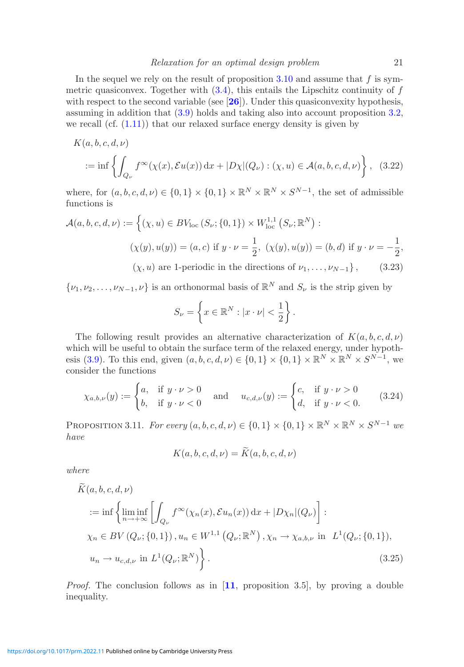In the sequel we rely on the result of proposition [3.10](#page-19-0) and assume that  $f$  is symmetric quasiconvex. Together with  $(3.4)$ , this entails the Lipschitz continuity of f with respect to the second variable (see [[26](#page-42-24)]). Under this quasiconvexity hypothesis, assuming in addition that [\(3.9\)](#page-13-0) holds and taking also into account proposition [3.2,](#page-13-4) we recall (cf.  $(1.11)$ ) that our relaxed surface energy density is given by

$$
K(a, b, c, d, \nu)
$$
  
 := inf  $\left\{ \int_{Q_{\nu}} f^{\infty}(\chi(x), \mathcal{E}u(x)) dx + |D\chi|(Q_{\nu}) : (\chi, u) \in \mathcal{A}(a, b, c, d, \nu) \right\}$ , (3.22)

where, for  $(a, b, c, d, \nu) \in \{0, 1\} \times \{0, 1\} \times \mathbb{R}^N \times \mathbb{R}^N \times S^{N-1}$ , the set of admissible functions is

$$
\mathcal{A}(a, b, c, d, \nu) := \left\{ (\chi, u) \in BV_{\text{loc}}(S_{\nu}; \{0, 1\}) \times W_{\text{loc}}^{1,1}(S_{\nu}; \mathbb{R}^{N}) : \right.\n(\chi(y), u(y)) = (a, c) \text{ if } y \cdot \nu = \frac{1}{2}, \ (\chi(y), u(y)) = (b, d) \text{ if } y \cdot \nu = -\frac{1}{2},\
$$
\n
$$
(\chi, u) \text{ are 1-periodic in the directions of } \nu_1, \dots, \nu_{N-1} \right\}, \tag{3.23}
$$

 $\{\nu_1, \nu_2, \ldots, \nu_{N-1}, \nu\}$  is an orthonormal basis of  $\mathbb{R}^N$  and  $S_{\nu}$  is the strip given by

<span id="page-20-2"></span>
$$
S_{\nu} = \left\{ x \in \mathbb{R}^N : |x \cdot \nu| < \frac{1}{2} \right\}.
$$

The following result provides an alternative characterization of  $K(a, b, c, d, \nu)$ which will be useful to obtain the surface term of the relaxed energy, under hypoth-esis [\(3.9\)](#page-13-0). To this end, given  $(a, b, c, d, \nu) \in \{0, 1\} \times \{0, 1\} \times \mathbb{R}^N \times \mathbb{R}^N \times S^{N-1}$ , we consider the functions

$$
\chi_{a,b,\nu}(y) := \begin{cases} a, & \text{if } y \cdot \nu > 0 \\ b, & \text{if } y \cdot \nu < 0 \end{cases} \quad \text{and} \quad u_{c,d,\nu}(y) := \begin{cases} c, & \text{if } y \cdot \nu > 0 \\ d, & \text{if } y \cdot \nu < 0. \end{cases} \tag{3.24}
$$

<span id="page-20-0"></span>PROPOSITION 3.11. *For every*  $(a, b, c, d, \nu) \in \{0, 1\} \times \{0, 1\} \times \mathbb{R}^N \times \mathbb{R}^N \times S^{N-1}$  *we have*

<span id="page-20-1"></span>
$$
K(a, b, c, d, \nu) = K(a, b, c, d, \nu)
$$

*where*

$$
\widetilde{K}(a, b, c, d, \nu)
$$
\n
$$
:= \inf \left\{ \liminf_{n \to +\infty} \left[ \int_{Q_{\nu}} f^{\infty}(\chi_n(x), \mathcal{E}u_n(x)) dx + |D\chi_n|(Q_{\nu}) \right] : \right. \times_n \in BV(Q_{\nu}; \{0, 1\}), u_n \in W^{1,1}(Q_{\nu}; \mathbb{R}^N), \chi_n \to \chi_{a, b, \nu} \text{ in } L^1(Q_{\nu}; \{0, 1\}),
$$
\n
$$
u_n \to u_{c, d, \nu} \text{ in } L^1(Q_{\nu}; \mathbb{R}^N) \right\}.
$$
\n(3.25)

*Proof.* The conclusion follows as in [**[11](#page-41-23)**, proposition 3.5], by proving a double inequality.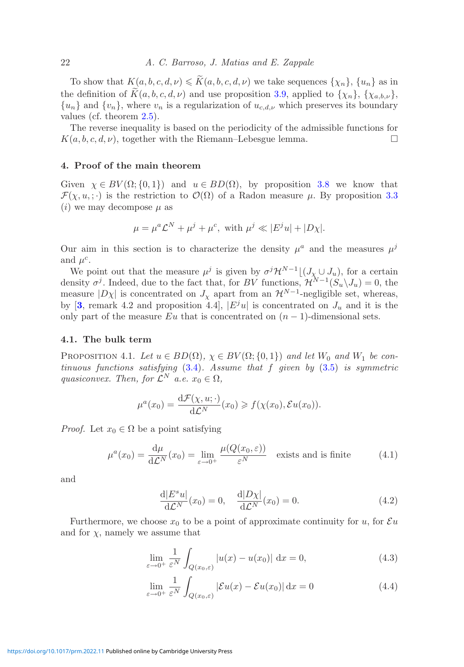To show that  $K(a, b, c, d, \nu) \leq K(a, b, c, d, \nu)$  we take sequences  $\{\chi_n\}$ ,  $\{u_n\}$  as in the definition of  $K(a, b, c, d, \nu)$  and use proposition [3.9,](#page-19-1) applied to  $\{\chi_n\}$ ,  $\{\chi_{a,b,\nu}\}$ ,  ${u_n}$  and  ${v_n}$ , where  $v_n$  is a regularization of  $u_{c,d,\nu}$  which preserves its boundary values (cf. theorem [2.5\)](#page-10-2).

The reverse inequality is based on the periodicity of the admissible functions for  $K(a, b, c, d, \nu)$ , together with the Riemann–Lebesgue lemma.

#### <span id="page-21-0"></span>**4. Proof of the main theorem**

Given  $\chi \in BV(\Omega; \{0, 1\})$  and  $u \in BD(\Omega)$ , by proposition [3.8](#page-18-0) we know that  $\mathcal{F}(\chi, u, ; \cdot)$  is the restriction to  $\mathcal{O}(\Omega)$  of a Radon measure  $\mu$ . By proposition [3.3](#page-14-1) (*i*) we may decompose  $\mu$  as

$$
\mu = \mu^a \mathcal{L}^N + \mu^j + \mu^c, \text{ with } \mu^j \ll |E^j u| + |D\chi|.
$$

Our aim in this section is to characterize the density  $\mu^a$  and the measures  $\mu^j$ and  $\mu^c$ .

We point out that the measure  $\mu^{j}$  is given by  $\sigma^{j}\mathcal{H}^{N-1}[(J_{\chi}\cup J_{u}),$  for a certain density  $\sigma^j$ . Indeed, due to the fact that, for BV functions,  $\mathcal{H}^N^{-1}(\mathcal{S}_u\setminus J_u) = 0$ , the measure  $|D\chi|$  is concentrated on  $J_{\chi}$  apart from an  $\mathcal{H}^{N-1}$ -negligible set, whereas, by  $[3,$  $[3,$  $[3,$  remark 4.2 and proposition 4.4],  $|E^j u|$  is concentrated on  $J_u$  and it is the only part of the measure Eu that is concentrated on  $(n-1)$ -dimensional sets.

#### <span id="page-21-5"></span><span id="page-21-1"></span>**4.1. The bulk term**

PROPOSITION 4.1. Let  $u \in BD(\Omega)$ ,  $\chi \in BV(\Omega; \{0,1\})$  and let  $W_0$  and  $W_1$  be con*tinuous functions satisfying* [\(3.4\)](#page-13-1)*. Assume that* f *given by* [\(3.5\)](#page-13-3) *is symmetric quasiconvex. Then, for*  $\mathcal{L}^N$  *a.e.*  $x_0 \in \Omega$ *,* 

$$
\mu^{a}(x_0) = \frac{\mathrm{d}\mathcal{F}(\chi, u; \cdot)}{\mathrm{d}\mathcal{L}^{N}}(x_0) \geqslant f(\chi(x_0), \mathcal{E}u(x_0)).
$$

*Proof.* Let  $x_0 \in \Omega$  be a point satisfying

$$
\mu^{a}(x_0) = \frac{\mathrm{d}\mu}{\mathrm{d}\mathcal{L}^N}(x_0) = \lim_{\varepsilon \to 0^+} \frac{\mu(Q(x_0, \varepsilon))}{\varepsilon^N} \quad \text{exists and is finite} \tag{4.1}
$$

and

<span id="page-21-4"></span><span id="page-21-2"></span>
$$
\frac{\mathrm{d}|E^s u|}{\mathrm{d}\mathcal{L}^N}(x_0) = 0, \quad \frac{\mathrm{d}|D\chi|}{\mathrm{d}\mathcal{L}^N}(x_0) = 0. \tag{4.2}
$$

Furthermore, we choose  $x_0$  to be a point of approximate continuity for u, for  $\mathcal{E}u$ and for  $\chi$ , namely we assume that

$$
\lim_{\varepsilon \to 0^+} \frac{1}{\varepsilon^N} \int_{Q(x_0,\varepsilon)} |u(x) - u(x_0)| \, \mathrm{d}x = 0,\tag{4.3}
$$

<span id="page-21-3"></span>
$$
\lim_{\varepsilon \to 0^+} \frac{1}{\varepsilon^N} \int_{Q(x_0,\varepsilon)} |\mathcal{E}u(x) - \mathcal{E}u(x_0)| \, \mathrm{d}x = 0 \tag{4.4}
$$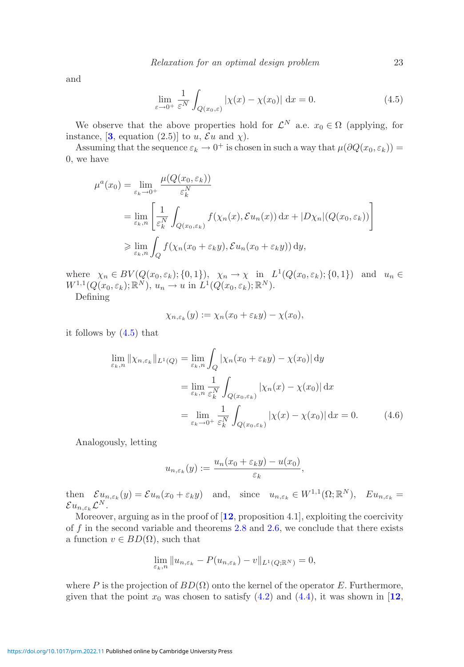and

<span id="page-22-0"></span>
$$
\lim_{\varepsilon \to 0^+} \frac{1}{\varepsilon^N} \int_{Q(x_0,\varepsilon)} |\chi(x) - \chi(x_0)| \, \mathrm{d}x = 0. \tag{4.5}
$$

We observe that the above properties hold for  $\mathcal{L}^N$  a.e.  $x_0 \in \Omega$  (applying, for instance,  $[3, \text{ equation } (2.5)]$  $[3, \text{ equation } (2.5)]$  $[3, \text{ equation } (2.5)]$  to u,  $\mathcal{E}u$  and  $\chi$ ).

Assuming that the sequence  $\varepsilon_k \to 0^+$  is chosen in such a way that  $\mu(\partial Q(x_0, \varepsilon_k)) =$ 0, we have

$$
\mu^{a}(x_{0}) = \lim_{\varepsilon_{k}\to 0^{+}} \frac{\mu(Q(x_{0}, \varepsilon_{k}))}{\varepsilon_{k}^{N}}
$$
  
= 
$$
\lim_{\varepsilon_{k}, n} \left[ \frac{1}{\varepsilon_{k}^{N}} \int_{Q(x_{0}, \varepsilon_{k})} f(\chi_{n}(x), \mathcal{E}u_{n}(x)) dx + |D\chi_{n}|(Q(x_{0}, \varepsilon_{k})) \right]
$$
  

$$
\geq \lim_{\varepsilon_{k}, n} \int_{Q} f(\chi_{n}(x_{0} + \varepsilon_{k}y), \mathcal{E}u_{n}(x_{0} + \varepsilon_{k}y)) dy,
$$

where  $\chi_n \in BV(Q(x_0, \varepsilon_k); \{0, 1\}), \quad \chi_n \to \chi \text{ in } L^1(Q(x_0, \varepsilon_k); \{0, 1\})$  and  $u_n \in$  $W^{1,1}(Q(x_0,\varepsilon_k); \mathbb{R}^N), u_n \to u \text{ in } L^1(Q(x_0,\varepsilon_k); \mathbb{R}^N).$ 

Defining

$$
\chi_{n,\varepsilon_k}(y) := \chi_n(x_0 + \varepsilon_k y) - \chi(x_0),
$$

it follows by [\(4.5\)](#page-22-0) that

$$
\lim_{\varepsilon_k, n} \|\chi_{n,\varepsilon_k}\|_{L^1(Q)} = \lim_{\varepsilon_k, n} \int_Q |\chi_n(x_0 + \varepsilon_k y) - \chi(x_0)| \, dy
$$
\n
$$
= \lim_{\varepsilon_k, n} \frac{1}{\varepsilon_k^N} \int_{Q(x_0, \varepsilon_k)} |\chi_n(x) - \chi(x_0)| \, dx
$$
\n
$$
= \lim_{\varepsilon_k \to 0^+} \frac{1}{\varepsilon_k^N} \int_{Q(x_0, \varepsilon_k)} |\chi(x) - \chi(x_0)| \, dx = 0. \tag{4.6}
$$

Analogously, letting

<span id="page-22-1"></span>
$$
u_{n,\varepsilon_k}(y) := \frac{u_n(x_0 + \varepsilon_k y) - u(x_0)}{\varepsilon_k},
$$

then  $\mathcal{E} u_{n,\varepsilon_k}(y) = \mathcal{E} u_n(x_0 + \varepsilon_k y)$  and, since  $u_{n,\varepsilon_k} \in W^{1,1}(\Omega;\mathbb{R}^N)$ ,  $Eu_{n,\varepsilon_k} =$  $\mathcal{E} u_{n,\varepsilon_k} \mathcal{L}^N$ .

Moreover, arguing as in the proof of [**[12](#page-41-5)**, proposition 4.1], exploiting the coercivity of f in the second variable and theorems [2.8](#page-11-4) and [2.6,](#page-10-3) we conclude that there exists a function  $v \in BD(\Omega)$ , such that

$$
\lim_{\varepsilon_k,n} \|u_{n,\varepsilon_k} - P(u_{n,\varepsilon_k}) - v\|_{L^1(Q;\mathbb{R}^N)} = 0,
$$

where P is the projection of  $BD(\Omega)$  onto the kernel of the operator E. Furthermore, given that the point  $x_0$  was chosen to satisfy  $(4.2)$  and  $(4.4)$ , it was shown in [[12](#page-41-5),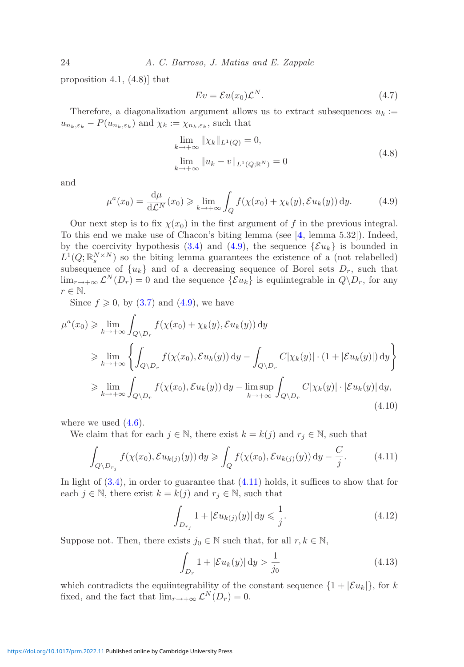proposition 4.1, (4.8)] that

<span id="page-23-3"></span><span id="page-23-0"></span>
$$
Ev = \mathcal{E}u(x_0)\mathcal{L}^N.
$$
\n(4.7)

Therefore, a diagonalization argument allows us to extract subsequences  $u_k :=$  $u_{n_k,\varepsilon_k} - P(u_{n_k,\varepsilon_k})$  and  $\chi_k := \chi_{n_k,\varepsilon_k}$ , such that

$$
\lim_{k \to +\infty} \|\chi_k\|_{L^1(Q)} = 0,
$$
\n
$$
\lim_{k \to +\infty} \|u_k - v\|_{L^1(Q; \mathbb{R}^N)} = 0
$$
\n(4.8)

and

$$
\mu^{a}(x_0) = \frac{\mathrm{d}\mu}{\mathrm{d}\mathcal{L}^N}(x_0) \ge \lim_{k \to +\infty} \int_{Q} f(\chi(x_0) + \chi_k(y), \mathcal{E}u_k(y)) \, \mathrm{d}y. \tag{4.9}
$$

Our next step is to fix  $\chi(x_0)$  in the first argument of f in the previous integral. To this end we make use of Chacon's biting lemma (see [**[4](#page-41-17)**, lemma 5.32]). Indeed, by the coercivity hypothesis [\(3.4\)](#page-13-1) and [\(4.9\)](#page-23-0), the sequence  $\{\mathcal{E}u_k\}$  is bounded in  $L^1(Q;\mathbb{R}^{N\times N}_{\infty})$  so the biting lemma guarantees the existence of a (not relabelled) subsequence of  $\{u_k\}$  and of a decreasing sequence of Borel sets  $D_r$ , such that  $\lim_{r\to+\infty}$   $\mathcal{L}^N(D_r) = 0$  and the sequence  $\{\mathcal{E}u_k\}$  is equiintegrable in  $Q\backslash D_r$ , for any  $r \in \mathbb{N}$ .

Since  $f \geqslant 0$ , by  $(3.7)$  and  $(4.9)$ , we have

$$
\mu^{a}(x_{0}) \geq \lim_{k \to +\infty} \int_{Q \setminus D_{r}} f(\chi(x_{0}) + \chi_{k}(y), \mathcal{E}u_{k}(y)) dy
$$
  
\n
$$
\geq \lim_{k \to +\infty} \left\{ \int_{Q \setminus D_{r}} f(\chi(x_{0}), \mathcal{E}u_{k}(y)) dy - \int_{Q \setminus D_{r}} C|\chi_{k}(y)| \cdot (1 + |\mathcal{E}u_{k}(y)|) dy \right\}
$$
  
\n
$$
\geq \lim_{k \to +\infty} \int_{Q \setminus D_{r}} f(\chi(x_{0}), \mathcal{E}u_{k}(y)) dy - \limsup_{k \to +\infty} \int_{Q \setminus D_{r}} C|\chi_{k}(y)| \cdot |\mathcal{E}u_{k}(y)| dy,
$$
\n(4.10)

where we used  $(4.6)$ .

We claim that for each  $j \in \mathbb{N}$ , there exist  $k = k(j)$  and  $r_j \in \mathbb{N}$ , such that

$$
\int_{Q \setminus D_{r_j}} f(\chi(x_0), \mathcal{E}u_{k(j)}(y)) dy \ge \int_Q f(\chi(x_0), \mathcal{E}u_{k(j)}(y)) dy - \frac{C}{j}.
$$
 (4.11)

In light of [\(3.4\)](#page-13-1), in order to guarantee that [\(4.11\)](#page-23-1) holds, it suffices to show that for each  $j \in \mathbb{N}$ , there exist  $k = k(j)$  and  $r_j \in \mathbb{N}$ , such that

<span id="page-23-2"></span><span id="page-23-1"></span>
$$
\int_{D_{r_j}} 1 + |\mathcal{E}u_{k(j)}(y)| \, dy \leq \frac{1}{j}.\tag{4.12}
$$

Suppose not. Then, there exists  $j_0 \in \mathbb{N}$  such that, for all  $r, k \in \mathbb{N}$ ,

<span id="page-23-4"></span>
$$
\int_{D_r} 1 + |\mathcal{E}u_k(y)| \, \mathrm{d}y > \frac{1}{j_0} \tag{4.13}
$$

which contradicts the equiintegrability of the constant sequence  $\{1 + |\mathcal{E}u_k|\}$ , for k fixed, and the fact that  $\lim_{r \to +\infty} \mathcal{L}^{N}(D_r) = 0.$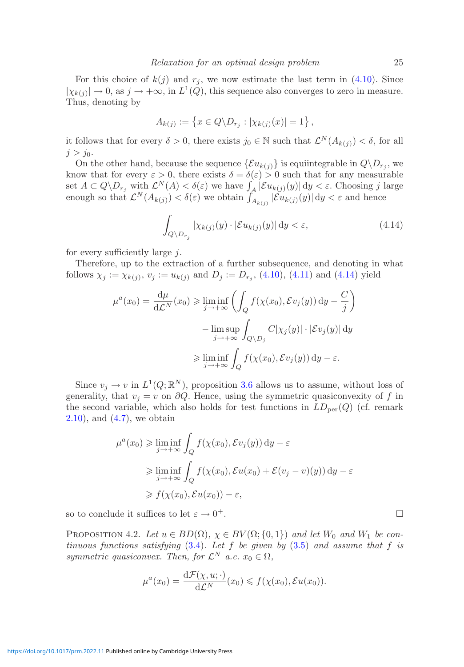For this choice of  $k(j)$  and  $r_j$ , we now estimate the last term in [\(4.10\)](#page-23-2). Since  $|\chi_{k(j)}| \to 0$ , as  $j \to +\infty$ , in  $L^1(Q)$ , this sequence also converges to zero in measure. Thus, denoting by

$$
A_{k(j)} := \{ x \in Q \backslash D_{r_j} : |\chi_{k(j)}(x)| = 1 \},\
$$

it follows that for every  $\delta > 0$ , there exists  $j_0 \in \mathbb{N}$  such that  $\mathcal{L}^N(A_{k(j)}) < \delta$ , for all  $j>i_0$ .

On the other hand, because the sequence  $\{\mathcal{E}u_{k(j)}\}$  is equiintegrable in  $Q\backslash D_{r_j}$ , we know that for every  $\varepsilon > 0$ , there exists  $\delta = \delta(\varepsilon) > 0$  such that for any measurable set  $A \subset Q \backslash D_{r_j}$  with  $\mathcal{L}^N(A) < \delta(\varepsilon)$  we have  $\int_A |\mathcal{E} u_{k(j)}(y)| dy < \varepsilon$ . Choosing j large enough so that  $\mathcal{L}^N(A_{k(j)}) < \delta(\varepsilon)$  we obtain  $\int_{A_{k(j)}}^A |\mathcal{E}u_{k(j)}(y)| dy < \varepsilon$  and hence

<span id="page-24-0"></span>
$$
\int_{Q \setminus D_{r_j}} |\chi_{k(j)}(y) \cdot |\mathcal{E}u_{k(j)}(y)| \, dy < \varepsilon,\tag{4.14}
$$

for every sufficiently large  $i$ .

Therefore, up to the extraction of a further subsequence, and denoting in what follows  $\chi_j := \chi_{k(j)}, v_j := u_{k(j)}$  and  $D_j := D_{r_j}$ , [\(4.10\)](#page-23-2), [\(4.11\)](#page-23-1) and [\(4.14\)](#page-24-0) yield

$$
\mu^{a}(x_{0}) = \frac{d\mu}{d\mathcal{L}^{N}}(x_{0}) \ge \liminf_{j \to +\infty} \left( \int_{Q} f(\chi(x_{0}), \mathcal{E}v_{j}(y)) dy - \frac{C}{j} \right)
$$

$$
-\limsup_{j \to +\infty} \int_{Q \setminus D_{j}} C|\chi_{j}(y)| \cdot |\mathcal{E}v_{j}(y)| dy
$$

$$
\ge \liminf_{j \to +\infty} \int_{Q} f(\chi(x_{0}), \mathcal{E}v_{j}(y)) dy - \varepsilon.
$$

Since  $v_j \to v$  in  $L^1(Q;\mathbb{R}^N)$ , proposition [3.6](#page-15-0) allows us to assume, without loss of generality, that  $v_i = v$  on  $\partial Q$ . Hence, using the symmetric quasiconvexity of f in the second variable, which also holds for test functions in  $LD_{per}(Q)$  (cf. remark  $(4.7)$ , and  $(4.7)$ , we obtain

$$
\mu^{a}(x_{0}) \geq \liminf_{j \to +\infty} \int_{Q} f(\chi(x_{0}), \mathcal{E}v_{j}(y)) dy - \varepsilon
$$
  
\n
$$
\geq \liminf_{j \to +\infty} \int_{Q} f(\chi(x_{0}), \mathcal{E}u(x_{0}) + \mathcal{E}(v_{j} - v)(y)) dy - \varepsilon
$$
  
\n
$$
\geq f(\chi(x_{0}), \mathcal{E}u(x_{0})) - \varepsilon,
$$

<span id="page-24-1"></span>so to conclude it suffices to let  $\varepsilon \to 0^+$ .

PROPOSITION 4.2. Let  $u \in BD(\Omega)$ ,  $\chi \in BV(\Omega; \{0, 1\})$  and let  $W_0$  and  $W_1$  be con*tinuous functions satisfying* [\(3.4\)](#page-13-1)*. Let* f *be given by* [\(3.5\)](#page-13-3) *and assume that* f *is symmetric quasiconvex. Then, for*  $\mathcal{L}^N$  *a.e.*  $x_0 \in \Omega$ ,

$$
\mu^{a}(x_0) = \frac{\mathrm{d}\mathcal{F}(\chi, u; \cdot)}{\mathrm{d}\mathcal{L}^{N}}(x_0) \leqslant f(\chi(x_0), \mathcal{E}u(x_0)).
$$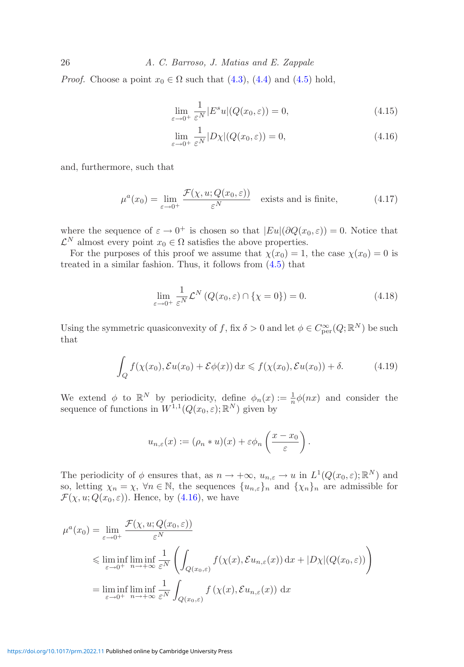26 *A. C. Barroso, J. Matias and E. Zappale*

*Proof.* Choose a point  $x_0 \in \Omega$  such that [\(4.3\)](#page-21-4), [\(4.4\)](#page-21-3) and [\(4.5\)](#page-22-0) hold,

<span id="page-25-3"></span>
$$
\lim_{\varepsilon \to 0^+} \frac{1}{\varepsilon^N} |E^s u| (Q(x_0, \varepsilon)) = 0,
$$
\n(4.15)

<span id="page-25-0"></span>
$$
\lim_{\varepsilon \to 0^+} \frac{1}{\varepsilon^N} |D\chi| (Q(x_0, \varepsilon)) = 0,
$$
\n(4.16)

and, furthermore, such that

$$
\mu^{a}(x_0) = \lim_{\varepsilon \to 0^{+}} \frac{\mathcal{F}(\chi, u; Q(x_0, \varepsilon))}{\varepsilon^{N}} \quad \text{exists and is finite,}
$$
 (4.17)

where the sequence of  $\varepsilon \to 0^+$  is chosen so that  $|Eu|(\partial Q(x_0, \varepsilon)) = 0$ . Notice that  $\mathcal{L}^N$  almost every point  $x_0 \in \Omega$  satisfies the above properties.

For the purposes of this proof we assume that  $\chi(x_0) = 1$ , the case  $\chi(x_0) = 0$  is treated in a similar fashion. Thus, it follows from  $(4.5)$  that

<span id="page-25-2"></span><span id="page-25-1"></span>
$$
\lim_{\varepsilon \to 0^+} \frac{1}{\varepsilon^N} \mathcal{L}^N \left( Q(x_0, \varepsilon) \cap \{\chi = 0\} \right) = 0. \tag{4.18}
$$

Using the symmetric quasiconvexity of f, fix  $\delta > 0$  and let  $\phi \in C^{\infty}_{per}(Q; \mathbb{R}^{N})$  be such that

$$
\int_{Q} f(\chi(x_0), \mathcal{E}u(x_0) + \mathcal{E}\phi(x)) dx \le f(\chi(x_0), \mathcal{E}u(x_0)) + \delta.
$$
 (4.19)

We extend  $\phi$  to  $\mathbb{R}^N$  by periodicity, define  $\phi_n(x) := \frac{1}{n} \phi(nx)$  and consider the sequence of functions in  $W^{1,1}(Q(x_0,\varepsilon);\mathbb{R}^N)$  given by

$$
u_{n,\varepsilon}(x) := (\rho_n * u)(x) + \varepsilon \phi_n\left(\frac{x - x_0}{\varepsilon}\right).
$$

The periodicity of  $\phi$  ensures that, as  $n \to +\infty$ ,  $u_{n,\varepsilon} \to u$  in  $L^1(Q(x_0,\varepsilon);\mathbb{R}^N)$  and so, letting  $\chi_n = \chi$ ,  $\forall n \in \mathbb{N}$ , the sequences  $\{u_{n,\varepsilon}\}_n$  and  $\{\chi_n\}_n$  are admissible for  $\mathcal{F}(\chi, u; Q(x_0, \varepsilon))$ . Hence, by [\(4.16\)](#page-25-0), we have

$$
\mu^{a}(x_{0}) = \lim_{\varepsilon \to 0^{+}} \frac{\mathcal{F}(\chi, u; Q(x_{0}, \varepsilon))}{\varepsilon^{N}}
$$
  
\$\leqslant \liminf\_{\varepsilon \to 0^{+}} \liminf\_{n \to +\infty} \frac{1}{\varepsilon^{N}} \left( \int\_{Q(x\_{0}, \varepsilon)} f(\chi(x), \mathcal{E}u\_{n, \varepsilon}(x)) dx + |D\chi|(Q(x\_{0}, \varepsilon)) \right)\$  
= 
$$
\liminf_{\varepsilon \to 0^{+}} \liminf_{n \to +\infty} \frac{1}{\varepsilon^{N}} \int_{Q(x_{0}, \varepsilon)} f(\chi(x), \mathcal{E}u_{n, \varepsilon}(x)) dx
$$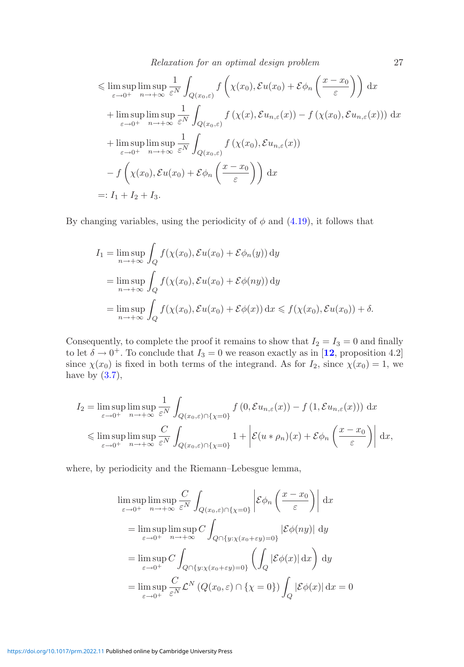*Relaxation for an optimal design problem* 27

$$
\leq \limsup_{\varepsilon \to 0^{+}} \limsup_{n \to +\infty} \frac{1}{\varepsilon^{N}} \int_{Q(x_{0},\varepsilon)} f\left(\chi(x_{0}), \mathcal{E}u(x_{0}) + \mathcal{E}\phi_{n}\left(\frac{x-x_{0}}{\varepsilon}\right)\right) dx
$$
  
+ 
$$
\limsup_{\varepsilon \to 0^{+}} \limsup_{n \to +\infty} \frac{1}{\varepsilon^{N}} \int_{Q(x_{0},\varepsilon)} f\left(\chi(x), \mathcal{E}u_{n,\varepsilon}(x)\right) - f\left(\chi(x_{0}), \mathcal{E}u_{n,\varepsilon}(x)\right) dx
$$
  
+ 
$$
\limsup_{\varepsilon \to 0^{+}} \limsup_{n \to +\infty} \frac{1}{\varepsilon^{N}} \int_{Q(x_{0},\varepsilon)} f\left(\chi(x_{0}), \mathcal{E}u_{n,\varepsilon}(x)\right)
$$
  
- 
$$
f\left(\chi(x_{0}), \mathcal{E}u(x_{0}) + \mathcal{E}\phi_{n}\left(\frac{x-x_{0}}{\varepsilon}\right)\right) dx
$$
  
=: 
$$
I_{1} + I_{2} + I_{3}.
$$

By changing variables, using the periodicity of  $\phi$  and [\(4.19\)](#page-25-1), it follows that

$$
I_1 = \limsup_{n \to +\infty} \int_Q f(\chi(x_0), \mathcal{E}u(x_0) + \mathcal{E}\phi_n(y)) dy
$$
  
= 
$$
\limsup_{n \to +\infty} \int_Q f(\chi(x_0), \mathcal{E}u(x_0) + \mathcal{E}\phi(ny)) dy
$$
  
= 
$$
\limsup_{n \to +\infty} \int_Q f(\chi(x_0), \mathcal{E}u(x_0) + \mathcal{E}\phi(x)) dx \le f(\chi(x_0), \mathcal{E}u(x_0)) + \delta.
$$

Consequently, to complete the proof it remains to show that  $I_2 = I_3 = 0$  and finally to let  $\delta \to 0^+$ . To conclude that  $I_3 = 0$  we reason exactly as in [[12](#page-41-5), proposition 4.2] since  $\chi(x_0)$  is fixed in both terms of the integrand. As for  $I_2$ , since  $\chi(x_0) = 1$ , we have by  $(3.7)$ ,

$$
I_2 = \limsup_{\varepsilon \to 0^+} \limsup_{n \to +\infty} \frac{1}{\varepsilon^N} \int_{Q(x_0,\varepsilon) \cap \{\chi = 0\}} f(0, \mathcal{E}u_{n,\varepsilon}(x)) - f(1, \mathcal{E}u_{n,\varepsilon}(x))) dx
$$
  
\$\leqslant \limsup\_{\varepsilon \to 0^+} \limsup\_{n \to +\infty} \frac{C}{\varepsilon^N} \int\_{Q(x\_0,\varepsilon) \cap \{\chi = 0\}} 1 + \left| \mathcal{E}(u \* \rho\_n)(x) + \mathcal{E}\phi\_n\left(\frac{x - x\_0}{\varepsilon}\right) \right| dx,

where, by periodicity and the Riemann–Lebesgue lemma,

$$
\limsup_{\varepsilon \to 0^{+}} \limsup_{n \to +\infty} \frac{C}{\varepsilon^{N}} \int_{Q(x_{0}, \varepsilon) \cap \{\chi = 0\}} \left| \mathcal{E}\phi_{n}\left(\frac{x - x_{0}}{\varepsilon}\right) \right| dx
$$
\n
$$
= \limsup_{\varepsilon \to 0^{+}} \limsup_{n \to +\infty} C \int_{Q \cap \{y : \chi(x_{0} + \varepsilon y) = 0\}} |\mathcal{E}\phi(ny)| dy
$$
\n
$$
= \limsup_{\varepsilon \to 0^{+}} C \int_{Q \cap \{y : \chi(x_{0} + \varepsilon y) = 0\}} \left(\int_{Q} |\mathcal{E}\phi(x)| dx\right) dy
$$
\n
$$
= \limsup_{\varepsilon \to 0^{+}} \frac{C}{\varepsilon^{N}} \mathcal{L}^{N}\left(Q(x_{0}, \varepsilon) \cap \{\chi = 0\}\right) \int_{Q} |\mathcal{E}\phi(x)| dx = 0
$$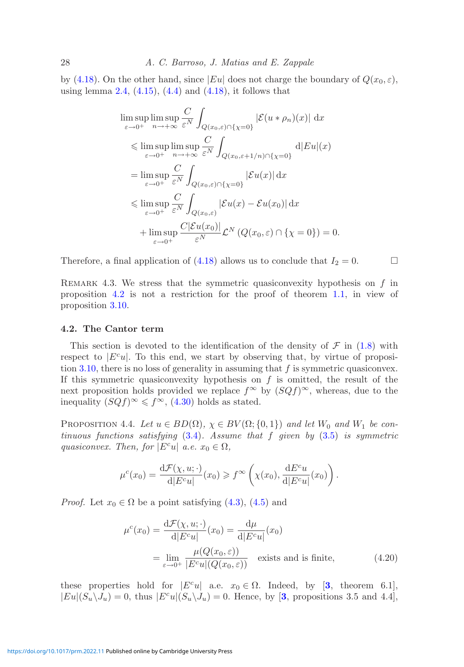by [\(4.18\)](#page-25-2). On the other hand, since  $|Eu|$  does not charge the boundary of  $Q(x_0, \varepsilon)$ , using lemma [2.4,](#page-9-0)  $(4.15)$ ,  $(4.4)$  and  $(4.18)$ , it follows that

$$
\limsup_{\varepsilon \to 0^{+}} \limsup_{n \to +\infty} \frac{C}{\varepsilon^{N}} \int_{Q(x_{0}, \varepsilon) \cap \{\chi=0\}} |\mathcal{E}(u * \rho_{n})(x)| dx
$$
\n
$$
\leq \limsup_{\varepsilon \to 0^{+}} \limsup_{n \to +\infty} \frac{C}{\varepsilon^{N}} \int_{Q(x_{0}, \varepsilon+1/n) \cap \{\chi=0\}} d|Eu|(x)
$$
\n
$$
= \limsup_{\varepsilon \to 0^{+}} \frac{C}{\varepsilon^{N}} \int_{Q(x_{0}, \varepsilon) \cap \{\chi=0\}} |\mathcal{E}u(x)| dx
$$
\n
$$
\leq \limsup_{\varepsilon \to 0^{+}} \frac{C}{\varepsilon^{N}} \int_{Q(x_{0}, \varepsilon)} |\mathcal{E}u(x) - \mathcal{E}u(x_{0})| dx
$$
\n
$$
+ \limsup_{\varepsilon \to 0^{+}} \frac{C|\mathcal{E}u(x_{0})|}{\varepsilon^{N}} \mathcal{L}^{N} (Q(x_{0}, \varepsilon) \cap \{\chi=0\}) = 0.
$$

Therefore, a final application of [\(4.18\)](#page-25-2) allows us to conclude that  $I_2 = 0$ .

REMARK 4.3. We stress that the symmetric quasiconvexity hypothesis on  $f$  in proposition [4.2](#page-24-1) is not a restriction for the proof of theorem [1.1,](#page-3-4) in view of proposition [3.10.](#page-19-0)

#### <span id="page-27-0"></span>**4.2. The Cantor term**

This section is devoted to the identification of the density of  $\mathcal F$  in [\(1.8\)](#page-3-0) with respect to  $|E^c u|$ . To this end, we start by observing that, by virtue of proposi-tion [3.10,](#page-19-0) there is no loss of generality in assuming that  $f$  is symmetric quasiconvex. If this symmetric quasiconvexity hypothesis on  $f$  is omitted, the result of the next proposition holds provided we replace  $f^{\infty}$  by  $(SQf)^{\infty}$ , whereas, due to the inequality  $(SQf)^\infty \leq f^\infty$ , [\(4.30\)](#page-30-0) holds as stated.

<span id="page-27-2"></span>PROPOSITION 4.4. Let  $u \in BD(\Omega)$ ,  $\chi \in BV(\Omega; \{0,1\})$  and let  $W_0$  and  $W_1$  be con*tinuous functions satisfying* [\(3.4\)](#page-13-1)*. Assume that* f *given by* [\(3.5\)](#page-13-3) *is symmetric quasiconvex. Then, for*  $|E^c u|$  *a.e.*  $x_0 \in \Omega$ *,* 

$$
\mu^{c}(x_0) = \frac{\mathrm{d}\mathcal{F}(\chi, u; \cdot)}{\mathrm{d}|E^{c}u|}(x_0) \geq f^{\infty}\left(\chi(x_0), \frac{\mathrm{d}E^{c}u}{\mathrm{d}|E^{c}u|}(x_0)\right).
$$

*Proof.* Let  $x_0 \in \Omega$  be a point satisfying [\(4.3\)](#page-21-4), [\(4.5\)](#page-22-0) and

<span id="page-27-1"></span>
$$
\mu^{c}(x_{0}) = \frac{d\mathcal{F}(\chi, u; \cdot)}{d|E^{c}u|}(x_{0}) = \frac{d\mu}{d|E^{c}u|}(x_{0})
$$

$$
= \lim_{\varepsilon \to 0^{+}} \frac{\mu(Q(x_{0}, \varepsilon))}{|E^{c}u|(Q(x_{0}, \varepsilon))} \quad \text{exists and is finite,}
$$
(4.20)

these properties hold for  $|E^c u|$  a.e.  $x_0 \in \Omega$ . Indeed, by [[3](#page-41-19), theorem 6.1],  $|E u|(S_u\setminus J_u) = 0$ , thus  $|E^c u|(S_u\setminus J_u) = 0$ . Hence, by [[3](#page-41-19), propositions 3.5 and 4.4],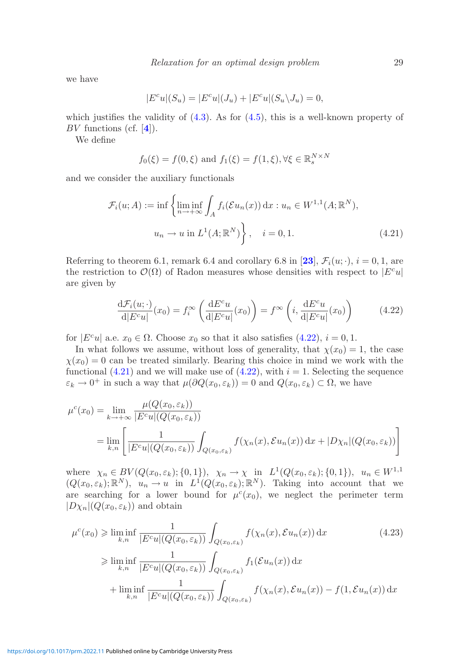we have

$$
|E^c u|(S_u) = |E^c u|(J_u) + |E^c u|(S_u \backslash J_u) = 0,
$$

which justifies the validity of  $(4.3)$ . As for  $(4.5)$ , this is a well-known property of BV functions (cf. [**[4](#page-41-17)**]).

We define

<span id="page-28-1"></span>
$$
f_0(\xi) = f(0, \xi)
$$
 and  $f_1(\xi) = f(1, \xi), \forall \xi \in \mathbb{R}_s^{N \times N}$ 

and we consider the auxiliary functionals

$$
\mathcal{F}_i(u;A) := \inf \left\{ \liminf_{n \to +\infty} \int_A f_i(\mathcal{E}u_n(x)) \, dx : u_n \in W^{1,1}(A; \mathbb{R}^N),
$$

$$
u_n \to u \text{ in } L^1(A; \mathbb{R}^N) \right\}, \quad i = 0, 1.
$$
 (4.21)

Referring to theorem 6.1, remark 6.4 and corollary 6.8 in [[23](#page-41-8)],  $\mathcal{F}_i(u; \cdot)$ ,  $i = 0, 1$ , are the restriction to  $\mathcal{O}(\Omega)$  of Radon measures whose densities with respect to  $|E^c u|$ are given by

<span id="page-28-0"></span>
$$
\frac{\mathrm{d}\mathcal{F}_i(u;\cdot)}{\mathrm{d}|E^c u|}(x_0) = f_i^{\infty}\left(\frac{\mathrm{d}E^c u}{\mathrm{d}|E^c u|}(x_0)\right) = f^{\infty}\left(i,\frac{\mathrm{d}E^c u}{\mathrm{d}|E^c u|}(x_0)\right) \tag{4.22}
$$

for  $|E^c u|$  a.e.  $x_0 \in \Omega$ . Choose  $x_0$  so that it also satisfies  $(4.22), i = 0, 1$  $(4.22), i = 0, 1$ .

In what follows we assume, without loss of generality, that  $\chi(x_0) = 1$ , the case  $\chi(x_0) = 0$  can be treated similarly. Bearing this choice in mind we work with the functional  $(4.21)$  and we will make use of  $(4.22)$ , with  $i = 1$ . Selecting the sequence  $\varepsilon_k \to 0^+$  in such a way that  $\mu(\partial Q(x_0, \varepsilon_k)) = 0$  and  $Q(x_0, \varepsilon_k) \subset \Omega$ , we have

$$
\mu^{c}(x_{0}) = \lim_{k \to +\infty} \frac{\mu(Q(x_{0}, \varepsilon_{k}))}{|E^{c}u|(Q(x_{0}, \varepsilon_{k}))}
$$
  
= 
$$
\lim_{k,n} \left[ \frac{1}{|E^{c}u|(Q(x_{0}, \varepsilon_{k}))} \int_{Q(x_{0}, \varepsilon_{k})} f(\chi_{n}(x), \mathcal{E}u_{n}(x)) dx + |D\chi_{n}|(Q(x_{0}, \varepsilon_{k})) \right]
$$

where  $\chi_n \in BV(Q(x_0, \varepsilon_k); \{0, 1\}), \ \chi_n \to \chi \text{ in } L^1(Q(x_0, \varepsilon_k); \{0, 1\}), \ u_n \in W^{1,1}$  $(Q(x_0, \varepsilon_k); \mathbb{R}^N)$ ,  $u_n \to u$  in  $L^1(Q(x_0, \varepsilon_k); \mathbb{R}^N)$ . Taking into account that we are searching for a lower bound for  $\mu^{c}(x_0)$ , we neglect the perimeter term  $|D\chi_n|(Q(x_0,\varepsilon_k))$  and obtain

<span id="page-28-2"></span>
$$
\mu^{c}(x_{0}) \geq \liminf_{k,n} \frac{1}{|E^{c}u|(Q(x_{0},\varepsilon_{k}))} \int_{Q(x_{0},\varepsilon_{k})} f(\chi_{n}(x), \mathcal{E}u_{n}(x)) dx
$$
\n
$$
\geq \liminf_{k,n} \frac{1}{|E^{c}u|(Q(x_{0},\varepsilon_{k}))} \int_{Q(x_{0},\varepsilon_{k})} f_{1}(\mathcal{E}u_{n}(x)) dx
$$
\n
$$
+ \liminf_{k,n} \frac{1}{|E^{c}u|(Q(x_{0},\varepsilon_{k}))} \int_{Q(x_{0},\varepsilon_{k})} f(\chi_{n}(x), \mathcal{E}u_{n}(x)) - f(1, \mathcal{E}u_{n}(x)) dx
$$
\n(4.23)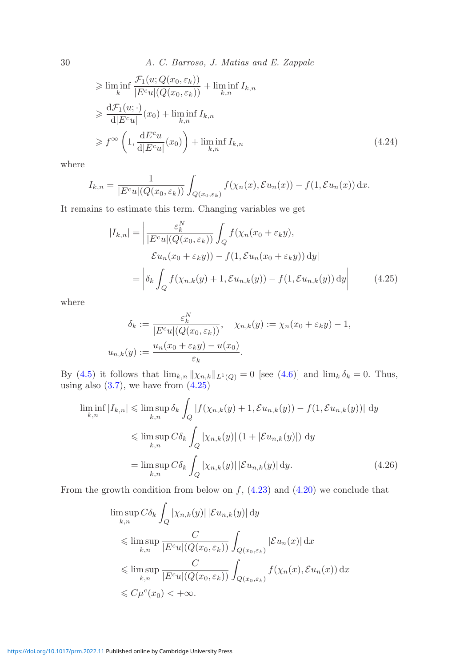30 *A. C. Barroso, J. Matias and E. Zappale*

$$
\geq \liminf_{k} \frac{\mathcal{F}_1(u; Q(x_0, \varepsilon_k))}{|E^c u|(Q(x_0, \varepsilon_k))} + \liminf_{k,n} I_{k,n}
$$
  
\n
$$
\geq \frac{\mathrm{d}\mathcal{F}_1(u; \cdot)}{\mathrm{d}|E^c u|}(x_0) + \liminf_{k,n} I_{k,n}
$$
  
\n
$$
\geq f^{\infty} \left(1, \frac{\mathrm{d}E^c u}{\mathrm{d}|E^c u|}(x_0)\right) + \liminf_{k,n} I_{k,n} \tag{4.24}
$$

where

$$
I_{k,n} = \frac{1}{|E^c u|(Q(x_0, \varepsilon_k))} \int_{Q(x_0, \varepsilon_k)} f(\chi_n(x), \mathcal{E} u_n(x)) - f(1, \mathcal{E} u_n(x)) \, dx.
$$

It remains to estimate this term. Changing variables we get

<span id="page-29-1"></span>
$$
|I_{k,n}| = \left| \frac{\varepsilon_k^N}{|E^c u|(Q(x_0, \varepsilon_k))} \int_Q f(\chi_n(x_0 + \varepsilon_k y),
$$
  

$$
\mathcal{E}u_n(x_0 + \varepsilon_k y)) - f(1, \mathcal{E}u_n(x_0 + \varepsilon_k y)) dy \right|
$$
  

$$
= \left| \delta_k \int_Q f(\chi_{n,k}(y) + 1, \mathcal{E}u_{n,k}(y)) - f(1, \mathcal{E}u_{n,k}(y)) dy \right|
$$
 (4.25)

where

<span id="page-29-0"></span>
$$
\delta_k := \frac{\varepsilon_k^N}{|E^c u|(Q(x_0, \varepsilon_k))}, \quad \chi_{n,k}(y) := \chi_n(x_0 + \varepsilon_k y) - 1,
$$
  

$$
u_{n,k}(y) := \frac{u_n(x_0 + \varepsilon_k y) - u(x_0)}{\varepsilon_k}.
$$

By [\(4.5\)](#page-22-0) it follows that  $\lim_{k,n} ||\chi_{n,k}||_{L^1(Q)} = 0$  [see [\(4.6\)](#page-22-1)] and  $\lim_{k} \delta_k = 0$ . Thus, using also  $(3.7)$ , we have from  $(4.25)$ 

$$
\liminf_{k,n} |I_{k,n}| \leq \limsup_{k,n} \delta_k \int_Q |f(\chi_{n,k}(y) + 1, \mathcal{E}u_{n,k}(y)) - f(1, \mathcal{E}u_{n,k}(y))| \, dy
$$
  

$$
\leq \limsup_{k,n} C\delta_k \int_Q |\chi_{n,k}(y)| (1 + |\mathcal{E}u_{n,k}(y)|) \, dy
$$
  

$$
= \limsup_{k,n} C\delta_k \int_Q |\chi_{n,k}(y)| |\mathcal{E}u_{n,k}(y)| \, dy. \tag{4.26}
$$

From the growth condition from below on  $f$ ,  $(4.23)$  and  $(4.20)$  we conclude that

<span id="page-29-2"></span>
$$
\limsup_{k,n} C\delta_k \int_Q |\chi_{n,k}(y)| |\mathcal{E} u_{n,k}(y)| dy
$$
\n
$$
\leq \limsup_{k,n} \frac{C}{|E^c u|(Q(x_0, \varepsilon_k))} \int_{Q(x_0, \varepsilon_k)} |\mathcal{E} u_n(x)| dx
$$
\n
$$
\leq \limsup_{k,n} \frac{C}{|E^c u|(Q(x_0, \varepsilon_k))} \int_{Q(x_0, \varepsilon_k)} f(\chi_n(x), \mathcal{E} u_n(x)) dx
$$
\n
$$
\leq C \mu^c(x_0) < +\infty.
$$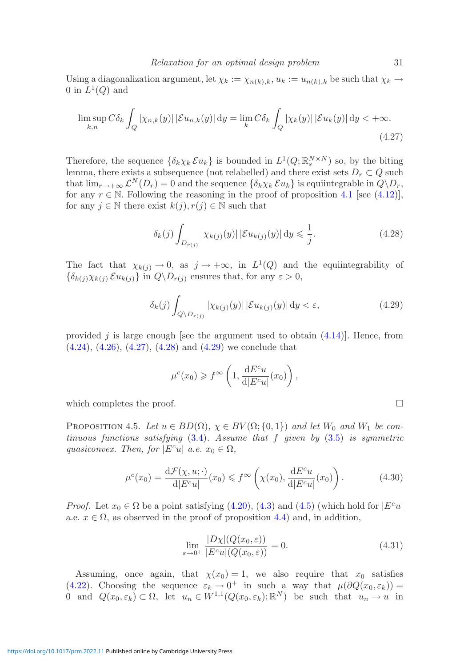Using a diagonalization argument, let  $\chi_k := \chi_{n(k),k}$ ,  $u_k := u_{n(k),k}$  be such that  $\chi_k \to$ 0 in  $L^1(Q)$  and

$$
\limsup_{k,n} C\delta_k \int_Q |\chi_{n,k}(y)| |\mathcal{E} u_{n,k}(y)| \, \mathrm{d}y = \lim_{k} C\delta_k \int_Q |\chi_k(y)| |\mathcal{E} u_k(y)| \, \mathrm{d}y < +\infty. \tag{4.27}
$$

Therefore, the sequence  $\{\delta_k \chi_k \mathcal{E} u_k\}$  is bounded in  $L^1(Q; \mathbb{R}^{N \times N}_s)$  so, by the biting lemma, there exists a subsequence (not relabelled) and there exist sets  $D_r \subset Q$  such that  $\lim_{r\to+\infty}$   $\mathcal{L}^N(D_r)=0$  and the sequence  $\{\delta_k\chi_k\mathcal{E} u_k\}$  is equiintegrable in  $Q\backslash D_r$ , for any  $r \in \mathbb{N}$ . Following the reasoning in the proof of proposition [4.1](#page-21-5) [see [\(4.12\)](#page-23-4)], for any  $j \in \mathbb{N}$  there exist  $k(j), r(j) \in \mathbb{N}$  such that

<span id="page-30-2"></span><span id="page-30-1"></span>
$$
\delta_k(j) \int_{D_{r(j)}} |\chi_{k(j)}(y)| |\mathcal{E} u_{k(j)}(y)| \, \mathrm{d}y \leqslant \frac{1}{j}.\tag{4.28}
$$

The fact that  $\chi_{k(j)} \to 0$ , as  $j \to +\infty$ , in  $L^1(Q)$  and the equiintegrability of  $\{\delta_{k(j)}\chi_{k(j)}\mathcal{E}u_{k(j)}\}\$  in  $Q\backslash D_{r(j)}$  ensures that, for any  $\varepsilon > 0$ ,

$$
\delta_k(j) \int_{Q \setminus D_{r(j)}} |\chi_{k(j)}(y)| |\mathcal{E} u_{k(j)}(y)| \, dy < \varepsilon,\tag{4.29}
$$

provided  $j$  is large enough [see the argument used to obtain  $(4.14)$ ]. Hence, from [\(4.24\)](#page-29-1), [\(4.26\)](#page-29-2), [\(4.27\)](#page-30-1), [\(4.28\)](#page-30-2) and [\(4.29\)](#page-30-3) we conclude that

<span id="page-30-3"></span>
$$
\mu^{c}(x_0) \geqslant f^{\infty}\left(1, \frac{\mathrm{d} E^{c} u}{\mathrm{d} |E^{c} u|}(x_0)\right),
$$

which completes the proof.  $\Box$ 

PROPOSITION 4.5. Let  $u \in BD(\Omega)$ ,  $\chi \in BV(\Omega; \{0,1\})$  and let  $W_0$  and  $W_1$  be con*tinuous functions satisfying* [\(3.4\)](#page-13-1)*. Assume that* f *given by* [\(3.5\)](#page-13-3) *is symmetric quasiconvex. Then, for*  $|E^c u|$  *a.e.*  $x_0 \in \Omega$ *,* 

$$
\mu^{c}(x_0) = \frac{\mathrm{d}\mathcal{F}(\chi, u; \cdot)}{\mathrm{d}|E^{c}u|}(x_0) \leqslant f^{\infty}\left(\chi(x_0), \frac{\mathrm{d}E^{c}u}{\mathrm{d}|E^{c}u|}(x_0)\right). \tag{4.30}
$$

*Proof.* Let  $x_0 \in \Omega$  be a point satisfying [\(4.20\)](#page-27-1), [\(4.3\)](#page-21-4) and [\(4.5\)](#page-22-0) (which hold for  $|E^c u|$ a.e.  $x \in \Omega$ , as observed in the proof of proposition [4.4\)](#page-27-2) and, in addition,

<span id="page-30-4"></span><span id="page-30-0"></span>
$$
\lim_{\varepsilon \to 0^+} \frac{|D\chi|(Q(x_0, \varepsilon))}{|E^c u|(Q(x_0, \varepsilon))} = 0.
$$
\n(4.31)

Assuming, once again, that  $\chi(x_0) = 1$ , we also require that  $x_0$  satisfies [\(4.22\)](#page-28-0). Choosing the sequence  $\varepsilon_k \to 0^+$  in such a way that  $\mu(\partial Q(x_0, \varepsilon_k)) =$ 0 and  $Q(x_0, \varepsilon_k) \subset \Omega$ , let  $u_n \in W^{1,1}(Q(x_0, \varepsilon_k); \mathbb{R}^N)$  be such that  $u_n \to u$  in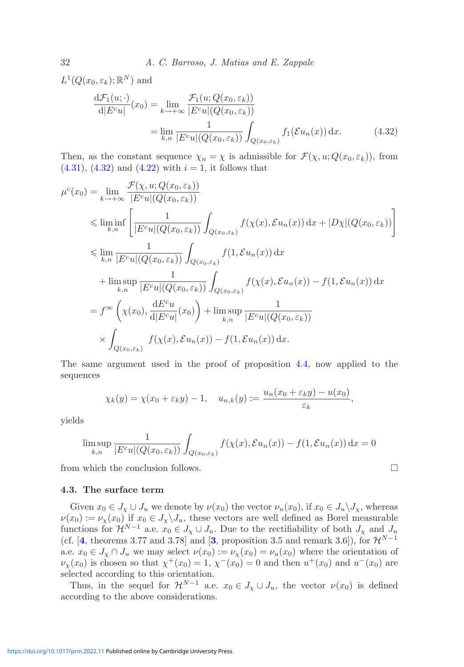$L^1(Q(x_0, \varepsilon_k); \mathbb{R}^N)$  and

<span id="page-31-1"></span>
$$
\frac{\mathrm{d}\mathcal{F}_1(u;\cdot)}{\mathrm{d}|E^c u|}(x_0) = \lim_{k \to +\infty} \frac{\mathcal{F}_1(u;Q(x_0,\varepsilon_k))}{|E^c u|(Q(x_0,\varepsilon_k))}
$$
\n
$$
= \lim_{k,n} \frac{1}{|E^c u|(Q(x_0,\varepsilon_k))} \int_{Q(x_0,\varepsilon_k)} f_1(\mathcal{E}u_n(x)) \,\mathrm{d}x. \tag{4.32}
$$

Then, as the constant sequence  $\chi_n = \chi$  is admissible for  $\mathcal{F}(\chi, u; Q(x_0, \varepsilon_k))$ , from  $(4.31), (4.32)$  $(4.31), (4.32)$  $(4.31), (4.32)$  and  $(4.22)$  with  $i = 1$ , it follows that

$$
\mu^{c}(x_{0}) = \lim_{k \to +\infty} \frac{\mathcal{F}(\chi, u; Q(x_{0}, \varepsilon_{k}))}{|E^{c}u|(Q(x_{0}, \varepsilon_{k}))}
$$
\n
$$
\leq \liminf_{k,n} \left[ \frac{1}{|E^{c}u|(Q(x_{0}, \varepsilon_{k}))} \int_{Q(x_{0}, \varepsilon_{k})} f(\chi(x), \varepsilon u_{n}(x)) dx + |D\chi|(Q(x_{0}, \varepsilon_{k})) \right]
$$
\n
$$
\leq \lim_{k,n} \frac{1}{|E^{c}u|(Q(x_{0}, \varepsilon_{k}))} \int_{Q(x_{0}, \varepsilon_{k})} f(1, \varepsilon u_{n}(x)) dx
$$
\n
$$
+ \limsup_{k,n} \frac{1}{|E^{c}u|(Q(x_{0}, \varepsilon_{k}))} \int_{Q(x_{0}, \varepsilon_{k})} f(\chi(x), \varepsilon u_{n}(x)) - f(1, \varepsilon u_{n}(x)) dx
$$
\n
$$
= f^{\infty} \left( \chi(x_{0}), \frac{dE^{c}u}{d|E^{c}u|}(x_{0}) \right) + \limsup_{k,n} \frac{1}{|E^{c}u|(Q(x_{0}, \varepsilon_{k}))}
$$
\n
$$
\times \int_{Q(x_{0}, \varepsilon_{k})} f(\chi(x), \varepsilon u_{n}(x)) - f(1, \varepsilon u_{n}(x)) dx.
$$

The same argument used in the proof of proposition [4.4,](#page-27-2) now applied to the sequences

$$
\chi_k(y) = \chi(x_0 + \varepsilon_k y) - 1, \quad u_{n,k}(y) := \frac{u_n(x_0 + \varepsilon_k y) - u(x_0)}{\varepsilon_k},
$$

yields

$$
\limsup_{k,n} \frac{1}{|E^c u|(Q(x_0, \varepsilon_k))} \int_{Q(x_0, \varepsilon_k)} f(\chi(x), \mathcal{E} u_n(x)) - f(1, \mathcal{E} u_n(x)) dx = 0
$$

<span id="page-31-0"></span>from which the conclusion follows.  $\Box$ 

# **4.3. The surface term**

Given  $x_0 \in J_\chi \cup J_u$  we denote by  $\nu(x_0)$  the vector  $\nu_u(x_0)$ , if  $x_0 \in J_u \setminus J_\chi$ , whereas  $\nu(x_0) := \nu_x(x_0)$  if  $x_0 \in J_x \backslash J_u$ , these vectors are well defined as Borel measurable functions for  $\mathcal{H}^{N-1}$  a.e.  $x_0 \in J_{\chi} \cup J_u$ . Due to the rectifiability of both  $J_{\chi}$  and  $J_u$ (cf. [[4](#page-41-17), theorems [3](#page-41-19).77 and 3.78] and [3, proposition 3.5 and remark 3.6]), for  $\mathcal{H}^{N-1}$ a.e.  $x_0 \in J_\chi \cap J_u$  we may select  $\nu(x_0) := \nu_\chi(x_0) = \nu_u(x_0)$  where the orientation of  $\nu_{\mathbf{v}}(x_0)$  is chosen so that  $\chi^+(x_0) = 1$ ,  $\chi^-(x_0) = 0$  and then  $u^+(x_0)$  and  $u^-(x_0)$  are selected according to this orientation.

Thus, in the sequel for  $\mathcal{H}^{N-1}$  a.e.  $x_0 \in J_{\chi} \cup J_u$ , the vector  $\nu(x_0)$  is defined according to the above considerations.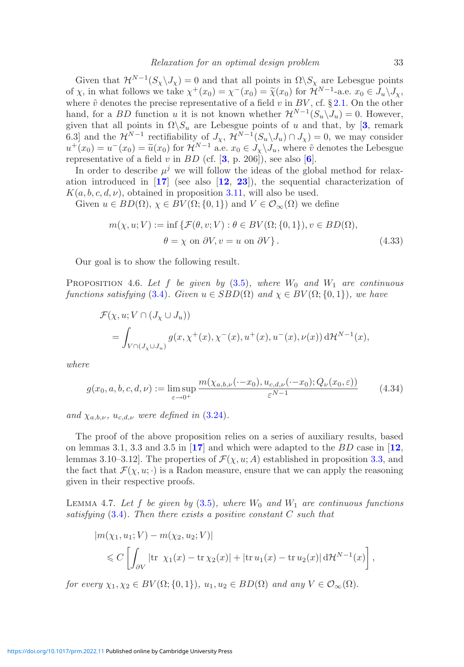Given that  $\mathcal{H}^{N-1}(S_{\chi}\backslash J_{\chi})=0$  and that all points in  $\Omega\backslash S_{\chi}$  are Lebesgue points of x, in what follows we take  $\chi^+(x_0) = \chi^-(x_0) = \tilde{\chi}(x_0)$  for  $\tilde{\mathcal{H}}^{N-1}$ -a.e.  $x_0 \in \tilde{J}_u \backslash J_{\chi}$ , where  $\tilde{v}$  denotes the precise representative of a field v in BV, cf. § [2.1.](#page-6-0) On the other hand, for a BD function u it is not known whether  $\mathcal{H}^{N-1}(S_u\backslash J_u) = 0$ . However, given that all points in  $\Omega \backslash S_u$  are Lebesgue points of u and that, by [[3](#page-41-19), remark 6.3] and the  $\mathcal{H}^{N-1}$  rectifiability of  $J_{\chi}$ ,  $\breve{\mathcal{H}}^{N-1}(S_u\backslash J_u) \cap J_{\chi}) = 0$ , we may consider  $u^+(x_0) = u^-(x_0) = \tilde{u}(x_0)$  for  $\mathcal{H}^{N-1}$  a.e.  $x_0 \in J_\chi \backslash J_u$ , where  $\tilde{v}$  denotes the Lebesgue representative of a field v in  $BD$  (cf.  $[3, p. 206]$  $[3, p. 206]$  $[3, p. 206]$  $[3, p. 206]$  $[3, p. 206]$ ), see also  $[6]$ .

In order to describe  $\mu^j$  we will follow the ideas of the global method for relaxation introduced in [**[17](#page-41-6)**] (see also [**[12](#page-41-5)**, **[23](#page-41-8)**]), the sequential characterization of  $K(a, b, c, d, \nu)$ , obtained in proposition [3.11,](#page-20-0) will also be used.

Given  $u \in BD(\Omega)$ ,  $\chi \in BV(\Omega; \{0,1\})$  and  $V \in \mathcal{O}_{\infty}(\Omega)$  we define

<span id="page-32-2"></span>
$$
m(\chi, u; V) := \inf \{ \mathcal{F}(\theta, v; V) : \theta \in BV(\Omega; \{0, 1\}), v \in BD(\Omega),
$$
  

$$
\theta = \chi \text{ on } \partial V, v = u \text{ on } \partial V \}.
$$
 (4.33)

<span id="page-32-0"></span>Our goal is to show the following result.

PROPOSITION 4.6. Let f be given by  $(3.5)$ , where  $W_0$  and  $W_1$  are continuous *functions satisfying* [\(3.4\)](#page-13-1)*. Given*  $u \in SBD(\Omega)$  *and*  $\chi \in BV(\Omega; \{0, 1\})$ *, we have* 

$$
\mathcal{F}(\chi, u; V \cap (J_{\chi} \cup J_u))
$$
  
= 
$$
\int_{V \cap (J_{\chi} \cup J_u)} g(x, \chi^+(x), \chi^-(x), u^+(x), u^-(x), \nu(x)) d\mathcal{H}^{N-1}(x),
$$

*where*

$$
g(x_0, a, b, c, d, \nu) := \limsup_{\varepsilon \to 0^+} \frac{m(\chi_{a,b,\nu}(\cdot - x_0), u_{c,d,\nu}(\cdot - x_0); Q_{\nu}(x_0, \varepsilon))}{\varepsilon^{N-1}} \tag{4.34}
$$

*and*  $\chi_{a,b,\nu}$ *, u<sub>c,d,v</sub> were defined in* [\(3.24\)](#page-20-1)*.* 

The proof of the above proposition relies on a series of auxiliary results, based on lemmas 3.1, 3.3 and 3.5 in [**[17](#page-41-6)**] and which were adapted to the BD case in [**[12](#page-41-5)**, lemmas 3.10–3.12. The properties of  $\mathcal{F}(\chi, u; A)$  established in proposition [3.3,](#page-14-1) and the fact that  $\mathcal{F}(\chi, u; \cdot)$  is a Radon measure, ensure that we can apply the reasoning given in their respective proofs.

<span id="page-32-1"></span>LEMMA 4.7. Let f be given by  $(3.5)$ , where  $W_0$  and  $W_1$  are continuous functions *satisfying* [\(3.4\)](#page-13-1)*. Then there exists a positive constant* C *such that*

$$
|m(\chi_1, u_1; V) - m(\chi_2, u_2; V)|
$$
  
\$\leq C \left[ \int\_{\partial V} |\text{tr } \chi\_1(x) - \text{tr } \chi\_2(x)| + |\text{tr } u\_1(x) - \text{tr } u\_2(x)| d\mathcal{H}^{N-1}(x) \right],\$

*for every*  $\chi_1, \chi_2 \in BV(\Omega; \{0, 1\}), u_1, u_2 \in BD(\Omega)$  *and any*  $V \in \mathcal{O}_{\infty}(\Omega)$ .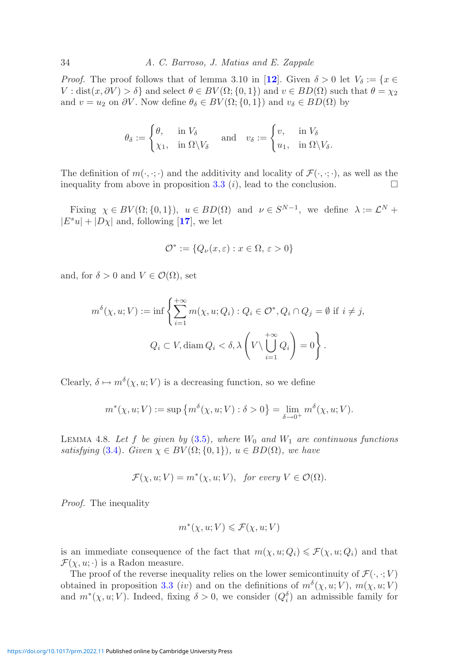*Proof.* The proof follows that of lemma 3.10 in [[12](#page-41-5)]. Given  $\delta > 0$  let  $V_{\delta} := \{x \in$ V : dist $(x, \partial V) > \delta$  and select  $\theta \in BV(\Omega; \{0, 1\})$  and  $v \in BD(\Omega)$  such that  $\theta = \chi_2$ and  $v = u_2$  on  $\partial V$ . Now define  $\theta_{\delta} \in BV(\Omega; \{0, 1\})$  and  $v_{\delta} \in BD(\Omega)$  by

$$
\theta_{\delta} := \begin{cases} \theta, & \text{in } V_{\delta} \\ \chi_1, & \text{in } \Omega \setminus V_{\delta} \end{cases} \quad \text{and} \quad v_{\delta} := \begin{cases} v, & \text{in } V_{\delta} \\ u_1, & \text{in } \Omega \setminus V_{\delta}. \end{cases}
$$

The definition of  $m(\cdot, \cdot; \cdot)$  and the additivity and locality of  $\mathcal{F}(\cdot, \cdot; \cdot)$ , as well as the inequality from above in proposition [3.3](#page-14-1)  $(i)$ , lead to the conclusion.

Fixing  $\chi \in BV(\Omega; \{0, 1\}), u \in BD(\Omega)$  and  $\nu \in S^{N-1}$ , we define  $\lambda := \mathcal{L}^N$  +  $|E^s u| + |D\chi|$  and, following [[17](#page-41-6)], we let

$$
\mathcal{O}^* := \{ Q_{\nu}(x,\varepsilon) : x \in \Omega, \, \varepsilon > 0 \}
$$

and, for  $\delta > 0$  and  $V \in \mathcal{O}(\Omega)$ , set

$$
m^{\delta}(\chi, u; V) := \inf \left\{ \sum_{i=1}^{+\infty} m(\chi, u; Q_i) : Q_i \in \mathcal{O}^*, Q_i \cap Q_j = \emptyset \text{ if } i \neq j, \right\}
$$
  

$$
Q_i \subset V, \text{diam } Q_i < \delta, \lambda \left( V \setminus \bigcup_{i=1}^{+\infty} Q_i \right) = 0 \right\}.
$$

Clearly,  $\delta \mapsto m^{\delta}(\chi, u; V)$  is a decreasing function, so we define

$$
m^*(\chi, u; V) := \sup \left\{ m^{\delta}(\chi, u; V) : \delta > 0 \right\} = \lim_{\delta \to 0^+} m^{\delta}(\chi, u; V).
$$

LEMMA 4.8. Let f be given by  $(3.5)$ , where  $W_0$  and  $W_1$  are continuous functions *satisfying* [\(3.4\)](#page-13-1)*.* Given  $\chi \in BV(\Omega; \{0, 1\})$ *,*  $u \in BD(\Omega)$ *, we have* 

$$
\mathcal{F}(\chi, u; V) = m^*(\chi, u; V), \text{ for every } V \in \mathcal{O}(\Omega).
$$

*Proof.* The inequality

$$
m^*(\chi, u; V) \leqslant \mathcal{F}(\chi, u; V)
$$

is an immediate consequence of the fact that  $m(\chi, u; Q_i) \leq \mathcal{F}(\chi, u; Q_i)$  and that  $\mathcal{F}(\chi, u; \cdot)$  is a Radon measure.

The proof of the reverse inequality relies on the lower semicontinuity of  $\mathcal{F}(\cdot, \cdot; V)$ obtained in proposition [3.3](#page-14-1) (iv) and on the definitions of  $m^{\delta}(\chi, u; V)$ ,  $m(\chi, u; V)$ and  $m^*(\chi, u; V)$ . Indeed, fixing  $\delta > 0$ , we consider  $(Q_i^{\delta})$  an admissible family for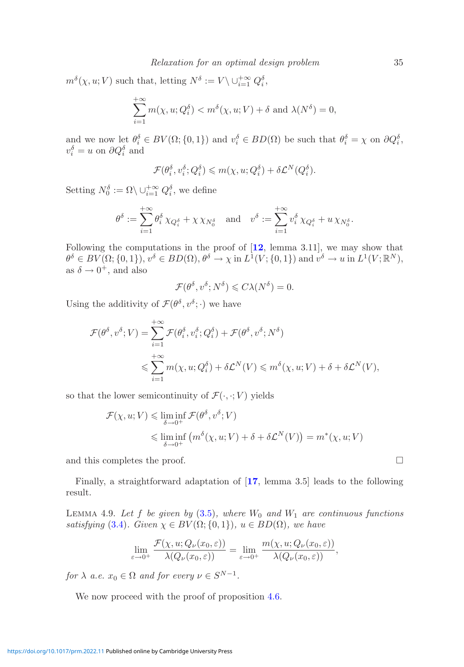$m^{\delta}(\chi, u; V)$  such that, letting  $N^{\delta} := V \setminus \cup_{i=1}^{+\infty} Q_i^{\delta}$ ,

$$
\sum_{i=1}^{+\infty} m(\chi, u; Q_i^{\delta}) < m^{\delta}(\chi, u; V) + \delta \text{ and } \lambda(N^{\delta}) = 0,
$$

and we now let  $\theta_i^{\delta} \in BV(\Omega;\{0,1\})$  and  $v_i^{\delta} \in BD(\Omega)$  be such that  $\theta_i^{\delta} = \chi$  on  $\partial Q_i^{\delta}$ .  $v_i^{\delta} = u$  on  $\partial Q_i^{\delta}$  and

$$
\mathcal{F}(\theta_i^{\delta}, v_i^{\delta}; Q_i^{\delta}) \leqslant m(\chi, u; Q_i^{\delta}) + \delta \mathcal{L}^N(Q_i^{\delta}).
$$

Setting  $N_0^{\delta} := \Omega \setminus \cup_{i=1}^{+\infty} Q_i^{\delta}$ , we define

$$
\theta^\delta:=\sum_{i=1}^{+\infty} \theta^\delta_i\,\chi_{Q^\delta_i}+\chi\,\chi_{N^\delta_0}\quad \text{and}\quad v^\delta:=\sum_{i=1}^{+\infty} v^\delta_i\,\chi_{Q^\delta_i}+u\,\chi_{N^\delta_0}.
$$

Following the computations in the proof of [**[12](#page-41-5)**, lemma 3.11], we may show that  $\theta^{\delta} \in BV(\Omega;\{0,1\}), v^{\delta} \in BD(\Omega), \theta^{\delta} \to \chi \text{ in } L^1(V;\{0,1\}) \text{ and } v^{\delta} \to u \text{ in } L^1(V;\mathbb{R}^N),$ as  $\delta \rightarrow 0^+$ , and also

$$
\mathcal{F}(\theta^{\delta}, v^{\delta}; N^{\delta}) \leqslant C\lambda(N^{\delta}) = 0.
$$

Using the additivity of  $\mathcal{F}(\theta^{\delta}, v^{\delta}; \cdot)$  we have

$$
\mathcal{F}(\theta^{\delta}, v^{\delta}; V) = \sum_{i=1}^{+\infty} \mathcal{F}(\theta_i^{\delta}, v_i^{\delta}; Q_i^{\delta}) + \mathcal{F}(\theta^{\delta}, v^{\delta}; N^{\delta})
$$
  

$$
\leq \sum_{i=1}^{+\infty} m(\chi, u; Q_i^{\delta}) + \delta \mathcal{L}^{N}(V) \leq m^{\delta}(\chi, u; V) + \delta + \delta \mathcal{L}^{N}(V),
$$

so that the lower semicontinuity of  $\mathcal{F}(\cdot,\cdot; V)$  yields

$$
\mathcal{F}(\chi, u; V) \leq \liminf_{\delta \to 0^+} \mathcal{F}(\theta^{\delta}, v^{\delta}; V)
$$
  

$$
\leq \liminf_{\delta \to 0^+} (m^{\delta}(\chi, u; V) + \delta + \delta \mathcal{L}^{N}(V)) = m^*(\chi, u; V)
$$

and this completes the proof.  $\hfill \square$ 

<span id="page-34-0"></span>Finally, a straightforward adaptation of [**[17](#page-41-6)**, lemma 3.5] leads to the following result.

LEMMA 4.9. Let f be given by  $(3.5)$ , where  $W_0$  and  $W_1$  are continuous functions *satisfying* [\(3.4\)](#page-13-1)*.* Given  $\chi \in BV(\Omega; \{0, 1\})$ *,*  $u \in BD(\Omega)$ *, we have* 

$$
\lim_{\varepsilon \to 0^+} \frac{\mathcal{F}(\chi, u; Q_\nu(x_0, \varepsilon))}{\lambda(Q_\nu(x_0, \varepsilon))} = \lim_{\varepsilon \to 0^+} \frac{m(\chi, u; Q_\nu(x_0, \varepsilon))}{\lambda(Q_\nu(x_0, \varepsilon))},
$$

*for*  $\lambda$  *a.e.*  $x_0 \in \Omega$  *and for every*  $\nu \in S^{N-1}$ *.* 

We now proceed with the proof of proposition [4.6.](#page-32-0)

$$
\Box
$$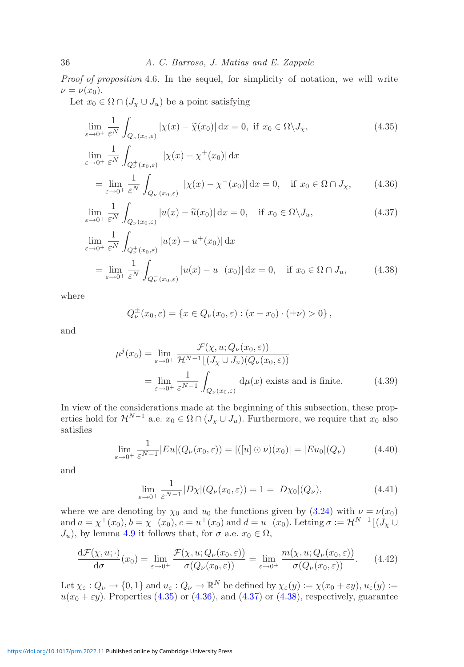*Proof of proposition* 4.6*.* In the sequel, for simplicity of notation, we will write  $\nu = \nu(x_0).$ 

Let  $x_0 \in \Omega \cap (J_\chi \cup J_u)$  be a point satisfying

$$
\lim_{\varepsilon \to 0^+} \frac{1}{\varepsilon^N} \int_{Q_\nu(x_0,\varepsilon)} |\chi(x) - \widetilde{\chi}(x_0)| \, dx = 0, \text{ if } x_0 \in \Omega \setminus J_\chi,
$$
\n
$$
\lim_{\varepsilon \to 0^+} \frac{1}{\varepsilon^N} \int_{Q_\nu^+(x_0,\varepsilon)} |\chi(x) - \chi^+(x_0)| \, dx
$$
\n
$$
\lim_{\varepsilon \to 0^+} \frac{1}{\varepsilon^N} \int_{Q_\nu^+(x_0,\varepsilon)} |\chi(x) - \chi^+(x_0)| \, dx \qquad (4.35)
$$

<span id="page-35-0"></span>
$$
= \lim_{\varepsilon \to 0^+} \frac{1}{\varepsilon^N} \int_{Q_\nu^-(x_0,\varepsilon)} |\chi(x) - \chi^-(x_0)| \, \mathrm{d}x = 0, \quad \text{if } x_0 \in \Omega \cap J_\chi,\tag{4.36}
$$

$$
\lim_{\varepsilon \to 0^+} \frac{1}{\varepsilon^N} \int_{Q_\nu(x_0,\varepsilon)} |u(x) - \widetilde{u}(x_0)| \, \mathrm{d}x = 0, \quad \text{if } x_0 \in \Omega \setminus J_u,\tag{4.37}
$$

$$
\lim_{\varepsilon \to 0^+} \frac{1}{\varepsilon^N} \int_{Q^+_{\nu}(x_0,\varepsilon)} |u(x) - u^+(x_0)| \, dx
$$
\n
$$
= \lim_{\varepsilon \to 0^+} \frac{1}{\varepsilon^N} \int_{Q^-_{\nu}(x_0,\varepsilon)} |u(x) - u^-(x_0)| \, dx = 0, \quad \text{if } x_0 \in \Omega \cap J_u,
$$
\n(4.38)

where

<span id="page-35-7"></span><span id="page-35-3"></span><span id="page-35-2"></span><span id="page-35-1"></span>
$$
Q^{\pm}_{\nu}(x_0,\varepsilon) = \{x \in Q_{\nu}(x_0,\varepsilon) : (x - x_0) \cdot (\pm \nu) > 0\},\,
$$

and

$$
\mu^{j}(x_{0}) = \lim_{\varepsilon \to 0^{+}} \frac{\mathcal{F}(\chi, u; Q_{\nu}(x_{0}, \varepsilon))}{\mathcal{H}^{N-1}[(J_{\chi} \cup J_{u})(Q_{\nu}(x_{0}, \varepsilon))}
$$

$$
= \lim_{\varepsilon \to 0^{+}} \frac{1}{\varepsilon^{N-1}} \int_{Q_{\nu}(x_{0}, \varepsilon)} d\mu(x) \text{ exists and is finite.}
$$
(4.39)

In view of the considerations made at the beginning of this subsection, these properties hold for  $\mathcal{H}^{N-1}$  a.e.  $x_0 \in \Omega \cap (J_\chi \cup J_u)$ . Furthermore, we require that  $x_0$  also satisfies

$$
\lim_{\varepsilon \to 0^+} \frac{1}{\varepsilon^{N-1}} |Eu|(Q_{\nu}(x_0, \varepsilon)) = |([u] \odot \nu)(x_0)| = |Eu_0|(Q_{\nu}) \tag{4.40}
$$

and

<span id="page-35-6"></span><span id="page-35-5"></span><span id="page-35-4"></span>
$$
\lim_{\varepsilon \to 0^+} \frac{1}{\varepsilon^{N-1}} |D\chi| (Q_{\nu}(x_0, \varepsilon)) = 1 = |D\chi_0| (Q_{\nu}), \tag{4.41}
$$

where we are denoting by  $\chi_0$  and  $u_0$  the functions given by [\(3.24\)](#page-20-1) with  $\nu = \nu(x_0)$ and  $a = \chi^+(x_0)$ ,  $b = \chi^-(x_0)$ ,  $c = u^+(x_0)$  and  $d = u^-(x_0)$ . Letting  $\sigma := \mathcal{H}^{N-1}[(\mathcal{J}_\chi \cup$  $J_u$ , by lemma [4.9](#page-34-0) it follows that, for  $\sigma$  a.e.  $x_0 \in \Omega$ ,

$$
\frac{\mathrm{d}\mathcal{F}(\chi, u; \cdot)}{\mathrm{d}\sigma}(x_0) = \lim_{\varepsilon \to 0^+} \frac{\mathcal{F}(\chi, u; Q_\nu(x_0, \varepsilon))}{\sigma(Q_\nu(x_0, \varepsilon))} = \lim_{\varepsilon \to 0^+} \frac{m(\chi, u; Q_\nu(x_0, \varepsilon))}{\sigma(Q_\nu(x_0, \varepsilon))}.
$$
(4.42)

Let  $\chi_{\varepsilon}: Q_{\nu} \to \{0,1\}$  and  $u_{\varepsilon}: Q_{\nu} \to \mathbb{R}^N$  be defined by  $\chi_{\varepsilon}(y) := \chi(x_0 + \varepsilon y), u_{\varepsilon}(y) :=$  $u(x_0 + \varepsilon y)$ . Properties [\(4.35\)](#page-35-0) or [\(4.36\)](#page-35-1), and [\(4.37\)](#page-35-2) or [\(4.38\)](#page-35-3), respectively, guarantee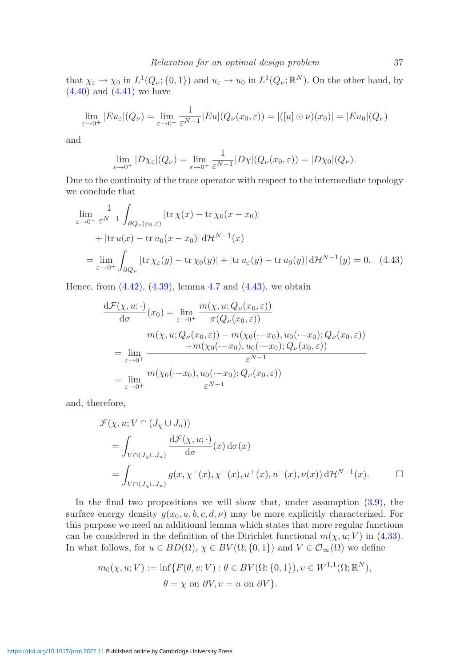that  $\chi_{\varepsilon} \to \chi_0$  in  $L^1(Q_\nu;\{0,1\})$  and  $u_{\varepsilon} \to u_0$  in  $L^1(Q_\nu;\mathbb{R}^N)$ . On the other hand, by  $(4.40)$  and  $(4.41)$  we have

$$
\lim_{\varepsilon \to 0^+} |E u_{\varepsilon}|(Q_{\nu}) = \lim_{\varepsilon \to 0^+} \frac{1}{\varepsilon^{N-1}} |E u|(Q_{\nu}(x_0, \varepsilon)) = |([u] \odot \nu)(x_0)| = |E u_0|(Q_{\nu})
$$

and

$$
\lim_{\varepsilon \to 0^+} |D\chi_{\varepsilon}|(Q_{\nu}) = \lim_{\varepsilon \to 0^+} \frac{1}{\varepsilon^{N-1}} |D\chi|(Q_{\nu}(x_0, \varepsilon)) = |D\chi_0|(Q_{\nu}).
$$

Due to the continuity of the trace operator with respect to the intermediate topology we conclude that

$$
\lim_{\varepsilon \to 0^{+}} \frac{1}{\varepsilon^{N-1}} \int_{\partial Q_{\nu}(x_{0},\varepsilon)} |\text{tr}\,\chi(x) - \text{tr}\,\chi_{0}(x-x_{0})|
$$
  
+ 
$$
|\text{tr}\,u(x) - \text{tr}\,u_{0}(x-x_{0})| d\mathcal{H}^{N-1}(x)
$$

$$
= \lim_{\varepsilon \to 0^{+}} \int_{\partial Q_{\nu}} |\text{tr}\,\chi_{\varepsilon}(y) - \text{tr}\,\chi_{0}(y)| + |\text{tr}\,u_{\varepsilon}(y) - \text{tr}\,u_{0}(y)| d\mathcal{H}^{N-1}(y) = 0. \quad (4.43)
$$

Hence, from  $(4.42)$ ,  $(4.39)$ , lemma [4.7](#page-32-1) and  $(4.43)$ , we obtain

<span id="page-36-0"></span>
$$
\frac{d\mathcal{F}(\chi, u; \cdot)}{d\sigma}(x_0) = \lim_{\varepsilon \to 0^+} \frac{m(\chi, u; Q_\nu(x_0, \varepsilon))}{\sigma(Q_\nu(x_0, \varepsilon))}
$$
\n
$$
m(\chi, u; Q_\nu(x_0, \varepsilon)) - m(\chi_0(\cdot - x_0), u_0(\cdot - x_0); Q_\nu(x_0, \varepsilon))
$$
\n
$$
= \lim_{\varepsilon \to 0^+} \frac{+m(\chi_0(\cdot - x_0), u_0(\cdot - x_0); Q_\nu(x_0, \varepsilon))}{\varepsilon^{N-1}}
$$
\n
$$
= \lim_{\varepsilon \to 0^+} \frac{m(\chi_0(\cdot - x_0), u_0(\cdot - x_0); Q_\nu(x_0, \varepsilon))}{\varepsilon^{N-1}}
$$

and, therefore,

$$
\mathcal{F}(\chi, u; V \cap (J_{\chi} \cup J_{u}))
$$
\n
$$
= \int_{V \cap (J_{\chi} \cup J_{u})} \frac{d\mathcal{F}(\chi, u; \cdot)}{d\sigma}(x) d\sigma(x)
$$
\n
$$
= \int_{V \cap (J_{\chi} \cup J_{u})} g(x, \chi^{+}(x), \chi^{-}(x), u^{+}(x), u^{-}(x), \nu(x)) d\mathcal{H}^{N-1}(x).
$$

In the final two propositions we will show that, under assumption  $(3.9)$ , the surface energy density  $g(x_0, a, b, c, d, \nu)$  may be more explicitly characterized. For this purpose we need an additional lemma which states that more regular functions can be considered in the definition of the Dirichlet functional  $m(\chi, u; V)$  in [\(4.33\)](#page-32-2). In what follows, for  $u \in BD(\Omega)$ ,  $\chi \in BV(\Omega; \{0,1\})$  and  $V \in \mathcal{O}_{\infty}(\Omega)$  we define

<span id="page-36-1"></span>
$$
m_0(\chi, u; V) := \inf \{ F(\theta, v; V) : \theta \in BV(\Omega; \{0, 1\}), v \in W^{1,1}(\Omega; \mathbb{R}^N),
$$
  

$$
\theta = \chi \text{ on } \partial V, v = u \text{ on } \partial V \}.
$$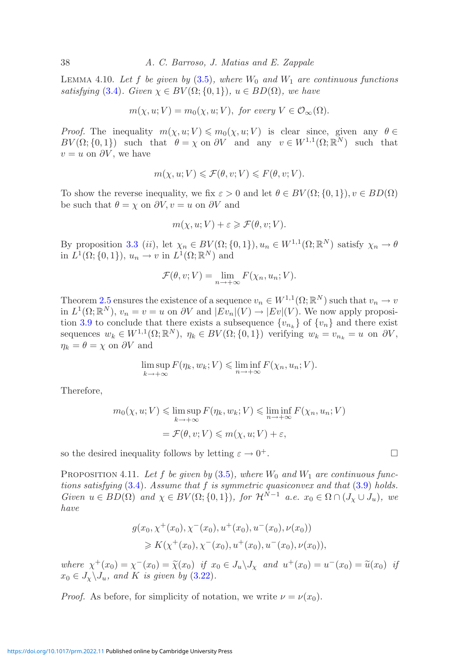LEMMA 4.10. Let f be given by  $(3.5)$ , where  $W_0$  and  $W_1$  are continuous functions *satisfying* [\(3.4\)](#page-13-1)*.* Given  $\chi \in BV(\Omega; \{0,1\})$ *,*  $u \in BD(\Omega)$ *, we have* 

$$
m(\chi, u; V) = m_0(\chi, u; V), \text{ for every } V \in \mathcal{O}_{\infty}(\Omega).
$$

*Proof.* The inequality  $m(\chi, u; V) \leq m_0(\chi, u; V)$  is clear since, given any  $\theta \in$  $BV(\Omega;\{0,1\})$  such that  $\theta = \chi$  on  $\partial V$  and any  $v \in W^{1,1}(\Omega;\mathbb{R}^N)$  such that  $v = u$  on  $\partial V$ , we have

$$
m(\chi, u; V) \leqslant \mathcal{F}(\theta, v; V) \leqslant F(\theta, v; V).
$$

To show the reverse inequality, we fix  $\varepsilon > 0$  and let  $\theta \in BV(\Omega; \{0, 1\}), v \in BD(\Omega)$ be such that  $\theta = \chi$  on  $\partial V, v = u$  on  $\partial V$  and

$$
m(\chi, u; V) + \varepsilon \geqslant \mathcal{F}(\theta, v; V).
$$

By proposition [3.3](#page-14-1) (ii), let  $\chi_n \in BV(\Omega; \{0,1\}), u_n \in W^{1,1}(\Omega; \mathbb{R}^N)$  satisfy  $\chi_n \to \theta$ in  $L^1(\Omega;\{0,1\}), u_n \to v$  in  $L^1(\Omega;\mathbb{R}^N)$  and

$$
\mathcal{F}(\theta, v; V) = \lim_{n \to +\infty} F(\chi_n, u_n; V).
$$

Theorem [2.5](#page-10-2) ensures the existence of a sequence  $v_n \in W^{1,1}(\Omega;\mathbb{R}^N)$  such that  $v_n \to v$ in  $L^1(\Omega;\mathbb{R}^N)$ ,  $v_n = v = u$  on  $\partial V$  and  $|Ev_n|(V) \to |Ev|(V)$ . We now apply proposi-tion [3.9](#page-19-1) to conclude that there exists a subsequence  $\{v_{n_k}\}$  of  $\{v_n\}$  and there exist sequences  $w_k \in W^{1,1}(\Omega;\mathbb{R}^N)$ ,  $\eta_k \in BV(\Omega;\{0,1\})$  verifying  $w_k = v_{n_k} = u$  on  $\partial V$ ,  $\eta_k = \theta = \chi$  on  $\partial V$  and

$$
\limsup_{k \to +\infty} F(\eta_k, w_k; V) \leq \liminf_{n \to +\infty} F(\chi_n, u_n; V).
$$

Therefore,

$$
m_0(\chi, u; V) \leq \limsup_{k \to +\infty} F(\eta_k, w_k; V) \leq \liminf_{n \to +\infty} F(\chi_n, u_n; V)
$$
  
=  $\mathcal{F}(\theta, v; V) \leq m(\chi, u; V) + \varepsilon$ ,

so the desired inequality follows by letting  $\varepsilon \to 0^+$ .

PROPOSITION 4.11. Let f be given by  $(3.5)$ *, where*  $W_0$  and  $W_1$  are continuous func*tions satisfying* [\(3.4\)](#page-13-1)*. Assume that* f *is symmetric quasiconvex and that* [\(3.9\)](#page-13-0) *holds. Given*  $u \in BD(\Omega)$  *and*  $\chi \in BV(\Omega; \{0,1\})$ *, for*  $\mathcal{H}^{\tilde{N}-1}$  *a.e.*  $x_0 \in \Omega \cap (J_\chi \cup J_u)$ *, we have*

$$
g(x_0, \chi^+(x_0), \chi^-(x_0), u^+(x_0), u^-(x_0), \nu(x_0))
$$
  
\n
$$
\geq K(\chi^+(x_0), \chi^-(x_0), u^+(x_0), u^-(x_0), \nu(x_0)),
$$

*where*  $\chi^+(x_0) = \chi^-(x_0) = \widetilde{\chi}(x_0)$  *if*  $x_0 \in J_u \backslash J_\chi$  *and*  $u^+(x_0) = u^-(x_0) = \widetilde{u}(x_0)$  *if*  $\widetilde{u}(x_0) = \widetilde{u}(x_0)$  *if*  $x_0 \in J_\chi \backslash J_u$ , and K is given by  $(3.22)$ .

*Proof.* As before, for simplicity of notation, we write  $\nu = \nu(x_0)$ .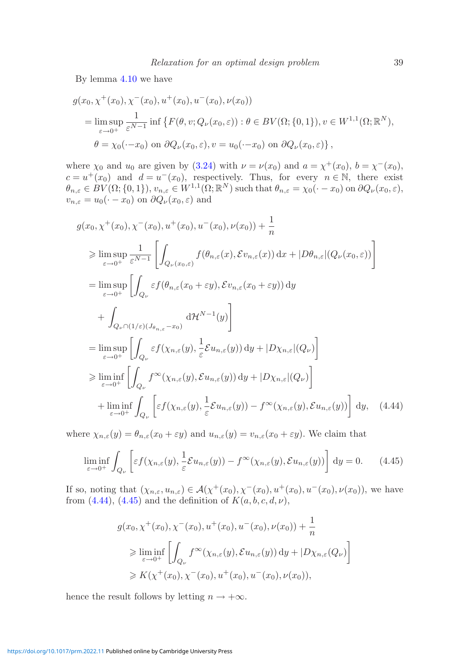By lemma [4.10](#page-36-1) we have

$$
g(x_0, \chi^+(x_0), \chi^-(x_0), u^+(x_0), u^-(x_0), \nu(x_0))
$$
  
= 
$$
\limsup_{\varepsilon \to 0^+} \frac{1}{\varepsilon^{N-1}} \inf \{ F(\theta, v; Q_\nu(x_0, \varepsilon)) : \theta \in BV(\Omega; \{0, 1\}), v \in W^{1,1}(\Omega; \mathbb{R}^N),
$$
  

$$
\theta = \chi_0(\cdot - x_0) \text{ on } \partial Q_\nu(x_0, \varepsilon), v = u_0(\cdot - x_0) \text{ on } \partial Q_\nu(x_0, \varepsilon) \},
$$

where  $\chi_0$  and  $u_0$  are given by [\(3.24\)](#page-20-1) with  $\nu = \nu(x_0)$  and  $a = \chi^+(x_0)$ ,  $b = \chi^-(x_0)$ ,  $c = u^+(x_0)$  and  $d = u^-(x_0)$ , respectively. Thus, for every  $n \in \mathbb{N}$ , there exist  $\theta_{n,\varepsilon} \in BV(\Omega;\{0,1\}), v_{n,\varepsilon} \in W^{1,1}(\Omega;\mathbb{R}^N)$  such that  $\theta_{n,\varepsilon} = \chi_0(\cdot - x_0)$  on  $\partial Q_{\nu}(x_0,\varepsilon)$ ,  $v_{n,\varepsilon} = u_0(\cdot - x_0)$  on  $\partial Q_{\nu}(x_0, \varepsilon)$  and

$$
g(x_0, \chi^+(x_0), \chi^-(x_0), u^+(x_0), u^-(x_0), \nu(x_0)) + \frac{1}{n}
$$
  
\n
$$
\geq \limsup_{\varepsilon \to 0^+} \frac{1}{\varepsilon^{N-1}} \left[ \int_{Q_{\nu}(x_0, \varepsilon)} f(\theta_{n, \varepsilon}(x), \varepsilon v_{n, \varepsilon}(x)) dx + |D\theta_{n, \varepsilon}|(Q_{\nu}(x_0, \varepsilon)) \right]
$$
  
\n
$$
= \limsup_{\varepsilon \to 0^+} \left[ \int_{Q_{\nu}} \varepsilon f(\theta_{n, \varepsilon}(x_0 + \varepsilon y), \varepsilon v_{n, \varepsilon}(x_0 + \varepsilon y)) dy + \int_{Q_{\nu} \cap (1/\varepsilon)(J_{\theta_{n, \varepsilon}} - x_0)} d\mathcal{H}^{N-1}(y) \right]
$$
  
\n
$$
= \limsup_{\varepsilon \to 0^+} \left[ \int_{Q_{\nu}} \varepsilon f(\chi_{n, \varepsilon}(y), \frac{1}{\varepsilon} \varepsilon u_{n, \varepsilon}(y)) dy + |D\chi_{n, \varepsilon}|(Q_{\nu}) \right]
$$
  
\n
$$
\geq \liminf_{\varepsilon \to 0^+} \left[ \int_{Q_{\nu}} f^{\infty}(\chi_{n, \varepsilon}(y), \varepsilon u_{n, \varepsilon}(y)) dy + |D\chi_{n, \varepsilon}|(Q_{\nu}) \right]
$$
  
\n
$$
+ \liminf_{\varepsilon \to 0^+} \int_{Q_{\nu}} \left[ \varepsilon f(\chi_{n, \varepsilon}(y), \frac{1}{\varepsilon} \varepsilon u_{n, \varepsilon}(y)) - f^{\infty}(\chi_{n, \varepsilon}(y), \varepsilon u_{n, \varepsilon}(y)) \right] dy, \quad (4.44)
$$

where  $\chi_{n,\varepsilon}(y) = \theta_{n,\varepsilon}(x_0 + \varepsilon y)$  and  $u_{n,\varepsilon}(y) = v_{n,\varepsilon}(x_0 + \varepsilon y)$ . We claim that

$$
\liminf_{\varepsilon \to 0^+} \int_{Q_{\nu}} \left[ \varepsilon f(\chi_{n,\varepsilon}(y), \frac{1}{\varepsilon} \mathcal{E} u_{n,\varepsilon}(y)) - f^{\infty}(\chi_{n,\varepsilon}(y), \mathcal{E} u_{n,\varepsilon}(y)) \right] dy = 0. \quad (4.45)
$$

If so, noting that  $(\chi_{n,\varepsilon}, u_{n,\varepsilon}) \in \mathcal{A}(\chi^+(x_0), \chi^-(x_0), u^+(x_0), u^-(x_0), \nu(x_0)),$  we have from  $(4.44)$ ,  $(4.45)$  and the definition of  $K(a, b, c, d, \nu)$ ,

<span id="page-38-1"></span><span id="page-38-0"></span>
$$
g(x_0, \chi^+(x_0), \chi^-(x_0), u^+(x_0), u^-(x_0), \nu(x_0)) + \frac{1}{n}
$$
  
\n
$$
\geq \liminf_{\varepsilon \to 0^+} \left[ \int_{Q_{\nu}} f^{\infty}(\chi_{n,\varepsilon}(y), \mathcal{E}u_{n,\varepsilon}(y)) dy + |D\chi_{n,\varepsilon}(Q_{\nu}) \right]
$$
  
\n
$$
\geq K(\chi^+(x_0), \chi^-(x_0), u^+(x_0), u^-(x_0), \nu(x_0)),
$$

hence the result follows by letting  $n \to +\infty$ .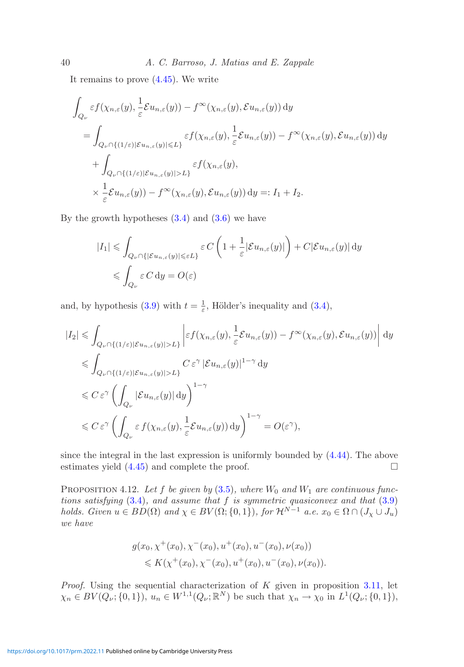It remains to prove [\(4.45\)](#page-38-1). We write

$$
\int_{Q_{\nu}} \varepsilon f(\chi_{n,\varepsilon}(y), \frac{1}{\varepsilon} \mathcal{E} u_{n,\varepsilon}(y)) - f^{\infty}(\chi_{n,\varepsilon}(y), \mathcal{E} u_{n,\varepsilon}(y)) dy
$$
\n
$$
= \int_{Q_{\nu} \cap \{(1/\varepsilon) | \mathcal{E} u_{n,\varepsilon}(y)| \le L\}} \varepsilon f(\chi_{n,\varepsilon}(y), \frac{1}{\varepsilon} \mathcal{E} u_{n,\varepsilon}(y)) - f^{\infty}(\chi_{n,\varepsilon}(y), \mathcal{E} u_{n,\varepsilon}(y)) dy
$$
\n
$$
+ \int_{Q_{\nu} \cap \{(1/\varepsilon) | \mathcal{E} u_{n,\varepsilon}(y)| > L\}} \varepsilon f(\chi_{n,\varepsilon}(y),
$$
\n
$$
\times \frac{1}{\varepsilon} \mathcal{E} u_{n,\varepsilon}(y)) - f^{\infty}(\chi_{n,\varepsilon}(y), \mathcal{E} u_{n,\varepsilon}(y)) dy =: I_1 + I_2.
$$

By the growth hypotheses  $(3.4)$  and  $(3.6)$  we have

$$
\begin{aligned} |I_1| &\leqslant \int_{Q_{\nu} \cap \{|\mathcal{E} u_{n,\varepsilon}(y)| \leqslant \varepsilon L\}} \varepsilon \, C\left(1 + \frac{1}{\varepsilon} |\mathcal{E} u_{n,\varepsilon}(y)|\right) + C|\mathcal{E} u_{n,\varepsilon}(y)| \, \mathrm{d} y \\ &\leqslant \int_{Q_{\nu}} \varepsilon \, C \, \mathrm{d} y = O(\varepsilon) \end{aligned}
$$

and, by hypothesis [\(3.9\)](#page-13-0) with  $t = \frac{1}{\varepsilon}$ , Hölder's inequality and [\(3.4\)](#page-13-1),

$$
\begin{split} |I_{2}| &\leqslant \int_{Q_{\nu}\cap\{(1/\varepsilon)|\mathcal{E}u_{n,\varepsilon}(y)|>L\}} \left| \varepsilon f(\chi_{n,\varepsilon}(y),\frac{1}{\varepsilon}\mathcal{E}u_{n,\varepsilon}(y)) - f^{\infty}(\chi_{n,\varepsilon}(y),\mathcal{E}u_{n,\varepsilon}(y)) \right| \, \mathrm{d}y \\ &\leqslant \int_{Q_{\nu}\cap\{(1/\varepsilon)|\mathcal{E}u_{n,\varepsilon}(y)|>L\}} C \, \varepsilon^{\gamma} \, |\mathcal{E}u_{n,\varepsilon}(y)|^{1-\gamma} \, \mathrm{d}y \\ &\leqslant C \, \varepsilon^{\gamma} \left( \int_{Q_{\nu}} |\mathcal{E}u_{n,\varepsilon}(y)| \, \mathrm{d}y \right)^{1-\gamma} \\ &\leqslant C \, \varepsilon^{\gamma} \left( \int_{Q_{\nu}} \varepsilon f(\chi_{n,\varepsilon}(y),\frac{1}{\varepsilon}\mathcal{E}u_{n,\varepsilon}(y)) \, \mathrm{d}y \right)^{1-\gamma} = O(\varepsilon^{\gamma}), \end{split}
$$

since the integral in the last expression is uniformly bounded by [\(4.44\)](#page-38-0). The above estimates yield  $(4.45)$  and complete the proof.

PROPOSITION 4.12. Let f be given by  $(3.5)$ , where  $W_0$  and  $W_1$  are continuous func*tions satisfying* [\(3.4\)](#page-13-1)*, and assume that* f *is symmetric quasiconvex and that* [\(3.9\)](#page-13-0) *holds. Given*  $u \in BD(\Omega)$  *and*  $\chi \in BV(\Omega; \{0,1\})$ *, for*  $\mathcal{H}^{N-1}$  *a.e.*  $x_0 \in \Omega \cap (J_{\chi} \cup J_u)$ *we have*

$$
g(x_0, \chi^+(x_0), \chi^-(x_0), u^+(x_0), u^-(x_0), \nu(x_0))
$$
  
\$\leqslant K(\chi^+(x\_0), \chi^-(x\_0), u^+(x\_0), u^-(x\_0), \nu(x\_0))\$.

*Proof.* Using the sequential characterization of K given in proposition [3.11,](#page-20-0) let  $\chi_n \in BV(Q_\nu;\{0,1\}), u_n \in W^{1,1}(Q_\nu;\mathbb{R}^N)$  be such that  $\chi_n \to \chi_0$  in  $L^1(Q_\nu;\{0,1\}),$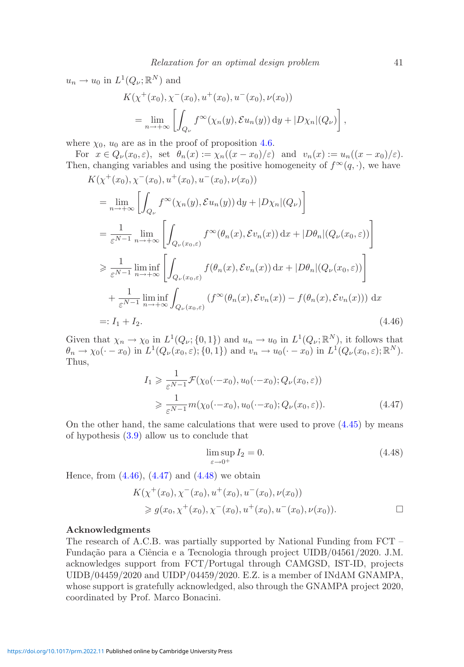$$
u_n \to u_0 \text{ in } L^1(Q_\nu; \mathbb{R}^N) \text{ and}
$$
  
\n
$$
K(\chi^+(x_0), \chi^-(x_0), u^+(x_0), u^-(x_0), \nu(x_0))
$$
  
\n
$$
= \lim_{n \to +\infty} \left[ \int_{Q_\nu} f^\infty(\chi_n(y), \mathcal{E}u_n(y)) \, dy + |D\chi_n|(Q_\nu) \right],
$$

where  $\chi_0$ ,  $u_0$  are as in the proof of proposition [4.6.](#page-32-0)

For  $x \in Q_{\nu}(x_0, \varepsilon)$ , set  $\theta_n(x) := \chi_n((x-x_0)/\varepsilon)$  and  $v_n(x) := u_n((x-x_0)/\varepsilon)$ . Then, changing variables and using the positive homogeneity of  $f^{\infty}(q, \cdot)$ , we have

$$
K(\chi^+(x_0), \chi^-(x_0), u^+(x_0), u^-(x_0), \nu(x_0))
$$
  
\n
$$
= \lim_{n \to +\infty} \left[ \int_{Q_{\nu}} f^{\infty}(\chi_n(y), \mathcal{E}u_n(y)) \, dy + |D\chi_n|(Q_{\nu}) \right]
$$
  
\n
$$
= \frac{1}{\varepsilon^{N-1}} \lim_{n \to +\infty} \left[ \int_{Q_{\nu}(x_0, \varepsilon)} f^{\infty}(\theta_n(x), \mathcal{E}v_n(x)) \, dx + |D\theta_n|(Q_{\nu}(x_0, \varepsilon)) \right]
$$
  
\n
$$
\geq \frac{1}{\varepsilon^{N-1}} \liminf_{n \to +\infty} \left[ \int_{Q_{\nu}(x_0, \varepsilon)} f(\theta_n(x), \mathcal{E}v_n(x)) \, dx + |D\theta_n|(Q_{\nu}(x_0, \varepsilon)) \right]
$$
  
\n
$$
+ \frac{1}{\varepsilon^{N-1}} \liminf_{n \to +\infty} \int_{Q_{\nu}(x_0, \varepsilon)} (f^{\infty}(\theta_n(x), \mathcal{E}v_n(x)) - f(\theta_n(x), \mathcal{E}v_n(x))) \, dx
$$
  
\n=: I\_1 + I\_2. (4.46)

Given that  $\chi_n \to \chi_0$  in  $L^1(Q_\nu;\{0,1\})$  and  $u_n \to u_0$  in  $L^1(Q_\nu;\mathbb{R}^N)$ , it follows that  $\theta_n \to \chi_0(\cdot - x_0)$  in  $L^1(Q_\nu(x_0, \varepsilon); \{0, 1\})$  and  $v_n \to u_0(\cdot - x_0)$  in  $L^1(Q_\nu(x_0, \varepsilon); \mathbb{R}^N)$ . Thus,

$$
I_1 \geq \frac{1}{\varepsilon^{N-1}} \mathcal{F}(\chi_0(\cdot - x_0), u_0(\cdot - x_0); Q_\nu(x_0, \varepsilon))
$$
  

$$
\geq \frac{1}{\varepsilon^{N-1}} m(\chi_0(\cdot - x_0), u_0(\cdot - x_0); Q_\nu(x_0, \varepsilon)).
$$
 (4.47)

On the other hand, the same calculations that were used to prove  $(4.45)$  by means of hypothesis [\(3.9\)](#page-13-0) allow us to conclude that

<span id="page-40-2"></span><span id="page-40-1"></span><span id="page-40-0"></span>
$$
\limsup_{\varepsilon \to 0^+} I_2 = 0. \tag{4.48}
$$

Hence, from  $(4.46)$ ,  $(4.47)$  and  $(4.48)$  we obtain

$$
K(\chi^+(x_0), \chi^-(x_0), u^+(x_0), u^-(x_0), \nu(x_0))
$$
  
\n
$$
\geq g(x_0, \chi^+(x_0), \chi^-(x_0), u^+(x_0), u^-(x_0), \nu(x_0)).
$$

# **Acknowledgments**

The research of A.C.B. was partially supported by National Funding from FCT – Fundação para a Ciência e a Tecnologia through project UIDB/04561/2020. J.M. acknowledges support from FCT/Portugal through CAMGSD, IST-ID, projects UIDB/04459/2020 and UIDP/04459/2020. E.Z. is a member of INdAM GNAMPA, whose support is gratefully acknowledged, also through the GNAMPA project 2020, coordinated by Prof. Marco Bonacini.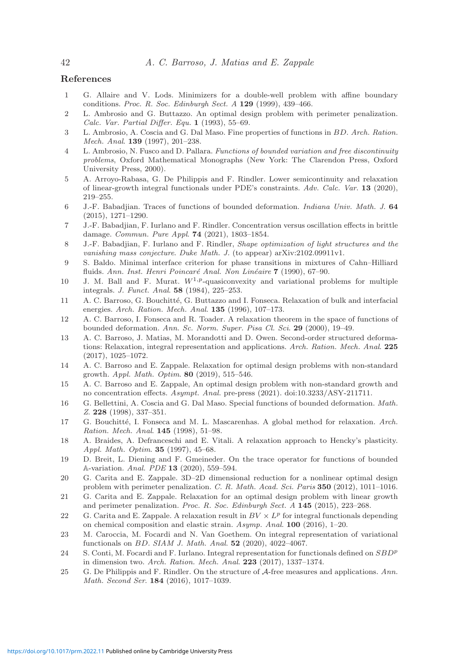# **References**

- <span id="page-41-0"></span>1 G. Allaire and V. Lods. Minimizers for a double-well problem with affine boundary conditions. Proc. R. Soc. Edinburgh Sect. A **129** (1999), 439–466.
- <span id="page-41-10"></span>2 L. Ambrosio and G. Buttazzo. An optimal design problem with perimeter penalization. Calc. Var. Partial Differ. Equ. **1** (1993), 55–69.
- <span id="page-41-19"></span>3 L. Ambrosio, A. Coscia and G. Dal Maso. Fine properties of functions in BD. Arch. Ration. Mech. Anal. **139** (1997), 201–238.
- <span id="page-41-17"></span>4 L. Ambrosio, N. Fusco and D. Pallara. Functions of bounded variation and free discontinuity problems, Oxford Mathematical Monographs (New York: The Clarendon Press, Oxford University Press, 2000).
- <span id="page-41-15"></span>5 A. Arroyo-Rabasa, G. De Philippis and F. Rindler. Lower semicontinuity and relaxation of linear-growth integral functionals under PDE's constraints. Adv. Calc. Var. **13** (2020), 219–255.
- <span id="page-41-24"></span>6 J.-F. Babadjian. Traces of functions of bounded deformation. Indiana Univ. Math. J. **64** (2015), 1271–1290.
- <span id="page-41-1"></span>7 J.-F. Babadjian, F. Iurlano and F. Rindler. Concentration versus oscillation effects in brittle damage. Commun. Pure Appl. **74** (2021), 1803–1854.
- <span id="page-41-2"></span>8 J.-F. Babadjian, F. Iurlano and F. Rindler, Shape optimization of light structures and the vanishing mass conjecture. Duke Math. J. (to appear) arXiv:2102.09911v1.
- <span id="page-41-18"></span>9 S. Baldo. Minimal interface criterion for phase transitions in mixtures of Cahn–Hilliard fluids. Ann. Inst. Henri Poincaré Anal. Non Linéaire **7** (1990), 67–90.
- <span id="page-41-20"></span>10 J. M. Ball and F. Murat. W1*,p*-quasiconvexity and variational problems for multiple integrals. J. Funct. Anal. **58** (1984), 225–253.
- <span id="page-41-23"></span>11 A. C. Barroso, G. Bouchitté, G. Buttazzo and I. Fonseca. Relaxation of bulk and interfacial energies. Arch. Ration. Mech. Anal. **135** (1996), 107–173.
- <span id="page-41-5"></span>12 A. C. Barroso, I. Fonseca and R. Toader. A relaxation theorem in the space of functions of bounded deformation. Ann. Sc. Norm. Super. Pisa Cl. Sci. **29** (2000), 19–49.
- <span id="page-41-21"></span>13 A. C. Barroso, J. Matias, M. Morandotti and D. Owen. Second-order structured deformations: Relaxation, integral representation and applications. Arch. Ration. Mech. Anal. **225** (2017), 1025–1072.
- <span id="page-41-12"></span>14 A. C. Barroso and E. Zappale. Relaxation for optimal design problems with non-standard growth. Appl. Math. Optim. **80** (2019), 515–546.
- <span id="page-41-13"></span>15 A. C. Barroso and E. Zappale, An optimal design problem with non-standard growth and no concentration effects. Asympt. Anal. pre-press (2021). doi:10.3233/ASY-211711.
- <span id="page-41-3"></span>16 G. Bellettini, A. Coscia and G. Dal Maso. Special functions of bounded deformation. Math. Z. **228** (1998), 337–351.
- <span id="page-41-6"></span>17 G. Bouchitté, I. Fonseca and M. L. Mascarenhas. A global method for relaxation. Arch. Ration. Mech. Anal. **145** (1998), 51–98.
- <span id="page-41-4"></span>18 A. Braides, A. Defranceschi and E. Vitali. A relaxation approach to Hencky's plasticity. Appl. Math. Optim. **35** (1997), 45–68.
- <span id="page-41-16"></span>19 D. Breit, L. Diening and F. Gmeineder. On the trace operator for functions of bounded A-variation. Anal. PDE **13** (2020), 559–594.
- <span id="page-41-14"></span>20 G. Carita and E. Zappale. 3D–2D dimensional reduction for a nonlinear optimal design problem with perimeter penalization. C. R. Math. Acad. Sci. Paris **350** (2012), 1011–1016.
- <span id="page-41-11"></span>21 G. Carita and E. Zappale. Relaxation for an optimal design problem with linear growth and perimeter penalization. Proc. R. Soc. Edinburgh Sect. A **145** (2015), 223–268.
- <span id="page-41-22"></span>22 G. Carita and E. Zappale. A relaxation result in  $BV \times L^p$  for integral functionals depending on chemical composition and elastic strain. Asymp. Anal. **100** (2016), 1–20.
- <span id="page-41-8"></span>23 M. Caroccia, M. Focardi and N. Van Goethem. On integral representation of variational functionals on BD. SIAM J. Math. Anal. **52** (2020), 4022–4067.
- <span id="page-41-7"></span>24 S. Conti, M. Focardi and F. Iurlano. Integral representation for functionals defined on SBD*<sup>p</sup>* in dimension two. Arch. Ration. Mech. Anal. **223** (2017), 1337–1374.
- <span id="page-41-9"></span>25 G. De Philippis and F. Rindler. On the structure of A-free measures and applications. Ann. Math. Second Ser. **184** (2016), 1017–1039.